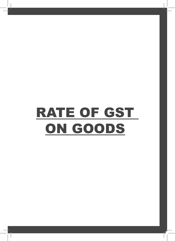# RATE OF GST ON GOODS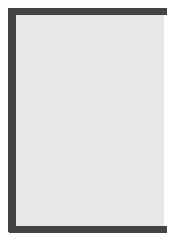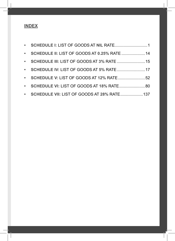# **INDEX**

| • SCHEDULE II: LIST OF GOODS AT 0.25% RATE  14 |  |
|------------------------------------------------|--|
|                                                |  |
| • SCHEDULE IV: LIST OF GOODS AT 5% RATE 17     |  |
| • SCHEDULE V: LIST OF GOODS AT 12% RATE52      |  |
|                                                |  |
| • SCHEDULE VII: LIST OF GOODS AT 28% RATE 137  |  |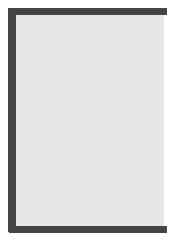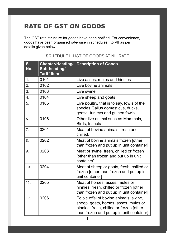# RATE OF GST ON GOODS

The GST rate structure for goods have been notified. For convenience, goods have been organised rate-wise in schedules I to VII as per details given below.

| S.<br>No. | Chapter/Heading/<br>Sub-heading/<br><b>Tariff item</b> | <b>Description of Goods</b>                                                                                                                                              |
|-----------|--------------------------------------------------------|--------------------------------------------------------------------------------------------------------------------------------------------------------------------------|
| 1.        | 0101                                                   | Live asses, mules and hinnies                                                                                                                                            |
| 2.        | 0102                                                   | Live bovine animals                                                                                                                                                      |
| 3.        | 0103                                                   | Live swine                                                                                                                                                               |
| 4.        | 0104                                                   | Live sheep and goats                                                                                                                                                     |
| 5.        | 0105                                                   | Live poultry, that is to say, fowls of the<br>species Gallus domesticus, ducks,<br>geese, turkeys and guinea fowls.                                                      |
| 6.        | 0106                                                   | Other live animal such as Mammals,<br>Birds, Insects                                                                                                                     |
| 7.        | 0201                                                   | Meat of bovine animals, fresh and<br>chilled.                                                                                                                            |
| 8.        | 0202                                                   | Meat of bovine animals frozen Jother<br>than frozen and put up in unit container]                                                                                        |
| 9.        | 0203                                                   | Meat of swine, fresh, chilled or frozen<br>[other than frozen and put up in unit<br>container]                                                                           |
| 10.       | 0204                                                   | Meat of sheep or goats, fresh, chilled or<br>frozen [other than frozen and put up in<br>unit container]                                                                  |
| 11.       | 0205                                                   | Meat of horses, asses, mules or<br>hinnies, fresh, chilled or frozen [other<br>than frozen and put up in unit container]                                                 |
| 12.       | 0206                                                   | Edible offal of bovine animals, swine,<br>sheep, goats, horses, asses, mules or<br>hinnies, fresh, chilled or frozen [other<br>than frozen and put up in unit container] |

#### **SCHEDULE I:** LIST OF GOODS AT NIL RATE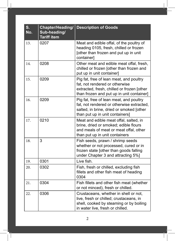| S.<br>No. | Chapter/Heading/<br>Sub-heading/<br><b>Tariff item</b> | <b>Description of Goods</b>                                                                                                                                          |
|-----------|--------------------------------------------------------|----------------------------------------------------------------------------------------------------------------------------------------------------------------------|
| 13.       | 0207                                                   | Meat and edible offal, of the poultry of<br>heading 0105, fresh, chilled or frozen<br>Jother than frozen and put up in unit<br>container]                            |
| 14.       | 0208                                                   | Other meat and edible meat offal, fresh,<br>chilled or frozen [other than frozen and<br>put up in unit container]                                                    |
| 15.       | 0209                                                   | Pig fat, free of lean meat, and poultry<br>fat, not rendered or otherwise<br>extracted, fresh, chilled or frozen [other<br>than frozen and put up in unit container] |
| 16.       | 0209                                                   | Pig fat, free of lean meat, and poultry<br>fat, not rendered or otherwise extracted,<br>salted, in brine, dried or smoked [other<br>than put up in unit containers]  |
| 17.       | 0210                                                   | Meat and edible meat offal, salted, in<br>brine, dried or smoked; edible flours<br>and meals of meat or meat offal, other<br>than put up in unit containers          |
| 18.       | 3                                                      | Fish seeds, prawn / shrimp seeds<br>whether or not processed, cured or in<br>frozen state [other than goods falling<br>under Chapter 3 and attracting 5%]            |
| 19.       | 0301                                                   | Live fish.                                                                                                                                                           |
| 20.       | 0302                                                   | Fish, fresh or chilled, excluding fish<br>fillets and other fish meat of heading<br>0304                                                                             |
| 21.       | 0304                                                   | Fish fillets and other fish meat (whether<br>or not minced), fresh or chilled.                                                                                       |
| 22.       | 0306                                                   | Crustaceans, whether in shell or not,<br>live, fresh or chilled; crustaceans, in<br>shell, cooked by steaming or by boiling<br>in water live, fresh or chilled.      |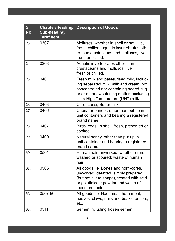| S.<br>No. | Chapter/Heading/<br>Sub-heading/<br><b>Tariff item</b> | <b>Description of Goods</b>                                                                                                                                                                                    |
|-----------|--------------------------------------------------------|----------------------------------------------------------------------------------------------------------------------------------------------------------------------------------------------------------------|
| 23.       | 0307                                                   | Molluscs, whether in shell or not, live,<br>fresh, chilled; aquatic invertebrates oth-<br>er than crustaceans and molluscs, live,<br>fresh or chilled.                                                         |
| 24.       | 0308                                                   | Aquatic invertebrates other than<br>crustaceans and molluscs, live,<br>fresh or chilled.                                                                                                                       |
| 25.       | 0401                                                   | Fresh milk and pasteurised milk, includ-<br>ing separated milk, milk and cream, not<br>concentrated nor containing added sug-<br>ar or other sweetening matter, excluding<br>Ultra High Temperature (UHT) milk |
| 26.       | 0403                                                   | Curd; Lassi; Butter milk                                                                                                                                                                                       |
| 27.       | 0406                                                   | Chena or paneer, other than put up in<br>unit containers and bearing a registered<br>brand name;                                                                                                               |
| 28.       | 0407                                                   | Birds' eggs, in shell, fresh, preserved or<br>cooked                                                                                                                                                           |
| 29.       | 0409                                                   | Natural honey, other than put up in<br>unit container and bearing a registered<br>brand name                                                                                                                   |
| 30.       | 0501                                                   | Human hair, unworked, whether or not<br>washed or scoured; waste of human<br>hair                                                                                                                              |
| 31.       | 0506                                                   | All goods i.e. Bones and horn-cores,<br>unworked, defatted, simply prepared<br>(but not cut to shape), treated with acid<br>or gelatinised; powder and waste of<br>these products                              |
| 32.       | 050790                                                 | All goods i.e. Hoof meal; horn meal;<br>hooves, claws, nails and beaks; antlers;<br>etc.                                                                                                                       |
| 33.       | 0511                                                   | Semen including frozen semen                                                                                                                                                                                   |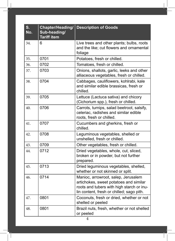| S.<br>No. | Chapter/Heading/<br>Sub-heading/<br><b>Tariff item</b> | <b>Description of Goods</b>                                                                                                                                             |
|-----------|--------------------------------------------------------|-------------------------------------------------------------------------------------------------------------------------------------------------------------------------|
| 34.       | 6                                                      | Live trees and other plants; bulbs, roots<br>and the like; cut flowers and ornamental<br>foliage                                                                        |
| 35.       | 0701                                                   | Potatoes, fresh or chilled.                                                                                                                                             |
| 36.       | 0702                                                   | Tomatoes, fresh or chilled.                                                                                                                                             |
| 37.       | 0703                                                   | Onions, shallots, garlic, leeks and other<br>alliaceous vegetables, fresh or chilled.                                                                                   |
| 38.       | 0704                                                   | Cabbages, cauliflowers, kohlrabi, kale<br>and similar edible brassicas, fresh or<br>chilled.                                                                            |
| 39.       | 0705                                                   | Lettuce (Lactuca sativa) and chicory<br>(Cichorium spp.), fresh or chilled.                                                                                             |
| 40.       | 0706                                                   | Carrots, turnips, salad beetroot, salsify,<br>celeriac, radishes and similar edible<br>roots, fresh or chilled.                                                         |
| 41.       | 0707                                                   | Cucumbers and gherkins, fresh or<br>chilled.                                                                                                                            |
| 42.       | 0708                                                   | Leguminous vegetables, shelled or<br>unshelled, fresh or chilled.                                                                                                       |
| 43.       | 0709                                                   | Other vegetables, fresh or chilled.                                                                                                                                     |
| 44.       | 0712                                                   | Dried vegetables, whole, cut, sliced,<br>broken or in powder, but not further<br>prepared.                                                                              |
| 45.       | 0713                                                   | Dried leguminous vegetables, shelled,<br>whether or not skinned or split.                                                                                               |
| 46.       | 0714                                                   | Manioc, arrowroot, salep, Jerusalem<br>artichokes, sweet potatoes and similar<br>roots and tubers with high starch or inu-<br>lin content, fresh or chilled; sago pith. |
| 47.       | 0801                                                   | Coconuts, fresh or dried, whether or not<br>shelled or peeled                                                                                                           |
| 48.       | 0801                                                   | Brazil nuts, fresh, whether or not shelled<br>or peeled                                                                                                                 |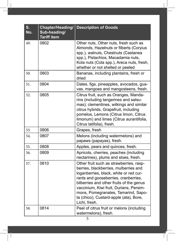| S.<br>No. | Chapter/Heading/<br>Sub-heading/<br><b>Tariff item</b> | <b>Description of Goods</b>                                                                                                                                                                                                                                                                                                                                 |
|-----------|--------------------------------------------------------|-------------------------------------------------------------------------------------------------------------------------------------------------------------------------------------------------------------------------------------------------------------------------------------------------------------------------------------------------------------|
| 49.       | 0802                                                   | Other nuts, Other nuts, fresh such as<br>Almonds, Hazelnuts or filberts (Coryius<br>spp.), walnuts, Chestnuts (Castanea<br>spp.), Pistachios, Macadamia nuts,<br>Kola nuts (Cola spp.), Areca nuts, fresh,<br>whether or not shelled or peeled                                                                                                              |
| 50.       | 0803                                                   | Bananas, including plantains, fresh or<br>dried                                                                                                                                                                                                                                                                                                             |
| 51.       | 0804                                                   | Dates, figs, pineapples, avocados, gua-<br>vas, mangoes and mangosteens, fresh.                                                                                                                                                                                                                                                                             |
| 52.       | 0805                                                   | Citrus fruit, such as Oranges, Manda-<br>rins (including tangerines and satsu-<br>mas); clementines, wilkings and similar<br>citrus hybrids, Grapefruit, including<br>pomelos, Lemons (Citrus limon, Citrus<br>limonum) and limes (Citrus aurantifolia,<br>Citrus latifolia), fresh.                                                                        |
| 53.       | 0806                                                   | Grapes, fresh                                                                                                                                                                                                                                                                                                                                               |
| 54.       | 0807                                                   | Melons (including watermelons) and<br>papaws (papayas), fresh.                                                                                                                                                                                                                                                                                              |
| 55.       | 0808                                                   | Apples, pears and quinces, fresh.                                                                                                                                                                                                                                                                                                                           |
| 56.       | 0809                                                   | Apricots, cherries, peaches (including<br>nectarines), plums and sloes, fresh.                                                                                                                                                                                                                                                                              |
| 57.       | 0810                                                   | Other fruit such as strawberries, rasp-<br>berries, blackberries, mulberries and<br>loganberries, black, white or red cur-<br>rants and gooseberries, cranberries,<br>bilberries and other fruits of the genus<br>vaccinium, Kiwi fruit, Durians, Persim-<br>mons, Pomegranates, Tamarind, Sapo-<br>ta (chico), Custard-apple (ata), Bore,<br>Lichi, fresh. |
| 58.       | 0814                                                   | Peel of citrus fruit or melons (including<br>watermelons), fresh.                                                                                                                                                                                                                                                                                           |

5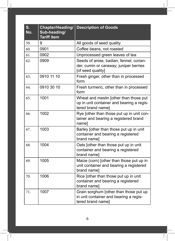| $S_{1}$<br>No. | Chapter/Heading/<br>Sub-heading/<br><b>Tariff item</b> | <b>Description of Goods</b>                                                                              |
|----------------|--------------------------------------------------------|----------------------------------------------------------------------------------------------------------|
| 59.            | 9                                                      | All goods of seed quality                                                                                |
| 60.            | 0901                                                   | Coffee beans, not roasted                                                                                |
| 61.            | 0902                                                   | Unprocessed green leaves of tea                                                                          |
| 62.            | 0909                                                   | Seeds of anise, badian, fennel, corian-<br>der, cumin or caraway; juniper berries<br>[of seed quality]   |
| 63.            | 0910 11 10                                             | Fresh ginger, other than in processed<br>form                                                            |
| 64.            | 0910 30 10                                             | Fresh turmeric, other than in processed<br>form                                                          |
| 65.            | 1001                                                   | Wheat and meslin [other than those put<br>up in unit container and bearing a regis-<br>tered brand name] |
| 66.            | 1002                                                   | Rye Jother than those put up in unit con-<br>tainer and bearing a registered brand<br>name]              |
| 67.            | 1003                                                   | Barley [other than those put up in unit<br>container and bearing a registered<br>brand name]             |
| 68.            | 1004                                                   | Oats Jother than those put up in unit<br>container and bearing a registered<br>brand name]               |
| 69.            | 1005                                                   | Maize (corn) [other than those put up in<br>unit container and bearing a registered<br>brand name]       |
| 70.            | 1006                                                   | Rice [other than those put up in unit<br>container and bearing a registered<br>brand name]               |
| 71.            | 1007                                                   | Grain sorghum [other than those put up<br>in unit container and bearing a regis-<br>tered brand name]    |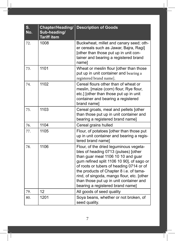| S.<br>$\overline{\text{No}}$ . | Chapter/Heading/<br>Sub-heading/<br><b>Tariff item</b> | <b>Description of Goods</b>                                                                                                                                                                                                                                                                                                                                                           |
|--------------------------------|--------------------------------------------------------|---------------------------------------------------------------------------------------------------------------------------------------------------------------------------------------------------------------------------------------------------------------------------------------------------------------------------------------------------------------------------------------|
| 72.                            | 1008                                                   | Buckwheat, millet and canary seed; oth-<br>er cereals such as Jawar, Bajra, Ragi]<br>Jother than those put up in unit con-<br>tainer and bearing a registered brand<br>name]                                                                                                                                                                                                          |
| 73.                            | 1101                                                   | Wheat or meslin flour [other than those<br>put up in unit container and bearing a<br>registered brand name].                                                                                                                                                                                                                                                                          |
| 74.                            | 1102                                                   | Cereal flours other than of wheat or<br>meslin, [maize (corn) flour, Rye flour,<br>etc.] [other than those put up in unit<br>container and bearing a registered<br>brand name]                                                                                                                                                                                                        |
| 75.                            | 1103                                                   | Cereal groats, meal and pellets [other<br>than those put up in unit container and<br>bearing a registered brand name]                                                                                                                                                                                                                                                                 |
| 76.                            | 1104                                                   | Cereal grains hulled                                                                                                                                                                                                                                                                                                                                                                  |
| 77.                            | 1105                                                   | Flour, of potatoes [other than those put<br>up in unit container and bearing a regis-<br>tered brand name]                                                                                                                                                                                                                                                                            |
| 78.                            | 1106                                                   | Flour, of the dried leguminous vegeta-<br>bles of heading 0713 (pulses) [other<br>than guar meal 1106 10 10 and guar<br>gum refined split 1106 10 90], of sago or<br>of roots or tubers of heading 0714 or of<br>the products of Chapter 8 i.e. of tama-<br>rind, of singoda, mango flour, etc. [other<br>than those put up in unit container and<br>bearing a registered brand name] |
| 79.                            | 12                                                     | All goods of seed quality                                                                                                                                                                                                                                                                                                                                                             |
| 80.                            | 1201                                                   | Soya beans, whether or not broken, of<br>seed quality.                                                                                                                                                                                                                                                                                                                                |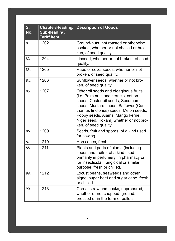| S.<br>No. | Chapter/Heading/<br>Sub-heading/<br><b>Tariff item</b> | <b>Description of Goods</b>                                                                                                                                                                                                                                                                                |
|-----------|--------------------------------------------------------|------------------------------------------------------------------------------------------------------------------------------------------------------------------------------------------------------------------------------------------------------------------------------------------------------------|
| 81.       | 1202                                                   | Ground-nuts, not roasted or otherwise<br>cooked, whether or not shelled or bro-<br>ken, of seed quality.                                                                                                                                                                                                   |
| 82.       | 1204                                                   | Linseed, whether or not broken, of seed<br>quality.                                                                                                                                                                                                                                                        |
| 83.       | 1205                                                   | Rape or colza seeds, whether or not<br>broken, of seed quality.                                                                                                                                                                                                                                            |
| 84.       | 1206                                                   | Sunflower seeds, whether or not bro-<br>ken, of seed quality.                                                                                                                                                                                                                                              |
| 85.       | 1207                                                   | Other oil seeds and oleaginous fruits<br>(i.e. Palm nuts and kernels, cotton<br>seeds, Castor oil seeds, Sesamum<br>seeds, Mustard seeds, Saffower (Car-<br>thamus tinctorius) seeds, Melon seeds,<br>Poppy seeds, Ajams, Mango kernel,<br>Niger seed, Kokam) whether or not bro-<br>ken, of seed quality. |
| 86.       | 1209                                                   | Seeds, fruit and spores, of a kind used<br>for sowing.                                                                                                                                                                                                                                                     |
| 87.       | 1210                                                   | Hop cones, fresh.                                                                                                                                                                                                                                                                                          |
| 88.       | 1211                                                   | Plants and parts of plants (including<br>seeds and fruits), of a kind used<br>primarily in perfumery, in pharmacy or<br>for insecticidal, fungicidal or similar<br>purpose, fresh or chilled.                                                                                                              |
| 89.       | 1212                                                   | Locust beans, seaweeds and other<br>algae, sugar beet and sugar cane, fresh<br>or chilled.                                                                                                                                                                                                                 |
| 90.       | 1213                                                   | Cereal straw and husks, unprepared,<br>whether or not chopped, ground,<br>pressed or in the form of pellets                                                                                                                                                                                                |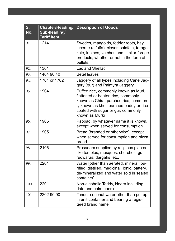| S.<br>No. | Chapter/Heading/<br>Sub-heading/<br><b>Tariff item</b> | <b>Description of Goods</b>                                                                                                                                                                                            |
|-----------|--------------------------------------------------------|------------------------------------------------------------------------------------------------------------------------------------------------------------------------------------------------------------------------|
| 91.       | 1214                                                   | Swedes, mangolds, fodder roots, hay,<br>lucerne (alfalfa), clover, sainfoin, forage<br>kale, lupines, vetches and similar forage<br>products, whether or not in the form of<br>pellets.                                |
| 92.       | 1301                                                   | Lac and Shellac                                                                                                                                                                                                        |
| 93.       | 1404 90 40                                             | <b>Betel leaves</b>                                                                                                                                                                                                    |
| 94.       | 1701 or 1702                                           | Jaggery of all types including Cane Jag-<br>gery (gur) and Palmyra Jaggery                                                                                                                                             |
| 95.       | 1904                                                   | Puffed rice, commonly known as Muri,<br>flattened or beaten rice, commonly<br>known as Chira, parched rice, common-<br>ly known as khoi, parched paddy or rice<br>coated with sugar or gur, commonly<br>known as Murki |
| 96.       | 1905                                                   | Pappad, by whatever name it is known,<br>except when served for consumption                                                                                                                                            |
| 97.       | 1905                                                   | Bread (branded or otherwise), except<br>when served for consumption and pizza<br>bread                                                                                                                                 |
| 98.       | 2106                                                   | Prasadam supplied by religious places<br>like temples, mosques, churches, gu-<br>rudwaras, dargahs, etc.                                                                                                               |
| 99.       | 2201                                                   | Water [other than aerated, mineral, pu-<br>rified, distilled, medicinal, ionic, battery,<br>de-mineralized and water sold in sealed<br>container]                                                                      |
| 100.      | 2201                                                   | Non-alcoholic Toddy, Neera including<br>date and palm neera                                                                                                                                                            |
| 101.      | 2202 90 90                                             | Tender coconut water other than put up<br>in unit container and bearing a regis-<br>tered brand name                                                                                                                   |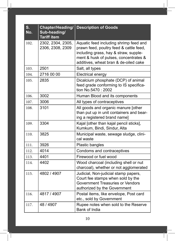| $S_{1}$<br>No. | Chapter/Heading/<br>Sub-heading/<br><b>Tariff item</b> | <b>Description of Goods</b>                                                                                                                                                                                  |
|----------------|--------------------------------------------------------|--------------------------------------------------------------------------------------------------------------------------------------------------------------------------------------------------------------|
| 102.           | 2302, 2304, 2305,<br>2306, 2308, 2309                  | Aquatic feed including shrimp feed and<br>prawn feed, poultry feed & cattle feed,<br>including grass, hay & straw, supple-<br>ment & husk of pulses, concentrates &<br>additives, wheat bran & de-oiled cake |
| 103.           | 2501                                                   | Salt, all types                                                                                                                                                                                              |
| 104.           | 2716 00 00                                             | <b>Electrical energy</b>                                                                                                                                                                                     |
| 105.           | 2835                                                   | Dicalcium phosphate (DCP) of animal<br>feed grade conforming to IS specifica-<br>tion No.5470 : 2002                                                                                                         |
| 106.           | 3002                                                   | Human Blood and its components                                                                                                                                                                               |
| 107.           | 3006                                                   | All types of contraceptives                                                                                                                                                                                  |
| 108.           | 3101                                                   | All goods and organic manure [other<br>than put up in unit containers and bear-<br>ing a registered brand name]                                                                                              |
| 109.           | 3304                                                   | Kajal [other than kajal pencil sticks],<br>Kumkum, Bindi, Sindur, Alta                                                                                                                                       |
| 110.           | 3825                                                   | Municipal waste, sewage sludge, clini-<br>cal waste                                                                                                                                                          |
| 111.           | 3926                                                   | Plastic bangles                                                                                                                                                                                              |
| 112.           | 4014                                                   | Condoms and contraceptives                                                                                                                                                                                   |
| 113.           | 4401                                                   | Firewood or fuel wood                                                                                                                                                                                        |
| 114.           | 4402                                                   | Wood charcoal (including shell or nut<br>charcoal), whether or not agglomerated                                                                                                                              |
| 115.           | 4802 / 4907                                            | Judicial, Non-judicial stamp papers,<br>Court fee stamps when sold by the<br>Government Treasuries or Vendors<br>authorized by the Government                                                                |
| 116.           | 4817 / 4907                                            | Postal items, like envelope, Post card<br>etc., sold by Government                                                                                                                                           |
| 117.           | 48 / 4907                                              | Rupee notes when sold to the Reserve<br>Bank of India                                                                                                                                                        |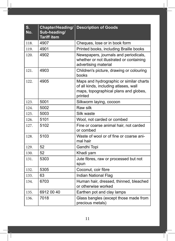| S.<br>No. | Chapter/Heading/<br>Sub-heading/<br><b>Tariff item</b> | <b>Description of Goods</b>                                                                                                          |
|-----------|--------------------------------------------------------|--------------------------------------------------------------------------------------------------------------------------------------|
| 118.      | 4907                                                   | Cheques, lose or in book form                                                                                                        |
| 119.      | 4901                                                   | Printed books, including Braille books                                                                                               |
| 120.      | 4902                                                   | Newspapers, journals and periodicals,<br>whether or not illustrated or containing<br>advertising material                            |
| 121.      | 4903                                                   | Children's picture, drawing or colouring<br>books                                                                                    |
| 122.      | 4905                                                   | Maps and hydrographic or similar charts<br>of all kinds, including atlases, wall<br>maps, topographical plans and globes,<br>printed |
| 123.      | 5001                                                   | Silkworm laying, cocoon                                                                                                              |
| 124.      | 5002                                                   | Raw silk                                                                                                                             |
| 125.      | 5003                                                   | Silk waste                                                                                                                           |
| 126.      | 5101                                                   | Wool, not carded or combed                                                                                                           |
| 127.      | 5102                                                   | Fine or coarse animal hair, not carded<br>or combed                                                                                  |
| 128.      | 5103                                                   | Waste of wool or of fine or coarse ani-<br>mal hair                                                                                  |
| 129.      | 52                                                     | Gandhi Topi                                                                                                                          |
| 130.      | 52                                                     | Khadi yarn                                                                                                                           |
| 131.      | 5303                                                   | Jute fibres, raw or processed but not<br>spun                                                                                        |
| 132.      | 5305                                                   | Coconut, coir fibre                                                                                                                  |
| 133.      | 63                                                     | Indian National Flag                                                                                                                 |
| 134.      | 6703                                                   | Human hair, dressed, thinned, bleached<br>or otherwise worked                                                                        |
| 135.      | 6912 00 40                                             | Earthen pot and clay lamps                                                                                                           |
| 136.      | 7018                                                   | Glass bangles (except those made from<br>precious metals)                                                                            |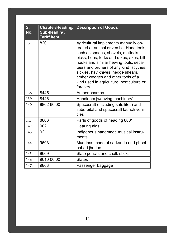| S.<br>No. | Chapter/Heading/<br>Sub-heading/<br><b>Tariff item</b> | <b>Description of Goods</b>                                                                                                                                                                                                                                                                                                                                                                  |
|-----------|--------------------------------------------------------|----------------------------------------------------------------------------------------------------------------------------------------------------------------------------------------------------------------------------------------------------------------------------------------------------------------------------------------------------------------------------------------------|
| 137.      | 8201                                                   | Agricultural implements manually op-<br>erated or animal driven i.e. Hand tools,<br>such as spades, shovels, mattocks,<br>picks, hoes, forks and rakes; axes, bill<br>hooks and similar hewing tools; seca-<br>teurs and pruners of any kind; scythes,<br>sickles, hay knives, hedge shears,<br>timber wedges and other tools of a<br>kind used in agriculture, horticulture or<br>forestry. |
| 138.      | 8445                                                   | Amber charkha                                                                                                                                                                                                                                                                                                                                                                                |
| 139.      | 8446                                                   | Handloom [weaving machinery]                                                                                                                                                                                                                                                                                                                                                                 |
| 140.      | 8802 60 00                                             | Spacecraft (including satellites) and<br>suborbital and spacecraft launch vehi-<br>cles                                                                                                                                                                                                                                                                                                      |
| 141.      | 8803                                                   | Parts of goods of heading 8801                                                                                                                                                                                                                                                                                                                                                               |
| 142.      | 9021                                                   | Hearing aids                                                                                                                                                                                                                                                                                                                                                                                 |
| 143.      | 92                                                     | Indigenous handmade musical instru-<br>ments                                                                                                                                                                                                                                                                                                                                                 |
| 144.      | 9603                                                   | Muddhas made of sarkanda and phool<br>bahari jhadoo                                                                                                                                                                                                                                                                                                                                          |
| 145.      | 9609                                                   | Slate pencils and chalk sticks                                                                                                                                                                                                                                                                                                                                                               |
| 146.      | 9610 00 00                                             | <b>Slates</b>                                                                                                                                                                                                                                                                                                                                                                                |
| 147.      | 9803                                                   | Passenger baggage                                                                                                                                                                                                                                                                                                                                                                            |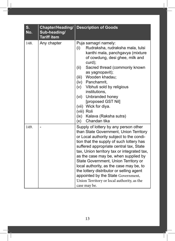| S.<br>No. | Chapter/Heading/<br>Sub-heading/<br><b>Tariff item</b> | <b>Description of Goods</b>                                                                                                                                                                                                                                                                                                                                                                                                                                                                                                                  |
|-----------|--------------------------------------------------------|----------------------------------------------------------------------------------------------------------------------------------------------------------------------------------------------------------------------------------------------------------------------------------------------------------------------------------------------------------------------------------------------------------------------------------------------------------------------------------------------------------------------------------------------|
| 148.      | Any chapter                                            | Puja samagri namely:<br>Rudraksha, rudraksha mala, tulsi<br>(i)<br>kanthi mala, panchgavya (mixture<br>of cowdung, desi ghee, milk and<br>curd);<br>(ii)<br>Sacred thread (commonly known<br>as yagnopavit);<br>Wooden khadau;<br>(iii)<br>(iv) Panchamrit,<br>Vibhuti sold by religious<br>(v)<br>institutions,<br>Unbranded honey<br>(vi)<br>[proposed GST Nil]<br>(vii) Wick for diya.<br>(viii) Roli<br>Kalava (Raksha sutra)<br>(ix)<br>Chandan tika<br>(x)                                                                             |
| 149.      |                                                        | Supply of lottery by any person other<br>than State Government, Union Territory<br>or Local authority subject to the condi-<br>tion that the supply of such lottery has<br>suffered appropriate central tax, State<br>tax, Union territory tax or integrated tax,<br>as the case may be, when supplied by<br>State Government, Union Territory or<br>local authority, as the case may be, to<br>the lottery distributor or selling agent<br>appointed by the State Government,<br>Union Territory or local authority, as the<br>case may be. |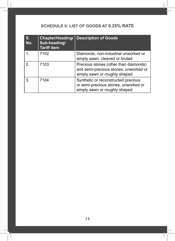# **SCHEDULE II: LIST OF GOODS AT 0.25% RATE**

| S <sub>1</sub><br>No. | Chapter/Heading/<br>Sub-heading/<br><b>Tariff item</b> | <b>Description of Goods</b>                                                                                     |
|-----------------------|--------------------------------------------------------|-----------------------------------------------------------------------------------------------------------------|
|                       | 7102                                                   | Diamonds, non-industrial unworked or<br>simply sawn, cleaved or bruted                                          |
| $\mathcal{P}$         | 7103                                                   | Precious stones (other than diamonds)<br>and semi-precious stones, unworked or<br>simply sawn or roughly shaped |
| 3.                    | 7104                                                   | Synthetic or reconstructed precious<br>or semi-precious stones, unworked or<br>simply sawn or roughly shaped    |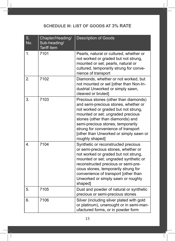# **SCHEDULE III: LIST OF GOODS AT 3% RATE**

| S.<br>No.        | Chapter/Heading/<br>Sub-heading/<br><b>Tariff item</b> | <b>Description of Goods</b>                                                                                                                                                                                                                                                                                                             |
|------------------|--------------------------------------------------------|-----------------------------------------------------------------------------------------------------------------------------------------------------------------------------------------------------------------------------------------------------------------------------------------------------------------------------------------|
| 1.               | 7101                                                   | Pearls, natural or cultured, whether or<br>not worked or graded but not strung,<br>mounted or set; pearls, natural or<br>cultured, temporarily strung for conve-<br>nience of transport                                                                                                                                                 |
| 2.               | 7102                                                   | Diamonds, whether or not worked, but<br>not mounted or set [other than Non-In-<br>dustrial Unworked or simply sawn,<br>cleaved or bruted]                                                                                                                                                                                               |
| 3.               | 7103                                                   | Precious stones (other than diamonds)<br>and semi-precious stones, whether or<br>not worked or graded but not strung,<br>mounted or set; ungraded precious<br>stones (other than diamonds) and<br>semi-precious stones, temporarily<br>strung for convenience of transport<br>[other than Unworked or simply sawn or<br>roughly shaped] |
| $\overline{4}$ . | 7104                                                   | Synthetic or reconstructed precious<br>or semi-precious stones, whether or<br>not worked or graded but not strung,<br>mounted or set; ungraded synthetic or<br>reconstructed precious or semi-pre-<br>cious stones, temporarily strung for<br>convenience of transport [other than<br>Unworked or simply sawn or roughly<br>shaped]     |
| 5.               | 7105                                                   | Dust and powder of natural or synthetic<br>precious or semi-precious stones                                                                                                                                                                                                                                                             |
| 6.               | 7106                                                   | Silver (including silver plated with gold<br>or platinum), unwrought or in semi-man-<br>ufactured forms, or in powder form                                                                                                                                                                                                              |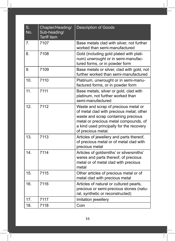| $S_{1}$<br>No. | Chapter/Heading/<br>Sub-heading/<br><b>Tariff item</b> | <b>Description of Goods</b>                                                                                                                                                                                                        |
|----------------|--------------------------------------------------------|------------------------------------------------------------------------------------------------------------------------------------------------------------------------------------------------------------------------------------|
| 7 <sub>1</sub> | 7107                                                   | Base metals clad with silver, not further<br>worked than semi-manufactured                                                                                                                                                         |
| 8.             | 7108                                                   | Gold (including gold plated with plati-<br>num) unwrought or in semi-manufac-<br>tured forms, or in powder form                                                                                                                    |
| 9.             | 7109                                                   | Base metals or silver, clad with gold, not<br>further worked than semi-manufactured                                                                                                                                                |
| 10.            | 7110                                                   | Platinum, unwrought or in semi-manu-<br>factured forms, or in powder form                                                                                                                                                          |
| 11.            | 7111                                                   | Base metals, silver or gold, clad with<br>platinum, not further worked than<br>semi-manufactured                                                                                                                                   |
| 12.            | 7112                                                   | Waste and scrap of precious metal or<br>of metal clad with precious metal; other<br>waste and scrap containing precious<br>metal or precious metal compounds, of<br>a kind used principally for the recovery<br>of precious metal. |
| 13.            | 7113                                                   | Articles of jewellery and parts thereof,<br>of precious metal or of metal clad with<br>precious metal                                                                                                                              |
| 14.            | 7114                                                   | Articles of goldsmiths' or silversmiths'<br>wares and parts thereof, of precious<br>metal or of metal clad with precious<br>metal                                                                                                  |
| 15.            | 7115                                                   | Other articles of precious metal or of<br>metal clad with precious metal                                                                                                                                                           |
| 16.            | 7116                                                   | Articles of natural or cultured pearls,<br>precious or semi-precious stones (natu-<br>ral, synthetic or reconstructed)                                                                                                             |
| 17.            | 7117                                                   | Imitation jewellery                                                                                                                                                                                                                |
| 18.            | 7118                                                   | Coin                                                                                                                                                                                                                               |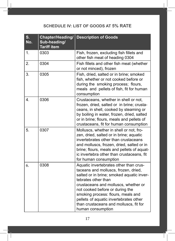# **SCHEDULE IV: LIST OF GOODS AT 5% RATE**

| S.<br>No.        | Chapter/Heading/<br>Sub-heading/<br><b>Tariff item</b> | <b>Description of Goods</b>                                                                                                                                                                                                                                                                                                                                                  |
|------------------|--------------------------------------------------------|------------------------------------------------------------------------------------------------------------------------------------------------------------------------------------------------------------------------------------------------------------------------------------------------------------------------------------------------------------------------------|
| 1.               | 0303                                                   | Fish, frozen, excluding fish fillets and<br>other fish meat of heading 0304                                                                                                                                                                                                                                                                                                  |
| 2.               | 0304                                                   | Fish fillets and other fish meat (whether<br>or not minced), frozen                                                                                                                                                                                                                                                                                                          |
| 3.               | 0305                                                   | Fish, dried, salted or in brine; smoked<br>fish, whether or not cooked before or<br>during the smoking process; flours,<br>meals and pellets of fish, fit for human<br>consumption                                                                                                                                                                                           |
| $\overline{4}$ . | 0306                                                   | Crustaceans, whether in shell or not,<br>frozen, dried, salted or in brine; crusta-<br>ceans, in shell, cooked by steaming or<br>by boiling in water, frozen, dried, salted<br>or in brine; flours, meals and pellets of<br>crustaceans, fit for human consumption                                                                                                           |
| 5.               | 0307                                                   | Molluscs, whether in shell or not, fro-<br>zen, dried, salted or in brine; aquatic<br>invertebrates other than crustaceans<br>and molluscs, frozen, dried, salted or in<br>brine; flours, meals and pellets of aquat-<br>ic invertebra other than crustaceans, fit<br>for human consumption                                                                                  |
| 6.               | 0308                                                   | Aquatic invertebrates other than crus-<br>taceans and molluscs, frozen, dried,<br>salted or in brine; smoked aquatic inver-<br>tebrates other than<br>crustaceans and molluscs, whether or<br>not cooked before or during the<br>smoking process: flours, meals and<br>pellets of aquatic invertebrates other<br>than crustaceans and molluscs, fit for<br>human consumption |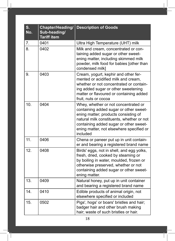| S.<br>No. | Chapter/Heading/<br>Sub-heading/<br><b>Tariff item</b> | <b>Description of Goods</b>                                                                                                                                                                                                                                           |
|-----------|--------------------------------------------------------|-----------------------------------------------------------------------------------------------------------------------------------------------------------------------------------------------------------------------------------------------------------------------|
| 7.        | 0401                                                   | Ultra High Temperature (UHT) milk                                                                                                                                                                                                                                     |
| 8.        | 0402                                                   | Milk and cream, concentrated or con-<br>taining added sugar or other sweet-<br>ening matter, including skimmed milk<br>powder, milk food for babies [other than<br>condensed milk]                                                                                    |
| 9.        | 0403                                                   | Cream, yogurt, kephir and other fer-<br>mented or acidified milk and cream,<br>whether or not concentrated or contain-<br>ing added sugar or other sweetening<br>matter or flavoured or containing added<br>fruit, nuts or cocoa                                      |
| 10.       | 0404                                                   | Whey, whether or not concentrated or<br>containing added sugar or other sweet-<br>ening matter; products consisting of<br>natural milk constituents, whether or not<br>containing added sugar or other sweet-<br>ening matter, not elsewhere specified or<br>included |
| 11.       | 0406                                                   | Chena or paneer put up in unit contain-<br>er and bearing a registered brand name                                                                                                                                                                                     |
| 12.       | 0408                                                   | Birds' eggs, not in shell, and egg yolks,<br>fresh, dried, cooked by steaming or<br>by boiling in water, moulded, frozen or<br>otherwise preserved, whether or not<br>containing added sugar or other sweet-<br>ening matter.                                         |
| 13.       | 0409                                                   | Natural honey, put up in unit container<br>and bearing a registered brand name                                                                                                                                                                                        |
| 14.       | 0410                                                   | Edible products of animal origin, not<br>elsewhere specified or included                                                                                                                                                                                              |
| 15.       | 0502                                                   | Pigs', hogs' or boars' bristles and hair;<br>badger hair and other brush making<br>hair; waste of such bristles or hair.                                                                                                                                              |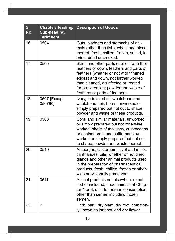| S.<br>No. | Chapter/Heading/<br>Sub-heading/<br><b>Tariff item</b> | <b>Description of Goods</b>                                                                                                                                                                                                                                                             |
|-----------|--------------------------------------------------------|-----------------------------------------------------------------------------------------------------------------------------------------------------------------------------------------------------------------------------------------------------------------------------------------|
| 16.       | 0504                                                   | Guts, bladders and stomachs of ani-<br>mals (other than fish), whole and pieces<br>thereof, fresh, chilled, frozen, salted, in<br>brine, dried or smoked.                                                                                                                               |
| 17.       | 0505                                                   | Skins and other parts of birds, with their<br>feathers or down, feathers and parts of<br>feathers (whether or not with trimmed<br>edges) and down, not further worked<br>than cleaned, disinfected or treated<br>for preservation; powder and waste of<br>feathers or parts of feathers |
| 18.       | 0507 [Except<br>050790]                                | Ivory, tortoise-shell, whalebone and<br>whalebone hair, horns, unworked or<br>simply prepared but not cut to shape;<br>powder and waste of these products.                                                                                                                              |
| 19.       | 0508                                                   | Coral and similar materials, unworked<br>or simply prepared but not otherwise<br>worked; shells of molluscs, crustaceans<br>or echinoderms and cuttle-bone, un-<br>worked or simply prepared but not cut<br>to shape, powder and waste thereof.                                         |
| 20.       | 0510                                                   | Ambergris, castoreum, civet and musk;<br>cantharides; bile, whether or not dried;<br>glands and other animal products used<br>in the preparation of pharmaceutical<br>products, fresh, chilled, frozen or other-<br>wise provisionally preserved.                                       |
| 21.       | 0511                                                   | Animal products not elsewhere speci-<br>fied or included; dead animals of Chap-<br>ter 1 or 3, unfit for human consumption,<br>other than semen including frozen<br>semen.                                                                                                              |
| 22.       | $\overline{7}$                                         | Herb, bark, dry plant, dry root, common-<br>ly known as jaribooti and dry flower                                                                                                                                                                                                        |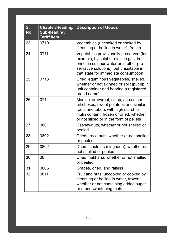| S.<br>No. | Chapter/Heading/<br>Sub-heading/<br><b>Tariff item</b> | <b>Description of Goods</b>                                                                                                                                                                                   |
|-----------|--------------------------------------------------------|---------------------------------------------------------------------------------------------------------------------------------------------------------------------------------------------------------------|
| 23.       | 0710                                                   | Vegetables (uncooked or cooked by<br>steaming or boiling in water), frozen                                                                                                                                    |
| 24.       | 0711                                                   | Vegetables provisionally preserved (for<br>example, by sulphur dioxide gas, in<br>brine, in sulphur water or in other pre-<br>servative solutions), but unsuitable in<br>that state for immediate consumption |
| 25.       | 0713                                                   | Dried leguminous vegetables, shelled,<br>whether or not skinned or split [put up in<br>unit container and bearing a registered<br>brand name]                                                                 |
| 26.       | 0714                                                   | Manioc, arrowroot, salep, Jerusalem<br>artichokes, sweet potatoes and similar<br>roots and tubers with high starch or<br>inulin content, frozen or dried, whether<br>or not sliced or in the form of pellets  |
| 27.       | 0801                                                   | Cashewnuts, whether or not shelled or<br>peeled                                                                                                                                                               |
| 28.       | 0802                                                   | Dried areca nuts, whether or not shelled<br>or peeled                                                                                                                                                         |
| 29.       | 0802                                                   | Dried chestnuts (singhada), whether or<br>not shelled or peeled                                                                                                                                               |
| 30.       | 08                                                     | Dried makhana, whether or not shelled<br>or peeled                                                                                                                                                            |
| 31.       | 0806                                                   | Grapes, dried, and raisins                                                                                                                                                                                    |
| 32.       | 0811                                                   | Fruit and nuts, uncooked or cooked by<br>steaming or boiling in water, frozen,<br>whether or not containing added sugar<br>or other sweetening matter                                                         |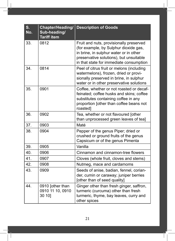| S.<br>No. | Chapter/Heading/<br>Sub-heading/<br><b>Tariff item</b> | <b>Description of Goods</b>                                                                                                                                                                                      |
|-----------|--------------------------------------------------------|------------------------------------------------------------------------------------------------------------------------------------------------------------------------------------------------------------------|
| 33.       | 0812                                                   | Fruit and nuts, provisionally preserved<br>(for example, by Sulphur dioxide gas,<br>in brine, in sulphur water or in other<br>preservative solutions), but unsuitable<br>in that state for immediate consumption |
| 34.       | 0814                                                   | Peel of citrus fruit or melons (including<br>watermelons), frozen, dried or provi-<br>sionally preserved in brine, in sulphur<br>water or in other preservative solutions                                        |
| 35.       | 0901                                                   | Coffee, whether or not roasted or decaf-<br>feinated; coffee husks and skins; coffee<br>substitutes containing coffee in any<br>proportion [other than coffee beans not<br>roasted]                              |
| 36.       | 0902                                                   | Tea, whether or not flavoured [other<br>than unprocessed green leaves of tea]                                                                                                                                    |
| 37.       | 0903                                                   | Maté                                                                                                                                                                                                             |
| 38.       | 0904                                                   | Pepper of the genus Piper; dried or<br>crushed or ground fruits of the genus<br>Capsicum or of the genus Pimenta                                                                                                 |
| 39.       | 0905                                                   | Vanilla                                                                                                                                                                                                          |
| 40.       | 0906                                                   | Cinnamon and cinnamon-tree flowers                                                                                                                                                                               |
| 41.       | 0907                                                   | Cloves (whole fruit, cloves and stems)                                                                                                                                                                           |
| 42.       | 0908                                                   | Nutmeg, mace and cardamoms                                                                                                                                                                                       |
| 43.       | 0909                                                   | Seeds of anise, badian, fennel, corian-<br>der, cumin or caraway; juniper berries<br>[other than of seed quality]                                                                                                |
| 44.       | 0910 [other than<br>0910 11 10, 0910<br>30 10]         | Ginger other than fresh ginger, saffron,<br>turmeric (curcuma) other than fresh<br>turmeric, thyme, bay leaves, curry and<br>other spices                                                                        |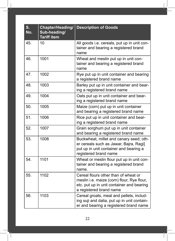| S.<br>No. | Chapter/Heading/<br>Sub-heading/<br><b>Tariff item</b> | <b>Description of Goods</b>                                                                                                                                |
|-----------|--------------------------------------------------------|------------------------------------------------------------------------------------------------------------------------------------------------------------|
| 45.       | 10                                                     | All goods i.e. cereals, put up in unit con-<br>tainer and bearing a registered brand<br>name                                                               |
| 46.       | 1001                                                   | Wheat and meslin put up in unit con-<br>tainer and bearing a registered brand<br>name                                                                      |
| 47.       | 1002                                                   | Rye put up in unit container and bearing<br>a registered brand name                                                                                        |
| 48.       | 1003                                                   | Barley put up in unit container and bear-<br>ing a registered brand name                                                                                   |
| 49.       | 1004                                                   | Oats put up in unit container and bear-<br>ing a registered brand name                                                                                     |
| 50.       | 1005                                                   | Maize (corn) put up in unit container<br>and bearing a registered brand name                                                                               |
| 51.       | 1006                                                   | Rice put up in unit container and bear-<br>ing a registered brand name                                                                                     |
| 52.       | 1007                                                   | Grain sorghum put up in unit container<br>and bearing a registered brand name                                                                              |
| 53.       | 1008                                                   | Buckwheat, millet and canary seed; oth-<br>er cereals such as Jawar, Bajra, Ragi]<br>put up in unit container and bearing a<br>registered brand name       |
| 54.       | 1101                                                   | Wheat or meslin flour put up in unit con-<br>tainer and bearing a registered brand<br>name.                                                                |
| 55.       | 1102                                                   | Cereal flours other than of wheat or<br>meslin i.e. maize (corn) flour, Rye flour,<br>etc. put up in unit container and bearing<br>a registered brand name |
| 56.       | 1103                                                   | Cereal groats, meal and pellets, includ-<br>ing suji and dalia, put up in unit contain-<br>er and bearing a registered brand name                          |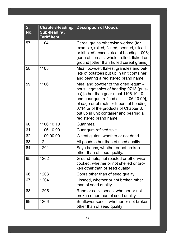| S.<br>No. | Chapter/Heading/<br>Sub-heading/<br><b>Tariff item</b> | <b>Description of Goods</b>                                                                                                                                                                                                                                                                                               |
|-----------|--------------------------------------------------------|---------------------------------------------------------------------------------------------------------------------------------------------------------------------------------------------------------------------------------------------------------------------------------------------------------------------------|
| 57.       | 1104                                                   | Cereal grains otherwise worked (for<br>example, rolled, flaked, pearled, sliced<br>or kibbled), except rice of heading 1006;<br>germ of cereals, whole, rolled, flaked or<br>ground [other than hulled cereal grains]                                                                                                     |
| 58.       | 1105                                                   | Meal, powder, flakes, granules and pel-<br>lets of potatoes put up in unit container<br>and bearing a registered brand name                                                                                                                                                                                               |
| 59.       | 1106                                                   | Meal and powder of the dried legumi-<br>nous vegetables of heading 0713 (puls-<br>es) [other than guar meal 1106 10 10<br>and guar gum refined split 1106 10 90],<br>of sago or of roots or tubers of heading<br>0714 or of the products of Chapter 8,<br>put up in unit container and bearing a<br>registered brand name |
| 60.       | 1106 10 10                                             | Guar meal                                                                                                                                                                                                                                                                                                                 |
| 61.       | 1106 10 90                                             | Guar gum refined split                                                                                                                                                                                                                                                                                                    |
| 62.       | 1109 00 00                                             | Wheat gluten, whether or not dried                                                                                                                                                                                                                                                                                        |
| 63.       | 12                                                     | All goods other than of seed quality                                                                                                                                                                                                                                                                                      |
| 64.       | 1201                                                   | Soya beans, whether or not broken<br>other than of seed quality.                                                                                                                                                                                                                                                          |
| 65.       | 1202                                                   | Ground-nuts, not roasted or otherwise<br>cooked, whether or not shelled or bro-<br>ken other than of seed quality.                                                                                                                                                                                                        |
| 66.       | 1203                                                   | Copra other than of seed quality                                                                                                                                                                                                                                                                                          |
| 67.       | 1204                                                   | Linseed, whether or not broken other<br>than of seed quality.                                                                                                                                                                                                                                                             |
| 68.       | 1205                                                   | Rape or colza seeds, whether or not<br>broken other than of seed quality.                                                                                                                                                                                                                                                 |
| 69.       | 1206                                                   | Sunflower seeds, whether or not broken<br>other than of seed quality                                                                                                                                                                                                                                                      |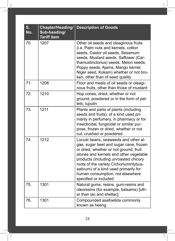| S.<br>No. | Chapter/Heading/<br>Sub-heading/<br><b>Tariff item</b> | <b>Description of Goods</b>                                                                                                                                                                                                                                                                                                                                 |
|-----------|--------------------------------------------------------|-------------------------------------------------------------------------------------------------------------------------------------------------------------------------------------------------------------------------------------------------------------------------------------------------------------------------------------------------------------|
| 70.       | 1207                                                   | Other oil seeds and oleaginous fruits<br>(i.e. Palm nuts and kernels, cotton<br>seeds, Castor oil seeds, Sesamum<br>seeds, Mustard seeds, Saffower (Car-<br>thamustinctorius) seeds, Melon seeds,<br>Poppy seeds, Ajams, Mango kernel,<br>Niger seed, Kokam) whether or not bro-<br>ken, other than of seed quality                                         |
| 71.       | 1208                                                   | Flour and meals of oil seeds or oleagi-<br>nous fruits, other than those of mustard                                                                                                                                                                                                                                                                         |
| 72.       | 1210                                                   | Hop cones, dried, whether or not<br>ground, powdered or in the form of pel-<br>lets; lupulin                                                                                                                                                                                                                                                                |
| 73.       | 1211                                                   | Plants and parts of plants (including<br>seeds and fruits), of a kind used pri-<br>marily in perfumery, in pharmacy or for<br>insecticidal, fungicidal or similar pur-<br>pose, frozen or dried, whether or not<br>cut, crushed or powdered                                                                                                                 |
| 74.       | 1212                                                   | Locust beans, seaweeds and other al-<br>gae, sugar beet and sugar cane, frozen<br>or dried, whether or not ground; fruit<br>stones and kernels and other vegetable<br>products (including unroasted chicory<br>roots of the variety Cichoriumintybus-<br>sativum) of a kind used primarily for<br>human consumption, not elsewhere<br>specified or included |
| 75.       | 1301                                                   | Natural gums, resins, gum-resins and<br>oleoresins (for example, balsams) [oth-<br>er than lac and shellacl                                                                                                                                                                                                                                                 |
| 76.       | 1301                                                   | Compounded asafoetida commonly<br>known as heeng                                                                                                                                                                                                                                                                                                            |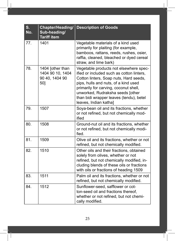| S.<br>No. | Chapter/Heading/<br>Sub-heading/<br><b>Tariff item</b>        | <b>Description of Goods</b>                                                                                                                                                                                                                                                                                            |
|-----------|---------------------------------------------------------------|------------------------------------------------------------------------------------------------------------------------------------------------------------------------------------------------------------------------------------------------------------------------------------------------------------------------|
| 77.       | 1401                                                          | Vegetable materials of a kind used<br>primarily for plaiting (for example,<br>bamboos, rattans, reeds, rushes, osier,<br>raffia, cleaned, bleached or dyed cereal<br>straw, and lime bark)                                                                                                                             |
| 78.       | 1404 [other than<br>1404 90 10, 1404<br>90 40, 1404 90<br>50] | Vegetable products not elsewhere spec-<br>ified or included such as cotton linters,<br>Cotton linters, Soap nuts, Hard seeds,<br>pips, hulls and nuts, of a kind used<br>primarily for carving, coconut shell,<br>unworked, Rudraksha seeds [other<br>than bidi wrapper leaves (tendu), betel<br>leaves, Indian katha] |
| 79.       | 1507                                                          | Soya-bean oil and its fractions, whether<br>or not refined, but not chemically mod-<br>ified                                                                                                                                                                                                                           |
| 80.       | 1508                                                          | Ground-nut oil and its fractions, whether<br>or not refined, but not chemically modi-<br>fied.                                                                                                                                                                                                                         |
| 81.       | 1509                                                          | Olive oil and its fractions, whether or not<br>refined, but not chemically modified.                                                                                                                                                                                                                                   |
| 82.       | 1510                                                          | Other oils and their fractions, obtained<br>solely from olives, whether or not<br>refined, but not chemically modified, in-<br>cluding blends of these oils or fractions<br>with oils or fractions of heading 1509                                                                                                     |
| 83.       | 1511                                                          | Palm oil and its fractions, whether or not<br>refined, but not chemically modified.                                                                                                                                                                                                                                    |
| 84.       | 1512                                                          | Sunflower-seed, safflower or cot-<br>ton-seed oil and fractions thereof,<br>whether or not refined, but not chemi-<br>cally modified.                                                                                                                                                                                  |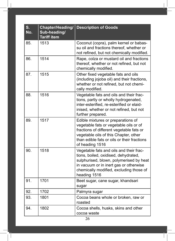| S.<br>No. | Chapter/Heading/<br>Sub-heading/<br><b>Tariff item</b> | <b>Description of Goods</b>                                                                                                                                                                                                         |
|-----------|--------------------------------------------------------|-------------------------------------------------------------------------------------------------------------------------------------------------------------------------------------------------------------------------------------|
| 85.       | 1513                                                   | Coconut (copra), palm kernel or babas-<br>su oil and fractions thereof, whether or<br>not refined, but not chemically modified.                                                                                                     |
| 86.       | 1514                                                   | Rape, colza or mustard oil and fractions<br>thereof, whether or not refined, but not<br>chemically modified.                                                                                                                        |
| 87.       | 1515                                                   | Other fixed vegetable fats and oils<br>(including jojoba oil) and their fractions,<br>whether or not refined, but not chemi-<br>cally modified.                                                                                     |
| 88.       | 1516                                                   | Vegetable fats and oils and their frac-<br>tions, partly or wholly hydrogenated,<br>inter-esterified, re-esterified or elaid-<br>inised, whether or not refined, but not<br>further prepared.                                       |
| 89.       | 1517                                                   | Edible mixtures or preparations of<br>vegetable fats or vegetable oils or of<br>fractions of different vegetable fats or<br>vegetable oils of this Chapter, other<br>than edible fats or oils or their fractions<br>of heading 1516 |
| 90.       | 1518                                                   | Vegetable fats and oils and their frac-<br>tions, boiled, oxidised, dehydrated,<br>sulphurised, blown, polymerised by heat<br>in vacuum or in inert gas or otherwise<br>chemically modified, excluding those of<br>heading 1516     |
| 91.       | 1701                                                   | Beet sugar, cane sugar, khandsari<br>sugar                                                                                                                                                                                          |
| 92.       | 1702                                                   | Palmyra sugar                                                                                                                                                                                                                       |
| 93.       | 1801                                                   | Cocoa beans whole or broken, raw or<br>roasted                                                                                                                                                                                      |
| 94.       | 1802                                                   | Cocoa shells, husks, skins and other<br>cocoa waste                                                                                                                                                                                 |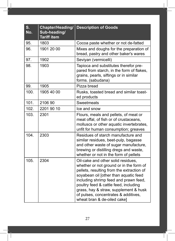| S.<br>No. | Chapter/Heading/<br>Sub-heading/<br><b>Tariff item</b> | <b>Description of Goods</b>                                                                                                                                                                                                                                                                                                                                           |
|-----------|--------------------------------------------------------|-----------------------------------------------------------------------------------------------------------------------------------------------------------------------------------------------------------------------------------------------------------------------------------------------------------------------------------------------------------------------|
| 95.       | 1803                                                   | Cocoa paste whether or not de-fatted                                                                                                                                                                                                                                                                                                                                  |
| 96.       | 1901 20 00                                             | Mixes and doughs for the preparation of<br>bread, pastry and other baker's wares                                                                                                                                                                                                                                                                                      |
| 97.       | 1902                                                   | Seviyan (vermicelli)                                                                                                                                                                                                                                                                                                                                                  |
| 98.       | 1903                                                   | Tapioca and substitutes therefor pre-<br>pared from starch, in the form of flakes,<br>grains, pearls, siftings or in similar<br>forms. (sabudana)                                                                                                                                                                                                                     |
| 99.       | 1905                                                   | Pizza bread                                                                                                                                                                                                                                                                                                                                                           |
| 100.      | 1905 40 00                                             | Rusks, toasted bread and similar toast-<br>ed products                                                                                                                                                                                                                                                                                                                |
| 101.      | 2106 90                                                | Sweetmeats                                                                                                                                                                                                                                                                                                                                                            |
| 102.      | 2201 90 10                                             | Ice and snow                                                                                                                                                                                                                                                                                                                                                          |
| 103.      | 2301                                                   | Flours, meals and pellets, of meat or<br>meat offal, of fish or of crustaceans,<br>molluscs or other aquatic invertebrates,<br>unfit for human consumption; greaves                                                                                                                                                                                                   |
| 104.      | 2303                                                   | Residues of starch manufacture and<br>similar residues, beet-pulp, bagasse<br>and other waste of sugar manufacture,<br>brewing or distilling dregs and waste,<br>whether or not in the form of pellets                                                                                                                                                                |
| 105.      | 2304                                                   | Oil-cake and other solid residues,<br>whether or not ground or in the form of<br>pellets, resulting from the extraction of<br>soyabean oil [other than aquatic feed<br>including shrimp feed and prawn feed,<br>poultry feed & cattle feed, including<br>grass, hay & straw, supplement & husk<br>of pulses, concentrates & additives,<br>wheat bran & de-oiled cake] |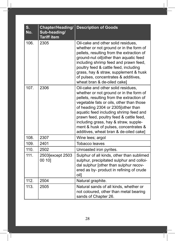| S.<br>No. | Chapter/Heading/<br>Sub-heading/<br><b>Tariff item</b> | <b>Description of Goods</b>                                                                                                                                                                                                                                                                                                                                                                                                   |
|-----------|--------------------------------------------------------|-------------------------------------------------------------------------------------------------------------------------------------------------------------------------------------------------------------------------------------------------------------------------------------------------------------------------------------------------------------------------------------------------------------------------------|
| 106.      | 2305                                                   | Oil-cake and other solid residues,<br>whether or not ground or in the form of<br>pellets, resulting from the extraction of<br>ground-nut oilfother than aquatic feed<br>including shrimp feed and prawn feed,<br>poultry feed & cattle feed, including<br>grass, hay & straw, supplement & husk<br>of pulses, concentrates & additives,<br>wheat bran & de-oiled cake]                                                        |
| 107.      | 2306                                                   | Oil-cake and other solid residues,<br>whether or not ground or in the form of<br>pellets, resulting from the extraction of<br>vegetable fats or oils, other than those<br>of heading 2304 or 2305[other than<br>aquatic feed including shrimp feed and<br>prawn feed, poultry feed & cattle feed,<br>including grass, hay & straw, supple-<br>ment & husk of pulses, concentrates &<br>additives, wheat bran & de-oiled cake] |
| 108.      | 2307                                                   | Wine lees; argol                                                                                                                                                                                                                                                                                                                                                                                                              |
| 109.      | 2401                                                   | <b>Tobacco leaves</b>                                                                                                                                                                                                                                                                                                                                                                                                         |
| 110.      | 2502                                                   | Unroasted iron pyrites.                                                                                                                                                                                                                                                                                                                                                                                                       |
| 111.      | 2503[except 2503<br>00 10]                             | Sulphur of all kinds, other than sublimed<br>sulphur, precipitated sulphur and colloi-<br>dal sulphur [other than sulphur recov-<br>ered as by- product in refining of crude<br>oil]                                                                                                                                                                                                                                          |
| 112.      | 2504                                                   | Natural graphite.                                                                                                                                                                                                                                                                                                                                                                                                             |
| 113.      | 2505                                                   | Natural sands of all kinds, whether or<br>not coloured, other than metal bearing<br>sands of Chapter 26.                                                                                                                                                                                                                                                                                                                      |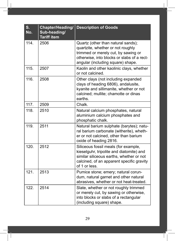| S.<br>No. | Chapter/Heading/<br>Sub-heading/<br><b>Tariff item</b> | <b>Description of Goods</b>                                                                                                                                                                       |
|-----------|--------------------------------------------------------|---------------------------------------------------------------------------------------------------------------------------------------------------------------------------------------------------|
| 114.      | 2506                                                   | Quartz (other than natural sands);<br>quartzite, whether or not roughly<br>trimmed or merely cut, by sawing or<br>otherwise, into blocks or slabs of a rect-<br>angular (including square) shape. |
| 115.      | 2507                                                   | Kaolin and other kaolinic clays, whether<br>or not calcined.                                                                                                                                      |
| 116.      | 2508                                                   | Other clays (not including expanded<br>clays of heading 6806), andalusite,<br>kyanite and sillimanite, whether or not<br>calcined; mullite; chamotte or dinas<br>earths.                          |
| 117.      | 2509                                                   | Chalk.                                                                                                                                                                                            |
| 118.      | 2510                                                   | Natural calcium phosphates, natural<br>aluminium calcium phosphates and<br>phosphatic chalk.                                                                                                      |
| 119.      | 2511                                                   | Natural barium sulphate (barytes); natu-<br>ral barium carbonate (witherite), wheth-<br>er or not calcined, other than barium<br>oxide of heading 2816.                                           |
| 120.      | 2512                                                   | Siliceous fossil meals (for example,<br>kieselguhr, tripolite and diatomite) and<br>similar siliceous earths, whether or not<br>calcined, of an apparent specific gravity<br>of 1 or less.        |
| 121.      | 2513                                                   | Pumice stone; emery; natural corun-<br>dum, natural garnet and other natural<br>abrasives, whether or not heat-treated.                                                                           |
| 122.      | 2514                                                   | Slate, whether or not roughly trimmed<br>or merely cut, by sawing or otherwise,<br>into blocks or slabs of a rectangular<br>(including square) shape.                                             |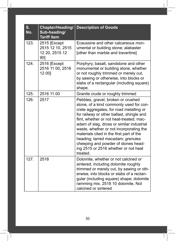| S.<br>$\overline{\text{No}}$ . | Chapter/Heading/<br>Sub-heading/<br><b>Tariff item</b>    | <b>Description of Goods</b>                                                                                                                                                                                                                                                                                                                                                                                                                                                           |
|--------------------------------|-----------------------------------------------------------|---------------------------------------------------------------------------------------------------------------------------------------------------------------------------------------------------------------------------------------------------------------------------------------------------------------------------------------------------------------------------------------------------------------------------------------------------------------------------------------|
| 123.                           | 2515 [Except<br>2515 12 10, 2515<br>12 20, 2515 12<br>901 | Ecaussine and other calcareous mon-<br>umental or building stone; alabaster<br>[other than marble and travertine]                                                                                                                                                                                                                                                                                                                                                                     |
| 124.                           | 2516 [Except<br>2516 11 00, 2516<br>12 00]                | Porphyry, basalt, sandstone and other<br>monumental or building stone, whether<br>or not roughly trimmed or merely cut,<br>by sawing or otherwise, into blocks or<br>slabs of a rectangular (including square)<br>shape.                                                                                                                                                                                                                                                              |
| 125.                           | 2516 11 00                                                | Granite crude or roughly trimmed                                                                                                                                                                                                                                                                                                                                                                                                                                                      |
| 126.                           | 2517                                                      | Pebbles, gravel, broken or crushed<br>stone, of a kind commonly used for con-<br>crete aggregates, for road metalling or<br>for railway or other ballast, shingle and<br>flint, whether or not heat-treated; mac-<br>adam of slag, dross or similar industrial<br>waste, whether or not incorporating the<br>materials cited in the first part of the<br>heading; tarred macadam; grenules<br>cheeping and powder of stones head-<br>ing 2515 or 2516 whether or not heat<br>treated. |
| 127.                           | 2518                                                      | Dolomite, whether or not calcined or<br>sintered, including dolomite roughly<br>trimmed or merely cut, by sawing or oth-<br>erwise, into blocks or slabs of a rectan-<br>gular (including square) shape; dolomite<br>ramming mix. 2518 10 dolomite, Not<br>calcined or sintered                                                                                                                                                                                                       |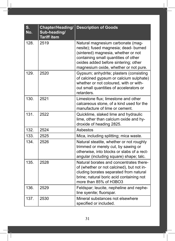| S.<br>No. | Chapter/Heading/<br>Sub-heading/<br><b>Tariff item</b> | <b>Description of Goods</b>                                                                                                                                                                                                                |
|-----------|--------------------------------------------------------|--------------------------------------------------------------------------------------------------------------------------------------------------------------------------------------------------------------------------------------------|
| 128.      | 2519                                                   | Natural magnesium carbonate (mag-<br>nesite); fused magnesia; dead- burned<br>(sintered) magnesia, whether or not<br>containing small quantities of other<br>oxides added before sintering; other<br>magnesium oxide, whether or not pure. |
| 129.      | 2520                                                   | Gypsum; anhydrite; plasters (consisting<br>of calcined gypsum or calcium sulphate)<br>whether or not coloured, with or with-<br>out small quantities of accelerators or<br>retarders.                                                      |
| 130.      | 2521                                                   | Limestone flux; limestone and other<br>calcareous stone, of a kind used for the<br>manufacture of lime or cement.                                                                                                                          |
| 131.      | 2522                                                   | Quicklime, slaked lime and hydraulic<br>lime, other than calcium oxide and hy-<br>droxide of heading 2825.                                                                                                                                 |
| 132.      | 2524                                                   | Asbestos                                                                                                                                                                                                                                   |
| 133.      | 2525                                                   | Mica, including splitting; mica waste.                                                                                                                                                                                                     |
| 134.      | 2526                                                   | Natural steatite, whether or not roughly<br>trimmed or merely cut, by sawing or<br>otherwise, into blocks or slabs of a rect-<br>angular (including square) shape; talc.                                                                   |
| 135.      | 2528                                                   | Natural borates and concentrates there-<br>of (whether or not calcined), but not in-<br>cluding borates separated from natural<br>brine; natural boric acid containing not<br>more than 85% of H3BO3                                       |
| 136.      | 2529                                                   | Feldspar; leucite, nepheline and nephe-<br>line syenite; fluorspar.                                                                                                                                                                        |
| 137.      | 2530                                                   | Mineral substances not elsewhere<br>specified or included.                                                                                                                                                                                 |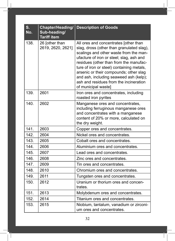| $\overline{\mathbf{s}}$ .<br>No. | Chapter/Heading/<br>Sub-heading/<br><b>Tariff item</b> | <b>Description of Goods</b>                                                                                                                                                                                                                                                                                                                                                                                          |
|----------------------------------|--------------------------------------------------------|----------------------------------------------------------------------------------------------------------------------------------------------------------------------------------------------------------------------------------------------------------------------------------------------------------------------------------------------------------------------------------------------------------------------|
| 138.                             | 26 [other than<br>2619, 2620, 2621]                    | All ores and concentrates [other than<br>slag, dross (other than granulated slag),<br>scalings and other waste from the man-<br>ufacture of iron or steel; slag, ash and<br>residues (other than from the manufac-<br>ture of iron or steel) containing metals,<br>arsenic or their compounds; other slag<br>and ash, including seaweed ash (kelp);<br>ash and residues from the incineration<br>of municipal waste] |
| 139.                             | 2601                                                   | Iron ores and concentrates, including<br>roasted iron pyrites                                                                                                                                                                                                                                                                                                                                                        |
| 140.                             | 2602                                                   | Manganese ores and concentrates,<br>including ferruginous manganese ores<br>and concentrates with a manganese<br>content of 20% or more, calculated on<br>the dry weight.                                                                                                                                                                                                                                            |
| 141.                             | 2603                                                   | Copper ores and concentrates.                                                                                                                                                                                                                                                                                                                                                                                        |
| 142.                             | 2604                                                   | Nickel ores and concentrates.                                                                                                                                                                                                                                                                                                                                                                                        |
| 143.                             | 2605                                                   | Cobalt ores and concentrates.                                                                                                                                                                                                                                                                                                                                                                                        |
| 144.                             | 2606                                                   | Aluminium ores and concentrates.                                                                                                                                                                                                                                                                                                                                                                                     |
| 145.                             | 2607                                                   | Lead ores and concentrates.                                                                                                                                                                                                                                                                                                                                                                                          |
| 146.                             | 2608                                                   | Zinc ores and concentrates.                                                                                                                                                                                                                                                                                                                                                                                          |
| 147.                             | 2609                                                   | Tin ores and concentrates.                                                                                                                                                                                                                                                                                                                                                                                           |
| 148.                             | 2610                                                   | Chromium ores and concentrates.                                                                                                                                                                                                                                                                                                                                                                                      |
| 149.                             | 2611                                                   | Tungsten ores and concentrates.                                                                                                                                                                                                                                                                                                                                                                                      |
| 150.                             | 2612                                                   | Uranium or thorium ores and concen-<br>trates.                                                                                                                                                                                                                                                                                                                                                                       |
| 151.                             | 2613                                                   | Molybdenum ores and concentrates.                                                                                                                                                                                                                                                                                                                                                                                    |
| 152.                             | 2614                                                   | Titanium ores and concentrates.                                                                                                                                                                                                                                                                                                                                                                                      |
| 153.                             | 2615                                                   | Niobium, tantalum, vanadium or zirconi-<br>um ores and concentrates.                                                                                                                                                                                                                                                                                                                                                 |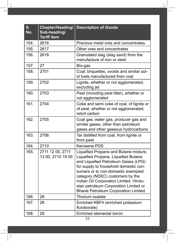| $\overline{\mathbf{s}}$ .<br>No. | Chapter/Heading/<br>Sub-heading/<br><b>Tariff item</b> | <b>Description of Goods</b>                                                                                                                                                                                                                                                                                                                                        |
|----------------------------------|--------------------------------------------------------|--------------------------------------------------------------------------------------------------------------------------------------------------------------------------------------------------------------------------------------------------------------------------------------------------------------------------------------------------------------------|
| 154.                             | 2616                                                   | Precious metal ores and concentrates.                                                                                                                                                                                                                                                                                                                              |
| 155.                             | 2617                                                   | Other ores and concentrates                                                                                                                                                                                                                                                                                                                                        |
| 156.                             | 2618                                                   | Granulated slag (slag sand) from the<br>manufacture of iron or steel                                                                                                                                                                                                                                                                                               |
| 157.                             | 27                                                     | Bio-gas                                                                                                                                                                                                                                                                                                                                                            |
| 158.                             | 2701                                                   | Coal; briquettes, ovoids and similar sol-<br>id fuels manufactured from coal                                                                                                                                                                                                                                                                                       |
| 159.                             | 2702                                                   | Lignite, whether or not agglomerated,<br>excluding jet                                                                                                                                                                                                                                                                                                             |
| 160.                             | 2703                                                   | Peat (including peat litter), whether or<br>not agglomerated                                                                                                                                                                                                                                                                                                       |
| 161.                             | 2704                                                   | Coke and semi coke of coal, of lignite or<br>of peat, whether or not agglomerated;<br>retort carbon                                                                                                                                                                                                                                                                |
| 162.                             | 2705                                                   | Coal gas, water gas, producer gas and<br>similar gases, other than petroleum<br>gases and other gaseous hydrocarbons                                                                                                                                                                                                                                               |
| 163.                             | 2706                                                   | Tar distilled from coal, from lignite or<br>from peat                                                                                                                                                                                                                                                                                                              |
| 164.                             | 2710                                                   | Kerosene PDS                                                                                                                                                                                                                                                                                                                                                       |
| 165.                             | 2711 12 00, 2711<br>13 00, 2710 19 00                  | Liquefied Propane and Butane mixture,<br>Liquefied Propane, Liquefied Butane<br>and Liquefied Petroleum Gases (LPG)<br>for supply to household domestic con-<br>sumers or to non-domestic exempted<br>category (NDEC) customers by the<br>Indian Oil Corporation Limited, Hindu-<br>stan petroleum Corporation Limited or<br>Bharat Petroleum Corporation Limited. |
| 166.                             | 28                                                     | Thorium oxalate                                                                                                                                                                                                                                                                                                                                                    |
| 167.                             | 28                                                     | Enriched KBF4 (enriched potassium<br>fluroborate)                                                                                                                                                                                                                                                                                                                  |
| 168.                             | 28                                                     | Enriched elemental boron                                                                                                                                                                                                                                                                                                                                           |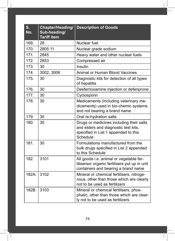| $S_{1}$<br>No. | Chapter/Heading/<br>Sub-heading/<br><b>Tariff item</b> | <b>Description of Goods</b>                                                                                                          |
|----------------|--------------------------------------------------------|--------------------------------------------------------------------------------------------------------------------------------------|
| 169.           | 28                                                     | Nuclear fuel                                                                                                                         |
| 170.           | 2805 11                                                | Nuclear grade sodium                                                                                                                 |
| 171.           | 2845                                                   | Heavy water and other nuclear fuels                                                                                                  |
| 172.           | 2853                                                   | Compressed air                                                                                                                       |
| 173.           | 30                                                     | Insulin                                                                                                                              |
| 174.           | 3002, 3006                                             | <b>Animal or Human Blood Vaccines</b>                                                                                                |
| 175.           | 30                                                     | Diagnostic kits for detection of all types<br>of hepatitis                                                                           |
| 176.           | 30                                                     | Desferrioxamine injection or deferiprone                                                                                             |
| 177.           | 30                                                     | Cyclosporin                                                                                                                          |
| 178.           | 30                                                     | Medicaments (including veterinary me-<br>dicaments) used in bio-chemic systems<br>and not bearing a brand name                       |
| 179.           | 30                                                     | Oral re-hydration salts                                                                                                              |
| 180.           | 30                                                     | Drugs or medicines including their salts<br>and esters and diagnostic test kits,<br>specified in List 1 appended to this<br>Schedule |
| 181.           | 30                                                     | Formulations manufactured from the<br>bulk drugs specified in List 2 appended<br>to this Schedule                                    |
| 182.           | 3101                                                   | All goods i.e. animal or vegetable fer-<br>tilisersor organic fertilisers put up in unit<br>containers and bearing a brand name      |
| 182A.          | 3102                                                   | Mineral or chemical fertilisers, nitroge-<br>nous, other than those which are clearly<br>not to be used as fertilizers               |
| 182B.          | 3103                                                   | Mineral or chemical fertilisers, phos-<br>phatic, other than those which are clear-<br>ly not to be used as fertilizers              |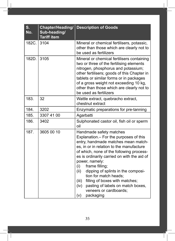| S.<br>No. | Chapter/Heading/<br>Sub-heading/<br><b>Tariff item</b> | <b>Description of Goods</b>                                                                                                                                                                                                                                                                                                                                                                                                                                                                             |
|-----------|--------------------------------------------------------|---------------------------------------------------------------------------------------------------------------------------------------------------------------------------------------------------------------------------------------------------------------------------------------------------------------------------------------------------------------------------------------------------------------------------------------------------------------------------------------------------------|
| 182C.     | 3104                                                   | Mineral or chemical fertilisers, potassic,<br>other than those which are clearly not to<br>be used as fertilizers                                                                                                                                                                                                                                                                                                                                                                                       |
| 182D.     | 3105                                                   | Mineral or chemical fertilisers containing<br>two or three of the fertilising elements<br>nitrogen, phosphorus and potassium;<br>other fertilisers; goods of this Chapter in<br>tablets or similar forms or in packages<br>of a gross weight not exceeding 10 kg,<br>other than those which are clearly not to<br>be used as fertilizers                                                                                                                                                                |
| 183.      | 32                                                     | Wattle extract, quebracho extract,<br>chestnut extract                                                                                                                                                                                                                                                                                                                                                                                                                                                  |
| 184.      | 3202                                                   | Enzymatic preparations for pre-tanning                                                                                                                                                                                                                                                                                                                                                                                                                                                                  |
| 185.      | 3307 41 00                                             | Agarbatti                                                                                                                                                                                                                                                                                                                                                                                                                                                                                               |
| 186.      | 3402                                                   | Sulphonated castor oil, fish oil or sperm<br>oil                                                                                                                                                                                                                                                                                                                                                                                                                                                        |
| 187.      | 3605 00 10                                             | Handmade safety matches<br>Explanation.- For the purposes of this<br>entry, handmade matches mean match-<br>es, in or in relation to the manufacture<br>of which, none of the following process-<br>es is ordinarily carried on with the aid of<br>power, namely:<br>frame filling;<br>(i)<br>(ii)<br>dipping of splints in the composi-<br>tion for match heads;<br>filling of boxes with matches;<br>(iii)<br>pasting of labels on match boxes,<br>(iv)<br>veneers or cardboards;<br>packaging<br>(v) |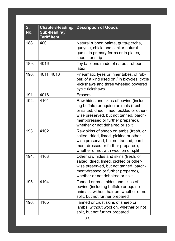| S.<br>No. | Chapter/Heading/<br>Sub-heading/<br><b>Tariff item</b> | <b>Description of Goods</b>                                                                                                                                                                                                                        |
|-----------|--------------------------------------------------------|----------------------------------------------------------------------------------------------------------------------------------------------------------------------------------------------------------------------------------------------------|
| 188.      | 4001                                                   | Natural rubber, balata, gutta-percha,<br>guayule, chicle and similar natural<br>gums, in primary forms or in plates,<br>sheets or strip                                                                                                            |
| 189.      | 4016                                                   | Toy balloons made of natural rubber<br>latex                                                                                                                                                                                                       |
| 190.      | 4011, 4013                                             | Pneumatic tyres or inner tubes, of rub-<br>ber, of a kind used on / in bicycles, cycle<br>-rickshaws and three wheeled powered<br>cycle rickshaws                                                                                                  |
| 191.      | 4016                                                   | <b>Erasers</b>                                                                                                                                                                                                                                     |
| 192.      | 4101                                                   | Raw hides and skins of bovine (includ-<br>ing buffalo) or equine animals (fresh,<br>or salted, dried, limed, pickled or other-<br>wise preserved, but not tanned, parch-<br>ment-dressed or further prepared),<br>whether or not dehaired or split |
| 193.      | 4102                                                   | Raw skins of sheep or lambs (fresh, or<br>salted, dried, limed, pickled or other-<br>wise preserved, but not tanned, parch-<br>ment-dressed or further prepared),<br>whether or not with wool on or split                                          |
| 194.      | 4103                                                   | Other raw hides and skins (fresh, or<br>salted, dried, limed, pickled or other-<br>wise preserved, but not tanned, parch-<br>ment-dressed or further prepared),<br>whether or not dehaired or split                                                |
| 195.      | 4104                                                   | Tanned or crust hides and skins of<br>bovine (including buffalo) or equine<br>animals, without hair on, whether or not<br>split, but not further prepared                                                                                          |
| 196.      | 4105                                                   | Tanned or crust skins of sheep or<br>lambs, without wool on, whether or not<br>split, but not further prepared                                                                                                                                     |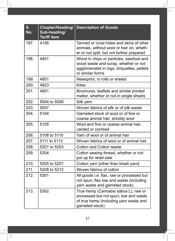| $S_{1}$<br>No. | Chapter/Heading/<br>Sub-heading/<br><b>Tariff item</b> | <b>Description of Goods</b>                                                                                                                      |
|----------------|--------------------------------------------------------|--------------------------------------------------------------------------------------------------------------------------------------------------|
| 197.           | 4106                                                   | Tanned or crust hides and skins of other<br>animals, without wool or hair on, wheth-<br>er or not split, but not further prepared                |
| 198.           | 4401                                                   | Wood in chips or particles; sawdust and<br>wood waste and scrap, whether or not<br>agglomerated in logs, briquettes, pellets<br>or similar forms |
| 199.           | 4801                                                   | Newsprint, in rolls or sheets                                                                                                                    |
| 200.           | 4823                                                   | <b>Kites</b>                                                                                                                                     |
| 201.           | 4901                                                   | Brochures, leaflets and similar printed<br>matter, whether or not in single sheets                                                               |
| 202.           | 5004 to 5006                                           | Silk yarn                                                                                                                                        |
| 203.           | 5007                                                   | Woven fabrics of silk or of silk waste                                                                                                           |
| 204.           | 5104                                                   | Garneted stock of wool or of fine or<br>coarse animal hair, shoddy wool                                                                          |
| 205.           | 5105                                                   | Wool and fine or coarse animal hair,<br>carded or combed                                                                                         |
| 206.           | 5106 to 5110                                           | Yarn of wool or of animal hair                                                                                                                   |
| 207.           | 5111 to 5113                                           | Woven fabrics of wool or of animal hair                                                                                                          |
| 208.           | 5201 to 5203                                           | Cotton and Cotton waste                                                                                                                          |
| 209.           | 5204                                                   | Cotton sewing thread, whether or not<br>put up for retail sale                                                                                   |
| 210.           | 5205 to 5207                                           | Cotton yarn [other than khadi yarn]                                                                                                              |
| 211.           | 5208 to 5212                                           | Woven fabrics of cotton                                                                                                                          |
| 212.           | 5301                                                   | All goods i.e. flax, raw or processed but<br>not spun; flax tow and waste (including<br>yarn waste and garneted stock)                           |
| 213.           | 5302                                                   | True hemp (Cannabis sativa L), raw or<br>processed but not spun; tow and waste<br>of true hemp (including yarn waste and<br>garneted stock)      |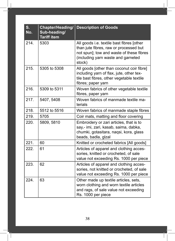| S.<br>$\overline{\text{No}}$ . | Chapter/Heading/<br>Sub-heading/<br><b>Tariff item</b> | <b>Description of Goods</b>                                                                                                                                                     |
|--------------------------------|--------------------------------------------------------|---------------------------------------------------------------------------------------------------------------------------------------------------------------------------------|
| 214.                           | 5303                                                   | All goods i.e. textile bast fibres [other<br>than jute fibres, raw or processed but<br>not spun]; tow and waste of these fibres<br>(including yarn waste and garneted<br>stock) |
| 215.                           | 5305 to 5308                                           | All goods [other than coconut coir fibre]<br>including yarn of flax, jute, other tex-<br>tile bast fibres, other vegetable textile<br>fibres; paper yarn                        |
| 216.                           | 5309 to 5311                                           | Woven fabrics of other vegetable textile<br>fibres, paper yarn                                                                                                                  |
| 217.                           | 5407, 5408                                             | Woven fabrics of manmade textile ma-<br>terials                                                                                                                                 |
| 218.                           | 5512 to 5516                                           | Woven fabrics of manmade staple fibres                                                                                                                                          |
| 219.                           | 5705                                                   | Coir mats, matting and floor covering                                                                                                                                           |
| 220.                           | 5809, 5810                                             | Embroidery or zari articles, that is to<br>say,- imi, zari, kasab, saima, dabka,<br>chumki, gotasitara, naqsi, kora, glass<br>beads, badla, glzal                               |
| 221.                           | 60                                                     | Knitted or crocheted fabrics [All goods]                                                                                                                                        |
| 222.                           | 61                                                     | Articles of apparel and clothing acces-<br>sories, knitted or crocheted, of sale<br>value not exceeding Rs. 1000 per piece                                                      |
| 223.                           | 62                                                     | Articles of apparel and clothing acces-<br>sories, not knitted or crocheted, of sale<br>value not exceeding Rs. 1000 per piece                                                  |
| 224.                           | 63                                                     | Other made up textile articles, sets,<br>worn clothing and worn textile articles<br>and rags, of sale value not exceeding<br>Rs. 1000 per piece                                 |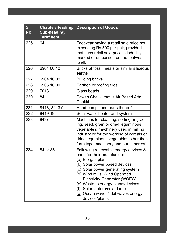| S.<br>No. | Chapter/Heading/<br>Sub-heading/<br><b>Tariff item</b> | <b>Description of Goods</b>                                                                                                                                                                                                                                                                                                                                   |
|-----------|--------------------------------------------------------|---------------------------------------------------------------------------------------------------------------------------------------------------------------------------------------------------------------------------------------------------------------------------------------------------------------------------------------------------------------|
| 225.      | 64                                                     | Footwear having a retail sale price not<br>exceeding Rs.500 per pair, provided<br>that such retail sale price is indelibly<br>marked or embossed on the footwear<br>itself.                                                                                                                                                                                   |
| 226.      | 6901 00 10                                             | Bricks of fossil meals or similar siliceous<br>earths                                                                                                                                                                                                                                                                                                         |
| 227.      | 6904 10 00                                             | <b>Building bricks</b>                                                                                                                                                                                                                                                                                                                                        |
| 228.      | 6905 10 00                                             | Earthen or roofing tiles                                                                                                                                                                                                                                                                                                                                      |
| 229.      | 7018                                                   | Glass beads.                                                                                                                                                                                                                                                                                                                                                  |
| 230.      | 84                                                     | Pawan Chakki that is Air Based Atta<br>Chakki                                                                                                                                                                                                                                                                                                                 |
| 231.      | 8413, 8413 91                                          | Hand pumps and parts thereof                                                                                                                                                                                                                                                                                                                                  |
| 232.      | 8419 19                                                | Solar water heater and system                                                                                                                                                                                                                                                                                                                                 |
| 233.      | 8437                                                   | Machines for cleaning, sorting or grad-<br>ing, seed, grain or dried leguminous<br>vegetables; machinery used in milling<br>industry or for the working of cereals or<br>dried leguminous vegetables other than<br>farm type machinery and parts thereof                                                                                                      |
| 234.      | 84 or 85                                               | Following renewable energy devices &<br>parts for their manufacture<br>(a) Bio-gas plant<br>(b) Solar power based devices<br>(c) Solar power generating system<br>(d) Wind mills, Wind Operated<br>Electricity Generator (WOEG)<br>(e) Waste to energy plants/devices<br>(f) Solar lantern/solar lamp<br>(g) Ocean waves/tidal waves energy<br>devices/plants |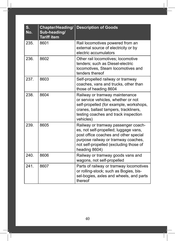| $S_{1}$<br>No. | Chapter/Heading/<br>Sub-heading/<br><b>Tariff item</b> | <b>Description of Goods</b>                                                                                                                                                                                             |
|----------------|--------------------------------------------------------|-------------------------------------------------------------------------------------------------------------------------------------------------------------------------------------------------------------------------|
| 235.           | 8601                                                   | Rail locomotives powered from an<br>external source of electricity or by<br>electric accumulators                                                                                                                       |
| 236.           | 8602                                                   | Other rail locomotives; locomotive<br>tenders; such as Diesel-electric<br>locomotives, Steam locomotives and<br>tenders thereof                                                                                         |
| 237.           | 8603                                                   | Self-propelled railway or tramway<br>coaches, vans and trucks, other than<br>those of heading 8604                                                                                                                      |
| 238.           | 8604                                                   | Railway or tramway maintenance<br>or service vehicles, whether or not<br>self-propelled (for example, workshops,<br>cranes, ballast tampers, trackliners,<br>testing coaches and track inspection<br>vehicles)          |
| 239.           | 8605                                                   | Railway or tramway passenger coach-<br>es, not self-propelled; luggage vans,<br>post office coaches and other special<br>purpose railway or tramway coaches,<br>not self-propelled (excluding those of<br>heading 8604) |
| 240.           | 8606                                                   | Railway or tramway goods vans and<br>wagons, not self-propelled                                                                                                                                                         |
| 241.           | 8607                                                   | Parts of railway or tramway locomotives<br>or rolling-stock; such as Bogies, bis-<br>sel-bogies, axles and wheels, and parts<br>thereof                                                                                 |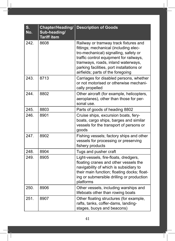| S.<br>No. | Chapter/Heading/<br>Sub-heading/<br><b>Tariff item</b> | <b>Description of Goods</b>                                                                                                                                                                                                                                                                |
|-----------|--------------------------------------------------------|--------------------------------------------------------------------------------------------------------------------------------------------------------------------------------------------------------------------------------------------------------------------------------------------|
| 242.      | 8608                                                   | Railway or tramway track fixtures and<br>fittings; mechanical (including elec-<br>tro-mechanical) signalling, safety or<br>traffic control equipment for railways,<br>tramways, roads, inland waterways,<br>parking facilities, port installations or<br>airfields; parts of the foregoing |
| 243.      | 8713                                                   | Carriages for disabled persons, whether<br>or not motorised or otherwise mechani-<br>cally propelled                                                                                                                                                                                       |
| 244.      | 8802                                                   | Other aircraft (for example, helicopters,<br>aeroplanes), other than those for per-<br>sonal use.                                                                                                                                                                                          |
| 245.      | 8803                                                   | Parts of goods of heading 8802                                                                                                                                                                                                                                                             |
| 246.      | 8901                                                   | Cruise ships, excursion boats, fery-<br>boats, cargo ships, barges and similar<br>vessels for the transport of persons or<br>goods                                                                                                                                                         |
| 247.      | 8902                                                   | Fishing vessels; factory ships and other<br>vessels for processing or preserving<br>fishery products                                                                                                                                                                                       |
| 248.      | 8904                                                   | Tugs and pusher craft                                                                                                                                                                                                                                                                      |
| 249.      | 8905                                                   | Light-vessels, fire-floats, dredgers,<br>floating cranes and other vessels the<br>navigability of which is subsidiary to<br>their main function; floating docks; float-<br>ing or submersible drilling or production<br>platforms                                                          |
| 250.      | 8906                                                   | Other vessels, including warships and<br>lifeboats other than rowing boats                                                                                                                                                                                                                 |
| 251.      | 8907                                                   | Other floating structures (for example,<br>rafts, tanks, coffer-dams, landing-<br>stages, buoys and beacons)                                                                                                                                                                               |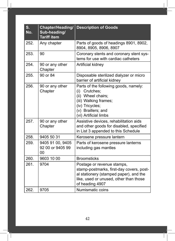| $S_{1}$<br>No. | Chapter/Heading/<br>Sub-heading/<br><b>Tariff item</b> | <b>Description of Goods</b>                                                                                                                                                   |
|----------------|--------------------------------------------------------|-------------------------------------------------------------------------------------------------------------------------------------------------------------------------------|
| 252.           | Any chapter                                            | Parts of goods of headings 8901, 8902,<br>8904, 8905, 8906, 8907                                                                                                              |
| 253.           | 90                                                     | Coronary stents and coronary stent sys-<br>tems for use with cardiac catheters                                                                                                |
| 254.           | 90 or any other<br>Chapter                             | Artificial kidney                                                                                                                                                             |
| 255.           | 90 or 84                                               | Disposable sterilized dialyzer or micro<br>barrier of artificial kidney                                                                                                       |
| 256.           | 90 or any other<br>Chapter                             | Parts of the following goods, namely:<br>(i) Crutches;<br>(ii) Wheel chairs;<br>(iii) Walking frames;<br>(iv) Tricycles;<br>(v) Braillers; and<br>(vi) Artificial limbs       |
| 257.           | 90 or any other<br>Chapter                             | Assistive devices, rehabilitation aids<br>and other goods for disabled, specified<br>in List 3 appended to this Schedule                                                      |
| 258.           | 9405 50 31                                             | Kerosene pressure lantern                                                                                                                                                     |
| 259.           | 9405 91 00, 9405<br>92 00 or 9405 99<br>00             | Parts of kerosene pressure lanterns<br>including gas mantles                                                                                                                  |
| 260.           | 9603 10 00                                             | <b>Broomsticks</b>                                                                                                                                                            |
| 261.           | 9704                                                   | Postage or revenue stamps,<br>stamp-postmarks, first-day covers, post-<br>al stationery (stamped paper), and the<br>like, used or unused, other than those<br>of heading 4907 |
| 262.           | 9705                                                   | Numismatic coins                                                                                                                                                              |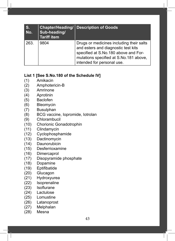| S <sub>1</sub><br>No. | Sub-heading/<br><b>Tariff item</b> | <b>Chapter/Heading/   Description of Goods</b>                                                                                                                                                  |
|-----------------------|------------------------------------|-------------------------------------------------------------------------------------------------------------------------------------------------------------------------------------------------|
| 263.                  | 9804                               | Drugs or medicines including their salts<br>and esters and diagnostic test kits<br>specified at S.No.180 above and For-<br>mulations specified at S.No.181 above,<br>intended for personal use. |

## **List 1 [See S.No.180 of the Schedule IV]**

- (1) Amikacin
- (2) Amphotericin-B
- **Amrinone**
- (4) Aprotinin
- (5) Baclofen
- (6) Bleomycin
- **Busulphan**
- (8) BCG vaccine, Iopromide, Iotrolan
- (9) Chlorambucil
- (10) Chorionic Gonadotrophin
- (11) Clindamycin
- (12) Cyclophosphamide
- (13) Dactinomycin<br>(14) Daunorubicin
- 
- (14) Daunorubicin<br>(15) Desferrioxami Desferrioxamine
- (16) Dimercaprol
- (17) Disopyramide phosphate
- (18) Dopamine<br>(19) Eptifibatide
- **Eptifibatide**
- (20) Glucagon<br>(21) Hydroxyur
- Hydroxyurea
- (22) Isoprenaline
- (23) Isoflurane
- (24) Lactulose
- (25) Lomustine
- (26) Latanoprost
- (27) Melphalan
- (28) Mesna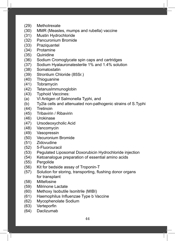- (29) Methotrexate
- (30) MMR (Measles, mumps and rubella) vaccine
- (31) Mustin Hydrochloride
- (32) Pancuronium Bromide
- (33) Praziquantel
- (34) Protamine
- (35) Quinidine
- (36) Sodium Cromoglycate spin caps and cartridges (37) Sodium Hyalauronatesterile 1% and 1.4% soluti
- Sodium Hyalauronatesterile 1% and 1.4% solution
- (38) Somatostatin
- (39) Strontium Chloride (85Sr.)
- (40) Thioguanine
- (41) Tobramycin
- (42) TetanusImmunoglobin
- (43) Typhoid Vaccines:
- (a) VI Antigen of Salmonella Typhi, and
- (b) Ty2la cells and attenuated non-pathogenic strains of S.Typhi
- (44) Tretinoin
- (45) Tribavirin / Ribavirin
- (46) Urokinase
- (47) Ursodeoxycholic Acid
- (48) Vancomycin
- (49) Vasopressin
- (50) Vecuronium Bromide
- (51) Zidovudine
- (52) 5-Fluorouracil
- (53) Pegulated Liposomal Doxorubicin Hydrochloride injection
- (54) Ketoanalogue preparation of essential amino acids
- (55) Pergolide
- (56) Kit for bedside assay of Troponin-T
- (57) Solution for storing, transporting, flushing donor organs for transplant
- (58) Miltefosine
- (59) Milrinone Lactate
- (60) Methoxy Isobutile Isonitrile (MIBI)
- (61) Haemophilus Influenzae Type b Vaccine
- (62) Mycophenolate Sodium
- (63) Verteporfin
- (64) Daclizumab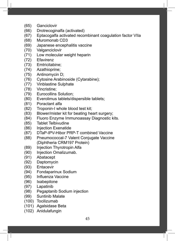- (65) Ganciclovir
- (66) Drotrecoginalfa (activated)
- (67) Eptacogalfa activated recombinant coagulation factor VIIa
- (68) Muromonab CD3
- (69) Japanese encephalitis vaccine
- (70) Valganciclovir
- (71) Low molecular weight heparin
- (72) Efavirenz
- Emtricitabine:
- (74) Azathioprine;
- (75) Antinomycin D;
- (76) Cytosine Arabinoside (Cytarabine);
- **Vinblastine Sulphate**
- (78) Vincristine;
- (79) Eurocollins Solution;
- (80) Everolimus tablets/dispersible tablets;
- (81) Poractant alfa
- (82) Troponin-I whole blood test kit;
- (83) Blower/mister kit for beating heart surgery;
- (84) Fluoro Enzyme Immunoassay Diagnostic kits.
- (85) Tablet Telbivudine
- (86) Injection Exenatide
- (87) DTaP-IPV-Hibor PRP-T combined Vaccine
- (88) Pneumococcal-7 Valent Conjugate Vaccine (Diphtheria CRM197 Protein)
- (89) Injection Thyrotropin Alfa
- (90) Injection Omalizumab.
- (91) Abatacept
- (92) Daptomycin
- (93) Entacevir
- (94) Fondaparinux Sodium
- (95) Influenza Vaccine
- (96) Ixabepilone
- (97) Lapatinib
- (98) Pegaptanib Sodium injection
- (99) Suntinib Malate
- (100) Tocilizumab
- (101) Agalsidase Beta
- (102) Anidulafungin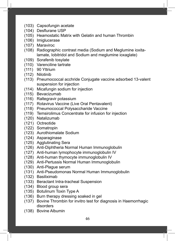- (103) Capsofungin acetate
- (104) Desflurane USP
- (105) Heamostatic Matrix with Gelatin and human Thrombin
- (106) Imiglucerase
- (107) Maraviroc
- (108) Radiographic contrast media (Sodium and Meglumine ioxitalamate, Iobitridol and Sodium and meglumine ioxaglate)
- (109) Sorafenib tosylate
- (110) Varenciline tartrate
- (111) 90 Yttrium
- (112) Nilotinib
- (113) Pneumococcal acchride Conjugate vaccine adsorbed 13-valent suspension for injection
- (114) Micafungin sodium for injection
- (115) Bevacizumab
- (116) Raltegravir potassium
- (117) Rotavirus Vaccine (Live Oral Pentavalent)
- (118) Pneumococcal Polysaccharide Vaccine
- (119) Temsirolimus Concentrate for infusion for injection
- (120) Natalizumab
- (121) Octreotide
- (122) Somatropin
- (123) Aurothiomalate Sodium
- (124) Asparaginase
- (125) Agglutinating Sera
- (126) Anti-Diphtheria Normal Human Immunoglobulin
- (127) Anti-human lymophocyte immunoglobulin IV
- (128) Anti-human thymocyte immunoglobulin IV
- (129) Anti-Pertussis Normal Human Immunoglobulin
- (130) Anti-Plague serum
- (131) Anti-Pseudomonas Normal Human Immunoglobulin
- (132) Basiliximab
- (133) Beractant Intra-tracheal Suspension
- (134) Blood group sera
- (135) Botulinum Toxin Type A
- (136) Burn therapy dressing soaked in gel
- (137) Bovine Thrombin for invitro test for diagnosis in Haemorrhagic disorders
- (138) Bovine Albumin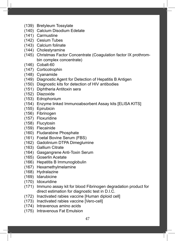- (139) Bretyleum Tossylate
- (140) Calcium Disodium Edetate
- (141) Carmustine
- (142) Cesium Tubes
- (143) Calcium folinate
- (144) Cholestyramine
- (145) Christmas Factor Concentrate (Coagulation factor IX prothrombin complex concentrate)
- (146) Cobalt-60
- (147) Corticotrophin
- (148) Cyanamide
- (149) Diagnostic Agent for Detection of Hepatitis B Antigen
- (150) Diagnostic kits for detection of HIV antibodies
- (151) Diphtheria Antitoxin sera
- (152) Diazoxide
- (153) Edrophonium
- (154) Enzyme linked Immunoabsorbent Assay kits [ELISA KITS]
- (155) Epirubicin
- (156) Fibrinogen
- (157) Floxuridine
- (158) Flucytosin
- (159) Flecainide
- (160) Fludarabine Phosphate
- (161) Foetal Bovine Serum (FBS)
- (162) Gadolinium DTPA Dimeglumine
- (163) Gallium Citrate
- (164) Gasgangrene Anti-Toxin Serum
- (165) Goserlin Acetate
- (166) Hepatitis B Immunoglobulin
- (167) Hexamethylmelamine
- (168) Hydralazine
- (169) Idarubicine
- (170) Idoxuridine
- (171) Immuno assay kit for blood Fibrinogen degradation product for direct estimation for diagnostic test in D.I.C.
- (172) Inactivated rabies vaccine [Human diploid cell]
- (173) Inactivated rabies vaccine [Vero-cell]
- (174) Intravenous amino acids
- (175) Intravenous Fat Emulsion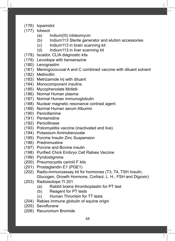- (176) Iopamidol
- (177) Iohexol
	- (a) Indium(III) inbleomycin
	- (b) Indium113 Sterile generator and elution accessories
	- (c) Indium113 in brain scanning kit
	- (d) Indium113 in liver scanning kit
- (178) Iscador, CLIA diagnostic kits
- (179) Levodopa with benserazine
- (180) Lenograstim
- (181) Meningococcoal A and C combined vaccine with diluant solvent
- (182) Methicillin
- (183) Metrizamide Inj with diluant
- (184) Monocomponent insulins
- (185) Mycophenolate Mofetil
- (186) Normal Human plasma
- (187) Normal Human immunoglobulin
- (188) Nuclear magnetic resonance contrast agent
- (189) Normal Human serum Albumin
- (190) Penicillamine
- (191) Pentamidine
- (192) Penicillinase
- (193) Poliomyelitis vaccine (inactivated and live)
- (194) Potassium Aminobenzoate
- (195) Porcine Insulin Zinc Suspension
- (196) Prednimustine
- (197) Porcine and Bovine insulin
- (198) Purified Chick Embryo Cell Rabies Vaccine
- (199) Pyridostigmine
- (200) Pneumocystis cariniiI F kits
- (201) Prostaglandin E1 (PGE1)
- (202) Radio-immunoassay kit for hormones (T3, T4, TSH Insulin, Glucogen, Growth Hormone, Cortisol, L. H., FSH and Digoxin)
- (203) Radioisotope TI 201
	- (a) Rabbit brains thromboplastin for PT test
	- (b) Reagent for PT tests
	- (c) Human Thrombin for TT tests
- (204) Rabies immune globulin of equine origin
- (205) Sevoflurane
- (206) Recuronium Bromide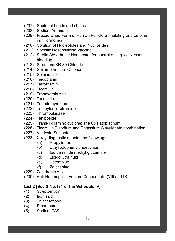- (207) Septopal beads and chains
- (208) Sodium Arsenate
- (209) Freeze Dried Form of Human Follicle Stimulating and Luteinising Hormones
- (210) Solution of Nucleotides and Nucliosides
- (211) Specific Desensitizing Vaccine
- (212) Sterile Absorbable Haemostat for control of surgical vessel bleeding
- (213) Strontium SR-89 Chloride
- (214) Suxamethonium Chloride
- (215) Selenium-75
- (216) Teicoplanin
- (217) Tetrofosmin
- (218) Ticarcillin
- (219) Tranexamic Acid
- (220) Tocainide
- (221) Tri-iodothyronine
- (222) Triethylene Tetramine
- (223) Thrombokinase
- (224) Teniposide
- (225) Trans-1-diamino cyclohexane Oxalatoplatinum
- (226) Ticarcillin Disodium and Potassium Clavulanate combination
- (227) Vindesin Sulphate
- (228) X-ray diagnostic agents, the following:-
	- (a) Propylidone
	- (b) Ethyliodophenylundecylate
	- (c) Iodipammide methyl glucamine
	- (d) Lipidollutra fluid
	- (e) Patentblue
	- (f) Zalcitabine
- (229) Zoledronic Acid
- (230) Anti-Haemophilic Factors Concentrate (VIII and IX)

## **List 2 [See S.No.181 of the Schedule IV]**

- (1) Streptomycin
- Isoniazid
- (3) Thiacetazone
- (4) Ethambutol
- (5) Sodium PAS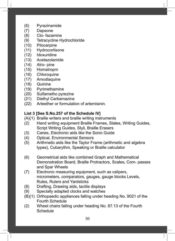- (6) Pyrazinamide
- (7) Dapsone
- (8) Clo- fazamine
- (9) Tetracycline Hydrochloride
- (10) Pilocarpine<br>(11) Hydrocortise
- **Hydrocortisone**
- (12) Idoxuridine
- (13) Acetazolamide
- (14) Atro- pine
- (15) Homatroprn
- **Chloroquine**
- (17) Amodiaquine
- **Quinine**
- (19) Pyrimethamine
- (20) Sulfametho pyrezine
- (21) Diethyl Carbamazine
- (22) Arteether or formulation of artemisinin.

## **List 3 [See S.No.257 of the Schedule IV]**

- (A)(1) Braille writers and braille writing instruments
- (2) Hand writing equipment Braille Frames, Slates, Writing Guides, Script Writing Guides, Styli, Braille Erasers
- (3) Canes, Electronic aids like the Sonic Guide
- (4) Optical, Environmental Sensors
- (5) Arithmetic aids like the Taylor Frame (arithmetic and algebra types), Cubarythm, Speaking or Braille calculator
- (6) Geometrical aids like combined Graph and Mathematical Demonstration Board, Braille Protractors, Scales, Com- passes and Spar Wheels
- (7) Electronic measuring equipment, such as calipers, micrometers, comparators, gauges, gauge blocks Levels, Rules, Rulers and Yardsticks
- (8) Drafting, Drawing aids, tactile displays
- (9) Specially adapted clocks and watches
- (B)(1) Orthopaedic appliances falling under heading No. 9021 of the Fourth Schedule
- (2) Wheel chairs falling under heading No. 87.13 of the Fourth Schedule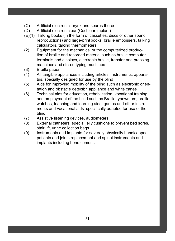- (C) Artificial electronic larynx and spares thereof
- (D) Artificial electronic ear (Cochlear implant)
- (E)(1) Talking books (in the form of cassettes, discs or other sound reproductions) and large-print books, braille embossers, talking calculators, talking thermometers
- (2) Equipment for the mechanical or the computerized production of braille and recorded material such as braille computer terminals and displays, electronic braille, transfer and pressing machines and stereo typing machines
- (3) Braille paper
- (4) All tangible appliances including articles, instruments, apparatus, specially designed for use by the blind
- (5) Aids for improving mobility of the blind such as electronic orientation and obstacle detectbn appliance and white canes
- (6) Technical aids for education, rehabilitation, vocational training and employment of the blind such as Braille typewriters, braille watches, teaching and learning aids, games and other instruments and vocational aids specifically adapted for use of the blind
- (7) Assistive listening devices, audiometers
- (8) External catheters, special jelly cushions to prevent bed sores, stair lift, urine collection bags
- (9) Instruments and implants for severely physically handicapped patients and joints replacement and spinal instruments and implants including bone cement.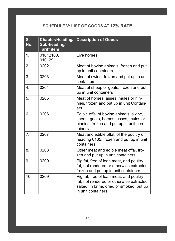## **SCHEDULE V: LIST OF GOODS AT 12% RATE**

| S.<br>No.        | Chapter/Heading/<br>Sub-heading/<br><b>Tariff item</b> | <b>Description of Goods</b>                                                                                                                             |
|------------------|--------------------------------------------------------|---------------------------------------------------------------------------------------------------------------------------------------------------------|
| 1.               | 01012100,<br>010129                                    | Live horses                                                                                                                                             |
| 2.               | 0202                                                   | Meat of bovine animals, frozen and put<br>up in unit containers                                                                                         |
| 3.               | 0203                                                   | Meat of swine, frozen and put up in unit<br>containers                                                                                                  |
| $\overline{4}$ . | 0204                                                   | Meat of sheep or goats, frozen and put<br>up in unit containers                                                                                         |
| 5.               | 0205                                                   | Meat of horses, asses, mules or hin-<br>nies, frozen and put up in unit Contain-<br>ers                                                                 |
| 6.               | 0206                                                   | Edible offal of bovine animals, swine,<br>sheep, goats, horses, asses, mules or<br>hinnies, frozen and put up in unit con-<br>tainers                   |
| $\overline{7}$ . | 0207                                                   | Meat and edible offal, of the poultry of<br>heading 0105, frozen and put up in unit<br>containers                                                       |
| 8.               | 0208                                                   | Other meat and edible meat offal, fro-<br>zen and put up in unit containers                                                                             |
| 9.               | 0209                                                   | Pig fat, free of lean meat, and poultry<br>fat, not rendered or otherwise extracted,<br>frozen and put up in unit containers                            |
| 10.              | 0209                                                   | Pig fat, free of lean meat, and poultry<br>fat, not rendered or otherwise extracted,<br>salted, in brine, dried or smoked, put up<br>in unit containers |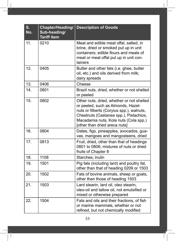| S.<br>No. | Chapter/Heading/<br>Sub-heading/<br><b>Tariff item</b> | <b>Description of Goods</b>                                                                                                                                                                                                                      |
|-----------|--------------------------------------------------------|--------------------------------------------------------------------------------------------------------------------------------------------------------------------------------------------------------------------------------------------------|
| 11.       | 0210                                                   | Meat and edible meat offal, salted, in<br>brine, dried or smoked put up in unit<br>containers; edible flours and meals of<br>meat or meat offal put up in unit con-<br>tainers                                                                   |
| 12.       | 0405                                                   | Butter and other fats (i.e. ghee, butter<br>oil, etc.) and oils derived from milk;<br>dairy spreads                                                                                                                                              |
| 13.       | 0406                                                   | Cheese                                                                                                                                                                                                                                           |
| 14.       | 0801                                                   | Brazil nuts, dried, whether or not shelled<br>or peeled                                                                                                                                                                                          |
| 15.       | 0802                                                   | Other nuts, dried, whether or not shelled<br>or peeled, such as Almonds, Hazel-<br>nuts or filberts (Coryius spp.), walnuts,<br>Chestnuts (Castanea spp.), Pistachios,<br>Macadamia nuts, Kola nuts (Cola spp.)<br>[other than dried areca nuts] |
| 16.       | 0804                                                   | Dates, figs, pineapples, avocados, gua-<br>vas, mangoes and mangosteens, dried                                                                                                                                                                   |
| 17.       | 0813                                                   | Fruit, dried, other than that of headings<br>0801 to 0806; mixtures of nuts or dried<br>fruits of Chapter 8                                                                                                                                      |
| 18.       | 1108                                                   | Starches; inulin                                                                                                                                                                                                                                 |
| 19.       | 1501                                                   | Pig fats (including lard) and poultry fat,<br>other than that of heading 0209 or 1503                                                                                                                                                            |
| 20.       | 1502                                                   | Fats of bovine animals, sheep or goats,<br>other than those of heading 1503                                                                                                                                                                      |
| 21.       | 1503                                                   | Lard stearin, lard oil, oleo stearin,<br>oleo-oil and tallow oil, not emulsified or<br>mixed or otherwise prepared                                                                                                                               |
| 22.       | 1504                                                   | Fats and oils and their fractions, of fish<br>or marine mammals, whether or not<br>refined, but not chemically modified                                                                                                                          |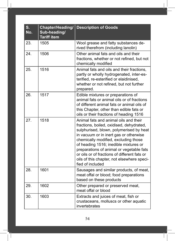| S.<br>No. | Chapter/Heading/<br>Sub-heading/<br><b>Tariff item</b> | <b>Description of Goods</b>                                                                                                                                                                                                                                                                                                                                                                                           |
|-----------|--------------------------------------------------------|-----------------------------------------------------------------------------------------------------------------------------------------------------------------------------------------------------------------------------------------------------------------------------------------------------------------------------------------------------------------------------------------------------------------------|
| 23.       | 1505                                                   | Wool grease and fatty substances de-<br>rived therefrom (including lanolin)                                                                                                                                                                                                                                                                                                                                           |
| 24.       | 1506                                                   | Other animal fats and oils and their<br>fractions, whether or not refined, but not<br>chemically modified                                                                                                                                                                                                                                                                                                             |
| 25.       | 1516                                                   | Animal fats and oils and their fractions,<br>partly or wholly hydrogenated, inter-es-<br>terified, re-esterified or elaidinised,<br>whether or not refined, but not further<br>prepared.                                                                                                                                                                                                                              |
| 26.       | 1517                                                   | Edible mixtures or preparations of<br>animal fats or animal oils or of fractions<br>of different animal fats or animal oils of<br>this Chapter, other than edible fats or<br>oils or their fractions of heading 1516                                                                                                                                                                                                  |
| 27.       | 1518                                                   | Animal fats and animal oils and their<br>fractions, boiled, oxidised, dehydrated,<br>sulphurised, blown, polymerised by heat<br>in vacuum or in inert gas or otherwise<br>chemically modified, excluding those<br>of heading 1516; inedible mixtures or<br>preparations of animal or vegetable fats<br>or oils or of fractions of different fats or<br>oils of this chapter, not elsewhere speci-<br>fied of included |
| 28.       | 1601                                                   | Sausages and similar products, of meat,<br>meat offal or blood; food preparations<br>based on these products                                                                                                                                                                                                                                                                                                          |
| 29.       | 1602                                                   | Other prepared or preserved meat,<br>meat offal or blood                                                                                                                                                                                                                                                                                                                                                              |
| 30.       | 1603                                                   | Extracts and juices of meat, fish or<br>crustaceans, molluscs or other aquatic<br>invertebrates                                                                                                                                                                                                                                                                                                                       |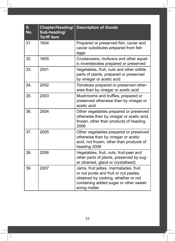| S.<br>No. | Chapter/Heading/<br>Sub-heading/<br><b>Tariff item</b> | <b>Description of Goods</b>                                                                                                                                                      |
|-----------|--------------------------------------------------------|----------------------------------------------------------------------------------------------------------------------------------------------------------------------------------|
| 31.       | 1604                                                   | Prepared or preserved fish; caviar and<br>caviar substitutes prepared from fish<br>eggs                                                                                          |
| 32.       | 1605                                                   | Crustaceans, molluscs and other aquat-<br>ic invertebrates prepared or preserved                                                                                                 |
| 33.       | 2001                                                   | Vegetables, fruit, nuts and other edible<br>parts of plants, prepared or preserved<br>by vinegar or acetic acid                                                                  |
| 34.       | 2002                                                   | Tomatoes prepared or preserved other-<br>wise than by vinegar or acetic acid                                                                                                     |
| 35.       | 2003                                                   | Mushrooms and truffles, prepared or<br>preserved otherwise than by vinegar or<br>acetic acid                                                                                     |
| 36.       | 2004                                                   | Other vegetables prepared or preserved<br>otherwise than by vinegar or acetic acid,<br>frozen, other than products of heading<br>2006                                            |
| 37.       | 2005                                                   | Other vegetables prepared or preserved<br>otherwise than by vinegar or acetic<br>acid, not frozen, other than products of<br>heading 2006                                        |
| 38.       | 2006                                                   | Vegetables, fruit, nuts, fruit-peel and<br>other parts of plants, preserved by sug-<br>ar (drained, glacé or crystallised)                                                       |
| 39.       | 2007                                                   | Jams, fruit jellies, marmalades, fruit<br>or nut purée and fruit or nut pastes,<br>obtained by cooking, whether or not<br>containing added sugar or other sweet-<br>ening matter |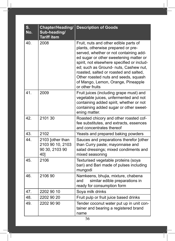| S.<br>No. | Chapter/Heading/<br>Sub-heading/<br><b>Tariff item</b>        | <b>Description of Goods</b>                                                                                                                                                                                                                                                                                                                                                                       |
|-----------|---------------------------------------------------------------|---------------------------------------------------------------------------------------------------------------------------------------------------------------------------------------------------------------------------------------------------------------------------------------------------------------------------------------------------------------------------------------------------|
| 40.       | 2008                                                          | Fruit, nuts and other edible parts of<br>plants, otherwise prepared or pre-<br>served, whether or not containing add-<br>ed sugar or other sweetening matter or<br>spirit, not elsewhere specified or includ-<br>ed; such as Ground- nuts, Cashew nut,<br>roasted, salted or roasted and salted,<br>Other roasted nuts and seeds, squash<br>of Mango, Lemon, Orange, Pineapple<br>or other fruits |
| 41.       | 2009                                                          | Fruit juices (including grape must) and<br>vegetable juices, unfermented and not<br>containing added spirit, whether or not<br>containing added sugar or other sweet-<br>ening matter.                                                                                                                                                                                                            |
| 42.       | 2101 30                                                       | Roasted chicory and other roasted cof-<br>fee substitutes, and extracts, essences<br>and concentrates thereof                                                                                                                                                                                                                                                                                     |
| 43.       | 2102                                                          | Yeasts and prepared baking powders                                                                                                                                                                                                                                                                                                                                                                |
| 44.       | 2103 [other than<br>2103 90 10, 2103<br>90 30, 2103 90<br>40] | Sauces and preparations therefor [other<br>than Curry paste; mayonnaise and<br>salad dressings; mixed condiments and<br>mixed seasoning                                                                                                                                                                                                                                                           |
| 45.       | 2106                                                          | Texturised vegetable proteins (soya<br>bari) and Bari made of pulses including<br>mungodi                                                                                                                                                                                                                                                                                                         |
| 46.       | 2106 90                                                       | Namkeens, bhujia, mixture, chabena<br>similar edible preparations in<br>and<br>ready for consumption form                                                                                                                                                                                                                                                                                         |
| 47.       | 2202 90 10                                                    | Soya milk drinks                                                                                                                                                                                                                                                                                                                                                                                  |
| 48.       | 2202 90 20                                                    | Fruit pulp or fruit juice based drinks                                                                                                                                                                                                                                                                                                                                                            |
| 49.       | 2202 90 90                                                    | Tender coconut water put up in unit con-<br>tainer and bearing a registered brand<br>name                                                                                                                                                                                                                                                                                                         |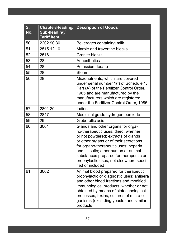| S.<br>No. | Chapter/Heading/<br>Sub-heading/<br><b>Tariff item</b> | <b>Description of Goods</b>                                                                                                                                                                                                                                                                                                                        |
|-----------|--------------------------------------------------------|----------------------------------------------------------------------------------------------------------------------------------------------------------------------------------------------------------------------------------------------------------------------------------------------------------------------------------------------------|
| 50.       | 2202 90 30                                             | Beverages containing milk                                                                                                                                                                                                                                                                                                                          |
| 51.       | 2515 12 10                                             | Marble and travertine blocks                                                                                                                                                                                                                                                                                                                       |
| 52.       | 2516                                                   | <b>Granite blocks</b>                                                                                                                                                                                                                                                                                                                              |
| 53.       | 28                                                     | Anaesthetics                                                                                                                                                                                                                                                                                                                                       |
| 54.       | 28                                                     | Potassium Iodate                                                                                                                                                                                                                                                                                                                                   |
| 55.       | 28                                                     | Steam                                                                                                                                                                                                                                                                                                                                              |
| 56.       | 28                                                     | Micronutrients, which are covered<br>under serial number 1(f) of Schedule 1,<br>Part (A) of the Fertilizer Control Order,<br>1985 and are manufactured by the<br>manufacturers which are registered<br>under the Fertilizer Control Order, 1985                                                                                                    |
| 57.       | 2801 20                                                | Iodine                                                                                                                                                                                                                                                                                                                                             |
| 58.       | 2847                                                   | Medicinal grade hydrogen peroxide                                                                                                                                                                                                                                                                                                                  |
| 59.       | 29                                                     | Gibberellic acid                                                                                                                                                                                                                                                                                                                                   |
| 60.       | 3001                                                   | Glands and other organs for orga-<br>no-therapeutic uses, dried, whether<br>or not powdered; extracts of glands<br>or other organs or of their secretions<br>for organo-therapeutic uses; heparin<br>and its salts; other human or animal<br>substances prepared for therapeutic or<br>prophylactic uses, not elsewhere speci-<br>fied or included |
| 61.       | 3002                                                   | Animal blood prepared for therapeutic,<br>prophylactic or diagnostic uses; antisera<br>and other blood fractions and modified<br>immunological products, whether or not<br>obtained by means of biotechnological<br>processes; toxins, cultures of micro-or-<br>ganisms (excluding yeasts) and similar<br>products                                 |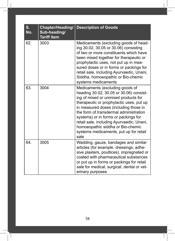| S.<br>No. | Chapter/Heading/<br>Sub-heading/<br><b>Tariff item</b> | <b>Description of Goods</b>                                                                                                                                                                                                                                                                                                                                                                                                   |
|-----------|--------------------------------------------------------|-------------------------------------------------------------------------------------------------------------------------------------------------------------------------------------------------------------------------------------------------------------------------------------------------------------------------------------------------------------------------------------------------------------------------------|
| 62.       | 3003                                                   | Medicaments (excluding goods of head-<br>ing 30.02, 30.05 or 30.06) consisting<br>of two or more constituents which have<br>been mixed together for therapeutic or<br>prophylactic uses, not put up in mea-<br>sured doses or in forms or packings for<br>retail sale, including Ayurvaedic, Unani,<br>Siddha, homoeopathic or Bio-chemic<br>systems medicaments                                                              |
| 63.       | 3004                                                   | Medicaments (excluding goods of<br>heading 30.02, 30.05 or 30.06) consist-<br>ing of mixed or unmixed products for<br>therapeutic or prophylactic uses, put up<br>in measured doses (including those in<br>the form of transdermal administration<br>systems) or in forms or packings for<br>retail sale, including Ayurvaedic, Unani,<br>homoeopathic siddha or Bio-chemic<br>systems medicaments, put up for retail<br>sale |
| 64.       | 3005                                                   | Wadding, gauze, bandages and similar<br>articles (for example, dressings, adhe-<br>sive plasters, poultices), impregnated or<br>coated with pharmaceutical substances<br>or put up in forms or packings for retail<br>sale for medical, surgical, dental or vet-<br>erinary purposes                                                                                                                                          |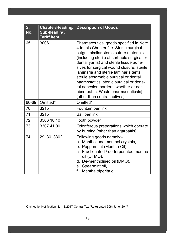| S.<br>No. | Chapter/Heading/<br>Sub-heading/<br><b>Tariff item</b> | <b>Description of Goods</b>                                                                                                                                                                                                                                                                                                                                                                                                                                                                                    |
|-----------|--------------------------------------------------------|----------------------------------------------------------------------------------------------------------------------------------------------------------------------------------------------------------------------------------------------------------------------------------------------------------------------------------------------------------------------------------------------------------------------------------------------------------------------------------------------------------------|
| 65.       | 3006                                                   | Pharmaceutical goods specified in Note<br>4 to this Chapter [i.e. Sterile surgical<br>catgut, similar sterile suture materials<br>(including sterile absorbable surgical or<br>dental yarns) and sterile tissue adhe-<br>sives for surgical wound closure; sterile<br>laminaria and sterile laminaria tents;<br>sterile absorbable surgical or dental<br>haemostatics; sterile surgical or dena-<br>tal adhesion barriers, whether or not<br>absorbable; Waste pharmaceuticals]<br>[other than contraceptives] |
| 66-69     | Omitted*                                               | Omitted*                                                                                                                                                                                                                                                                                                                                                                                                                                                                                                       |
| 70.       | 3215                                                   | Fountain pen ink                                                                                                                                                                                                                                                                                                                                                                                                                                                                                               |
| 71.       | 3215                                                   | Ball pen ink                                                                                                                                                                                                                                                                                                                                                                                                                                                                                                   |
| 72.       | 3306 10 10                                             | Tooth powder                                                                                                                                                                                                                                                                                                                                                                                                                                                                                                   |
| 73.       | 3307 41 00                                             | Odoriferous preparations which operate<br>by burning [other than agarbattis]                                                                                                                                                                                                                                                                                                                                                                                                                                   |
| 74.       | 29, 30, 3302                                           | Following goods namely:-<br>a. Menthol and menthol crystals,<br>b. Peppermint (Mentha Oil),<br>c. Fractionated / de-terpenated mentha<br>oil (DTMO),<br>d. De-mentholised oil (DMO),<br>e. Spearmint oil,<br>f.<br>Mentha piperita oil                                                                                                                                                                                                                                                                         |

<sup>\*</sup> Omitted by Notification No. 18/2017-Central Tax (Rate) dated 30th June, 2017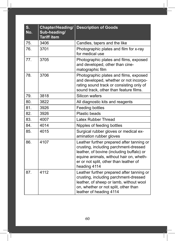| S.<br>No. | Chapter/Heading/<br>Sub-heading/<br><b>Tariff item</b> | <b>Description of Goods</b>                                                                                                                                                                                                          |
|-----------|--------------------------------------------------------|--------------------------------------------------------------------------------------------------------------------------------------------------------------------------------------------------------------------------------------|
| 75.       | 3406                                                   | Candles, tapers and the like                                                                                                                                                                                                         |
| 76.       | 3701                                                   | Photographic plates and film for x-ray<br>for medical use                                                                                                                                                                            |
| 77.       | 3705                                                   | Photographic plates and films, exposed<br>and developed, other than cine-<br>matographic film                                                                                                                                        |
| 78.       | 3706                                                   | Photographic plates and films, exposed<br>and developed, whether or not incorpo-<br>rating sound track or consisting only of<br>sound track, other than feature films.                                                               |
| 79.       | 3818                                                   | Silicon wafers                                                                                                                                                                                                                       |
| 80.       | 3822                                                   | All diagnostic kits and reagents                                                                                                                                                                                                     |
| 81.       | 3926                                                   | <b>Feeding bottles</b>                                                                                                                                                                                                               |
| 82.       | 3926                                                   | Plastic beads                                                                                                                                                                                                                        |
| 83.       | 4007                                                   | <b>Latex Rubber Thread</b>                                                                                                                                                                                                           |
| 84.       | 4014                                                   | Nipples of feeding bottles                                                                                                                                                                                                           |
| 85.       | 4015                                                   | Surgical rubber gloves or medical ex-<br>amination rubber gloves                                                                                                                                                                     |
| 86.       | 4107                                                   | Leather further prepared after tanning or<br>crusting, including parchment-dressed<br>leather, of bovine (including buffalo) or<br>equine animals, without hair on, wheth-<br>er or not split, other than leather of<br>heading 4114 |
| 87.       | 4112                                                   | Leather further prepared after tanning or<br>crusting, including parchment-dressed<br>leather, of sheep or lamb, without wool<br>on, whether or not split, other than<br>leather of heading 4114                                     |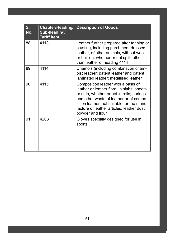| S.<br>No. | Chapter/Heading/<br>Sub-heading/<br><b>Tariff item</b> | <b>Description of Goods</b>                                                                                                                                                                                                                                                                |
|-----------|--------------------------------------------------------|--------------------------------------------------------------------------------------------------------------------------------------------------------------------------------------------------------------------------------------------------------------------------------------------|
| 88.       | 4113                                                   | Leather further prepared after tanning or<br>crusting, including parchment-dressed<br>leather, of other animals, without wool<br>or hair on, whether or not split, other<br>than leather of heading 4114                                                                                   |
| 89.       | 4114                                                   | Chamois (including combination cham-<br>ois) leather; patent leather and patent<br>laminated leather; metallised leather                                                                                                                                                                   |
| 90.       | 4115                                                   | Composition leather with a basis of<br>leather or leather fibre, in slabs, sheets<br>or strip, whether or not in rolls; parings<br>and other waste of leather or of compo-<br>sition leather, not suitable for the manu-<br>facture of leather articles; leather dust,<br>powder and flour |
| 91.       | 4203                                                   | Gloves specially designed for use in<br>sports                                                                                                                                                                                                                                             |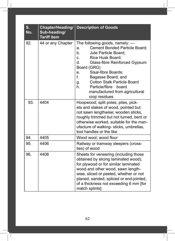| S.<br>No. | Chapter/Heading/<br>Sub-heading/<br><b>Tariff item</b> | <b>Description of Goods</b>                                                                                                                                                                                                                                                                                                                                                                     |
|-----------|--------------------------------------------------------|-------------------------------------------------------------------------------------------------------------------------------------------------------------------------------------------------------------------------------------------------------------------------------------------------------------------------------------------------------------------------------------------------|
| 92.       | 44 or any Chapter                                      | The following goods, namely: -<br><b>Cement Bonded Particle Board;</b><br>a.<br>Jute Particle Board;<br>b.<br>Rice Husk Board;<br>C.<br>d.<br>Glass-fibre Reinforced Gypsum<br>Board (GRG)<br>Sisal-fibre Boards;<br>е.<br>$f_{\rm{max}}$<br>Bagasse Board; and<br><b>Cotton Stalk Particle Board</b><br>g.<br>Particle/fibre<br>h.<br>board<br>manufactured from agricultural<br>crop residues |
| 93.       | 4404                                                   | Hoopwood; split poles; piles, pick-<br>ets and stakes of wood, pointed but<br>not sawn lengthwise; wooden sticks,<br>roughly trimmed but not turned, bent or<br>otherwise worked, suitable for the man-<br>ufacture of walking- sticks, umbrellas,<br>tool handles or the like                                                                                                                  |
| 94.       | 4405                                                   | Wood wool; wood flour                                                                                                                                                                                                                                                                                                                                                                           |
| 95.       | 4406                                                   | Railway or tramway sleepers (cross-<br>ties) of wood                                                                                                                                                                                                                                                                                                                                            |
| 96.       | 4408                                                   | Sheets for veneering (including those<br>obtained by slicing laminated wood),<br>for plywood or for similar laminated<br>wood and other wood, sawn length-<br>wise, sliced or peeled, whether or not<br>planed, sanded, spliced or end-jointed,<br>of a thickness not exceeding 6 mm [for<br>match splints]                                                                                     |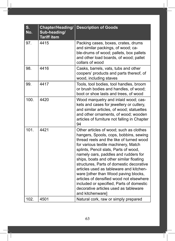| S.<br>$\overline{\text{No}}$ . | Chapter/Heading/<br>Sub-heading/<br><b>Tariff item</b> | <b>Description of Goods</b>                                                                                                                                                                                                                                                                                                                                                                                                                                                                                                                                                           |
|--------------------------------|--------------------------------------------------------|---------------------------------------------------------------------------------------------------------------------------------------------------------------------------------------------------------------------------------------------------------------------------------------------------------------------------------------------------------------------------------------------------------------------------------------------------------------------------------------------------------------------------------------------------------------------------------------|
| 97.                            | 4415                                                   | Packing cases, boxes, crates, drums<br>and similar packings, of wood; ca-<br>ble-drums of wood; pallets, box pallets<br>and other load boards, of wood; pallet<br>collars of wood                                                                                                                                                                                                                                                                                                                                                                                                     |
| 98.                            | 4416                                                   | Casks, barrels, vats, tubs and other<br>coopers' products and parts thereof, of<br>wood, including staves                                                                                                                                                                                                                                                                                                                                                                                                                                                                             |
| 99.                            | 4417                                                   | Tools, tool bodies, tool handles, broom<br>or brush bodies and handles, of wood;<br>boot or shoe lasts and trees, of wood                                                                                                                                                                                                                                                                                                                                                                                                                                                             |
| 100.                           | 4420                                                   | Wood marquetry and inlaid wood; cas-<br>kets and cases for jewellery or cutlery,<br>and similar articles, of wood; statuettes<br>and other ornaments, of wood; wooden<br>articles of furniture not falling in Chapter<br>94                                                                                                                                                                                                                                                                                                                                                           |
| 101.                           | 4421                                                   | Other articles of wood; such as clothes<br>hangers, Spools, cops, bobbins, sewing<br>thread reels and the like of turned wood<br>for various textile machinery, Match<br>splints, Pencil slats, Parts of wood,<br>namely oars, paddles and rudders for<br>ships, boats and other similar floating<br>structures, Parts of domestic decorative<br>articles used as tableware and kitchen-<br>ware [other than Wood paving blocks,<br>articles of densified wood not elsewhere<br>included or specified, Parts of domestic<br>decorative articles used as tableware<br>and kitchenware] |
| 102.                           | 4501                                                   | Natural cork, raw or simply prepared                                                                                                                                                                                                                                                                                                                                                                                                                                                                                                                                                  |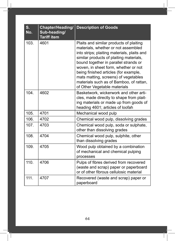| S.<br>No. | Chapter/Heading/<br>Sub-heading/<br><b>Tariff item</b> | <b>Description of Goods</b>                                                                                                                                                                                                                                                                                                                                                                                           |
|-----------|--------------------------------------------------------|-----------------------------------------------------------------------------------------------------------------------------------------------------------------------------------------------------------------------------------------------------------------------------------------------------------------------------------------------------------------------------------------------------------------------|
| 103.      | 4601                                                   | Plaits and similar products of plaiting<br>materials, whether or not assembled<br>into strips; plaiting materials, plaits and<br>similar products of plaiting materials,<br>bound together in parallel strands or<br>woven, in sheet form, whether or not<br>being finished articles (for example,<br>mats matting, screens) of vegetables<br>materials such as of Bamboo, of rattan,<br>of Other Vegetable materials |
| 104.      | 4602                                                   | Basketwork, wickerwork and other arti-<br>cles, made directly to shape from plait-<br>ing materials or made up from goods of<br>heading 4601; articles of loofah                                                                                                                                                                                                                                                      |
| 105.      | 4701                                                   | Mechanical wood pulp                                                                                                                                                                                                                                                                                                                                                                                                  |
| 106.      | 4702                                                   | Chemical wood pulp, dissolving grades                                                                                                                                                                                                                                                                                                                                                                                 |
| 107.      | 4703                                                   | Chemical wood pulp, soda or sulphate,<br>other than dissolving grades                                                                                                                                                                                                                                                                                                                                                 |
| 108.      | 4704                                                   | Chemical wood pulp, sulphite, other<br>than dissolving grades                                                                                                                                                                                                                                                                                                                                                         |
| 109.      | 4705                                                   | Wood pulp obtained by a combination<br>of mechanical and chemical pulping<br>processes                                                                                                                                                                                                                                                                                                                                |
| 110.      | 4706                                                   | Pulps of fibres derived from recovered<br>(waste and scrap) paper or paperboard<br>or of other fibrous cellulosic material                                                                                                                                                                                                                                                                                            |
| 111.      | 4707                                                   | Recovered (waste and scrap) paper or<br>paperboard                                                                                                                                                                                                                                                                                                                                                                    |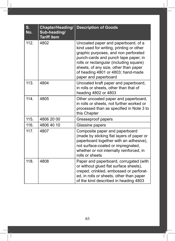| S.<br>No. | Chapter/Heading/<br>Sub-heading/<br><b>Tariff item</b> | <b>Description of Goods</b>                                                                                                                                                                                                                                                                                       |
|-----------|--------------------------------------------------------|-------------------------------------------------------------------------------------------------------------------------------------------------------------------------------------------------------------------------------------------------------------------------------------------------------------------|
| 112.      | 4802                                                   | Uncoated paper and paperboard, of a<br>kind used for writing, printing or other<br>graphic purposes, and non perforated<br>punch-cards and punch tape paper, in<br>rolls or rectangular (including square)<br>sheets, of any size, other than paper<br>of heading 4801 or 4803; hand-made<br>paper and paperboard |
| 113.      | 4804                                                   | Uncoated kraft paper and paperboard,<br>in rolls or sheets, other than that of<br>heading 4802 or 4803                                                                                                                                                                                                            |
| 114.      | 4805                                                   | Other uncoated paper and paperboard,<br>in rolls or sheets, not further worked or<br>processed than as specified in Note 3 to<br>this Chapter                                                                                                                                                                     |
| 115.      | 4806 20 00                                             | Greaseproof papers                                                                                                                                                                                                                                                                                                |
| 116.      | 4806 40 10                                             | Glassine papers                                                                                                                                                                                                                                                                                                   |
| 117.      | 4807                                                   | Composite paper and paperboard<br>(made by sticking flat layers of paper or<br>paperboard together with an adhesive),<br>not surface-coated or impregnated,<br>whether or not internally reinforced, in<br>rolls or sheets                                                                                        |
| 118.      | 4808                                                   | Paper and paperboard, corrugated (with<br>or without glued flat surface sheets),<br>creped, crinkled, embossed or perforat-<br>ed, in rolls or sheets, other than paper<br>of the kind described in heading 4803                                                                                                  |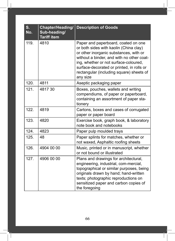| S.<br>No. | Chapter/Heading/<br>Sub-heading/<br><b>Tariff item</b> | <b>Description of Goods</b>                                                                                                                                                                                                                                                                                        |
|-----------|--------------------------------------------------------|--------------------------------------------------------------------------------------------------------------------------------------------------------------------------------------------------------------------------------------------------------------------------------------------------------------------|
| 119.      | 4810                                                   | Paper and paperboard, coated on one<br>or both sides with kaolin (China clay)<br>or other inorganic substances, with or<br>without a binder, and with no other coat-<br>ing, whether or not surface-coloured,<br>surface-decorated or printed, in rolls or<br>rectangular (including square) sheets of<br>any size |
| 120.      | 4811                                                   | Aseptic packaging paper                                                                                                                                                                                                                                                                                            |
| 121.      | 481730                                                 | Boxes, pouches, wallets and writing<br>compendiums, of paper or paperboard,<br>containing an assortment of paper sta-<br>tionery                                                                                                                                                                                   |
| 122.      | 4819                                                   | Cartons, boxes and cases of corrugated<br>paper or paper board                                                                                                                                                                                                                                                     |
| 123.      | 4820                                                   | Exercise book, graph book, & laboratory<br>note book and notebooks                                                                                                                                                                                                                                                 |
| 124.      | 4823                                                   | Paper pulp moulded trays                                                                                                                                                                                                                                                                                           |
| 125.      | 48                                                     | Paper splints for matches, whether or<br>not waxed, Asphaltic roofing sheets                                                                                                                                                                                                                                       |
| 126.      | 4904 00 00                                             | Music, printed or in manuscript, whether<br>or not bound or illustrated                                                                                                                                                                                                                                            |
| 127.      | 4906 00 00                                             | Plans and drawings for architectural,<br>engineering, industrial, com-mercial,<br>topographical or similar purposes, being<br>originals drawn by hand; hand-written<br>texts; photographic reproductions on<br>sensitized paper and carbon copies of<br>the foregoing                                              |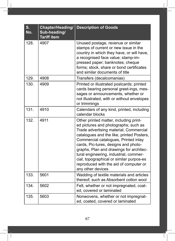| S.<br>No. | Chapter/Heading/<br>Sub-heading/<br><b>Tariff item</b> | <b>Description of Goods</b>                                                                                                                                                                                                                                                                                                                                                                                                                           |
|-----------|--------------------------------------------------------|-------------------------------------------------------------------------------------------------------------------------------------------------------------------------------------------------------------------------------------------------------------------------------------------------------------------------------------------------------------------------------------------------------------------------------------------------------|
| 128.      | 4907                                                   | Unused postage, revenue or similar<br>stamps of current or new issue in the<br>country in which they have, or will have,<br>a recognised face value; stamp-im-<br>pressed paper; banknotes; cheque<br>forms; stock, share or bond certificates<br>and similar documents of title                                                                                                                                                                      |
| 129.      | 4908                                                   | Transfers (decalcomanias)                                                                                                                                                                                                                                                                                                                                                                                                                             |
| 130.      | 4909                                                   | Printed or illustrated postcards; printed<br>cards bearing personal greet-ings, mes-<br>sages or announcements, whether or<br>not illustrated, with or without envelopes<br>or trimmings                                                                                                                                                                                                                                                              |
| 131.      | 4910                                                   | Calendars of any kind, printed, including<br>calendar blocks                                                                                                                                                                                                                                                                                                                                                                                          |
| 132.      | 4911                                                   | Other printed matter, including print-<br>ed pictures and photographs; such as<br>Trade advertising material, Commercial<br>catalogues and the like, printed Posters,<br>Commercial catalogues, Printed inlay<br>cards, Pic-tures, designs and photo-<br>graphs, Plan and drawings for architec-<br>tural engineering, industrial, commer-<br>cial, topographical or similar purpos-es<br>reproduced with the aid of computer or<br>any other devices |
| 133.      | 5601                                                   | Wadding of textile materials and articles<br>thereof; such as Absorbent cotton wool                                                                                                                                                                                                                                                                                                                                                                   |
| 134.      | 5602                                                   | Felt, whether or not impregnated, coat-<br>ed, covered or laminated                                                                                                                                                                                                                                                                                                                                                                                   |
| 135.      | 5603                                                   | Nonwovens, whether or not impregnat-<br>ed, coated, covered or laminated                                                                                                                                                                                                                                                                                                                                                                              |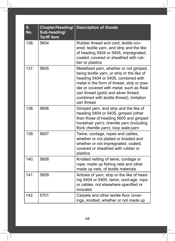| S.<br>No. | Chapter/Heading/<br>Sub-heading/<br><b>Tariff item</b> | <b>Description of Goods</b>                                                                                                                                                                                                                                                                                                |
|-----------|--------------------------------------------------------|----------------------------------------------------------------------------------------------------------------------------------------------------------------------------------------------------------------------------------------------------------------------------------------------------------------------------|
| 136.      | 5604                                                   | Rubber thread and cord, textile cov-<br>ered; textile yarn, and strip and the like<br>of heading 5404 or 5405, impregnated,<br>coated, covered or sheathed with rub-<br>ber or plastics                                                                                                                                    |
| 137.      | 5605                                                   | Metallised yarn, whether or not gimped,<br>being textile yarn, or strip or the like of<br>heading 5404 or 5405, combined with<br>metal in the form of thread, strip or pow-<br>der or covered with metal; such as Real<br>zari thread (gold) and silver thread,<br>combined with textile thread), Imitation<br>zari thread |
| 138.      | 5606                                                   | Gimped yarn, and strip and the like of<br>heading 5404 or 5405, gimped (other<br>than those of heading 5605 and gimped<br>horsehair yarn); chenille yarn (including<br>flock chenille yarn); loop wale-yarn                                                                                                                |
| 139.      | 5607                                                   | Twine, cordage, ropes and cables,<br>whether or not plaited or braided and<br>whether or not impregnated, coated,<br>covered or sheathed with rubber or<br>plastics                                                                                                                                                        |
| 140.      | 5608                                                   | Knotted netting of twine, cordage or<br>rope; made up fishing nets and other<br>made up nets, of textile materials                                                                                                                                                                                                         |
| 141.      | 5609                                                   | Articles of yarn, strip or the like of head-<br>ing 5404 or 5405, twine, cord-age, rope<br>or cables, not elsewhere specified or<br>included                                                                                                                                                                               |
| 142.      | 5701                                                   | Carpets and other textile floor cover-<br>ings, knotted, whether or not made up                                                                                                                                                                                                                                            |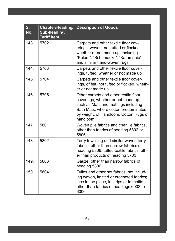| S.<br>No. | Chapter/Heading/<br>Sub-heading/<br><b>Tariff item</b> | <b>Description of Goods</b>                                                                                                                                                                                      |
|-----------|--------------------------------------------------------|------------------------------------------------------------------------------------------------------------------------------------------------------------------------------------------------------------------|
| 143.      | 5702                                                   | Carpets and other textile floor cov-<br>erings, woven, not tufted or flocked,<br>whether or not made up, including<br>"Kelem", "Schumacks", "Karamanie"<br>and similar hand-woven rugs                           |
| 144.      | 5703                                                   | Carpets and other textile floor cover-<br>ings, tufted, whether or not made up                                                                                                                                   |
| 145.      | 5704                                                   | Carpets and other textile floor cover-<br>ings, of felt, not tufted or flocked, wheth-<br>er or not made up                                                                                                      |
| 146.      | 5705                                                   | Other carpets and other textile floor<br>coverings, whether or not made up;<br>such as Mats and mattings including<br>Bath Mats, where cotton predominates<br>by weight, of Handloom, Cotton Rugs of<br>handloom |
| 147.      | 5801                                                   | Woven pile fabrics and chenille fabrics,<br>other than fabrics of heading 5802 or<br>5806                                                                                                                        |
| 148.      | 5802                                                   | Terry towelling and similar woven terry<br>fabrics, other than narrow fab-rics of<br>heading 5806; tufted textile fabrics, oth-<br>er than products of heading 5703                                              |
| 149.      | 5803                                                   | Gauze, other than narrow fabrics of<br>heading 5806                                                                                                                                                              |
| 150.      | 5804                                                   | Tulles and other net fabrics, not includ-<br>ing woven, knitted or crocheted fabrics;<br>lace in the piece, in strips or in motifs,<br>other than fabrics of headings 6002 to<br>6006                            |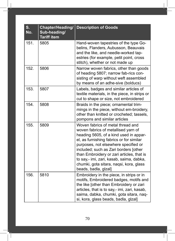| S.<br>No. | Chapter/Heading/<br>Sub-heading/<br><b>Tariff item</b> | <b>Description of Goods</b>                                                                                                                                                                                                                                                                                                                                                                                 |
|-----------|--------------------------------------------------------|-------------------------------------------------------------------------------------------------------------------------------------------------------------------------------------------------------------------------------------------------------------------------------------------------------------------------------------------------------------------------------------------------------------|
| 151.      | 5805                                                   | Hand-woven tapestries of the type Go-<br>belins, Flanders, Aubusson, Beauvais<br>and the like, and needle-worked tap-<br>estries (for example, petit point, cross<br>stitch), whether or not made up                                                                                                                                                                                                        |
| 152.      | 5806                                                   | Narrow woven fabrics, other than goods<br>of heading 5807; narrow fab-rics con-<br>sisting of warp without weft assembled<br>by means of an adhe-sive (bolducs)                                                                                                                                                                                                                                             |
| 153.      | 5807                                                   | Labels, badges and similar articles of<br>textile materials, in the piece, in strips or<br>cut to shape or size, not embroidered                                                                                                                                                                                                                                                                            |
| 154.      | 5808                                                   | Braids in the piece; ornamental trim-<br>mings in the piece, without em-broidery,<br>other than knitted or crocheted; tassels,<br>pompons and similar articles                                                                                                                                                                                                                                              |
| 155.      | 5809                                                   | Woven fabrics of metal thread and<br>woven fabrics of metallised yarn of<br>heading 5605, of a kind used in appar-<br>el, as furnishing fabrics or for similar<br>purposes, not elsewhere specified or<br>included; such as Zari borders [other<br>than Embroidery or zari articles, that is<br>to say,- imi, zari, kasab, saima, dabka,<br>chumki, gota sitara, naqsi, kora, glass<br>beads, badla, glzal] |
| 156.      | 5810                                                   | Embroidery in the piece, in strips or in<br>motifs, Embroidered badges, motifs and<br>the like [other than Embroidery or zari<br>articles, that is to say,- imi, zari, kasab,<br>saima, dabka, chumki, gota sitara, naq-<br>si, kora, glass beads, badla, glzal]                                                                                                                                            |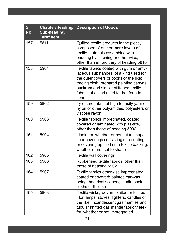| S.<br>No. | Chapter/Heading/<br>Sub-heading/<br><b>Tariff item</b> | <b>Description of Goods</b>                                                                                                                                                                                                                                         |
|-----------|--------------------------------------------------------|---------------------------------------------------------------------------------------------------------------------------------------------------------------------------------------------------------------------------------------------------------------------|
| 157.      | 5811                                                   | Quilted textile products in the piece,<br>composed of one or more layers of<br>textile materials assembled with<br>padding by stitching or other-wise,<br>other than embroidery of heading 5810                                                                     |
| 158.      | 5901                                                   | Textile fabrics coated with gum or amy-<br>laceous substances, of a kind used for<br>the outer covers of books or the like;<br>tracing cloth; prepared painting canvas;<br>buckram and similar stiffened textile<br>fabrics of a kind used for hat founda-<br>tions |
| 159.      | 5902                                                   | Tyre cord fabric of high tenacity yarn of<br>nylon or other polyamides, polyesters or<br>viscose rayon                                                                                                                                                              |
| 160.      | 5903                                                   | Textile fabrics impregnated, coated,<br>covered or laminated with plas-tics,<br>other than those of heading 5902                                                                                                                                                    |
| 161.      | 5904                                                   | Linoleum, whether or not cut to shape;<br>floor coverings consisting of a coating<br>or covering applied on a textile backing,<br>whether or not cut to shape                                                                                                       |
| 162.      | 5905                                                   | Textile wall coverings                                                                                                                                                                                                                                              |
| 163.      | 5906                                                   | Rubberised textile fabrics, other than<br>those of heading 5902                                                                                                                                                                                                     |
| 164.      | 5907                                                   | Textile fabrics otherwise impregnated,<br>coated or covered; painted can-vas<br>being theatrical scenery, studio back-<br>cloths or the like                                                                                                                        |
| 165.      | 5908                                                   | Textile wicks, woven, plaited or knitted<br>, for lamps, stoves, lighters, candles or<br>the like; incandescent gas mantles and<br>tubular knitted gas mantle fabric there-<br>for, whether or not impregnated                                                      |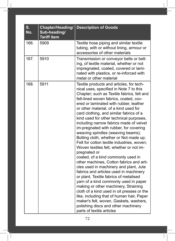| S.<br>No. | Chapter/Heading/<br>Sub-heading/<br><b>Tariff item</b> | <b>Description of Goods</b>                                                                                                                                                                                                                                                                                                                                                                                                                                                                                                                                                                                                                                                                                                                                                                                                                                                                                                                                                                                                                                                                                                                 |
|-----------|--------------------------------------------------------|---------------------------------------------------------------------------------------------------------------------------------------------------------------------------------------------------------------------------------------------------------------------------------------------------------------------------------------------------------------------------------------------------------------------------------------------------------------------------------------------------------------------------------------------------------------------------------------------------------------------------------------------------------------------------------------------------------------------------------------------------------------------------------------------------------------------------------------------------------------------------------------------------------------------------------------------------------------------------------------------------------------------------------------------------------------------------------------------------------------------------------------------|
| 166.      | 5909                                                   | Textile hose piping and similar textile<br>tubing, with or without lining, armour or<br>accessories of other materials                                                                                                                                                                                                                                                                                                                                                                                                                                                                                                                                                                                                                                                                                                                                                                                                                                                                                                                                                                                                                      |
| 167.      | 5910                                                   | Transmission or conveyor belts or belt-<br>ing, of textile material, whether or not<br>impregnated, coated, covered or lami-<br>nated with plastics, or re-inforced with<br>metal or other material                                                                                                                                                                                                                                                                                                                                                                                                                                                                                                                                                                                                                                                                                                                                                                                                                                                                                                                                         |
| 168.      | 5911                                                   | Textile products and articles, for tech-<br>nical uses, specified in Note 7 to this<br>Chapter; such as Textile fabrics, felt and<br>felt-lined woven fabrics, coated, cov-<br>ered or laminated with rubber, leather<br>or other material, of a kind used for<br>card clothing, and similar fabrics of a<br>kind used for other technical purposes,<br>including narrow fabrics made of velvet<br>im-pregnated with rubber, for covering<br>weaving spindles (weaving beams);<br>Bolting cloth, whether or Not made up;<br>Felt for cotton textile industries, woven;<br>Woven textiles felt, whether or not im-<br>pregnated or<br>coated, of a kind commonly used in<br>other machines, Cotton fabrics and arti-<br>cles used in machinery and plant, Jute<br>fabrics and articles used in machinery<br>or plant, Textile fabrics of metalised<br>yarn of a kind commonly used in paper<br>making or other machinery, Straining<br>cloth of a kind used in oil presses or the<br>like, including that of human hair, Paper<br>maker's felt, woven, Gaskets, washers,<br>polishing discs and other machinery<br>parts of textile articles |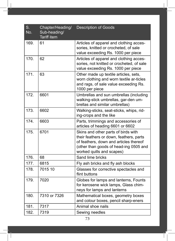| $S_{-}$<br>No. | Chapter/Heading/<br>Sub-heading/<br><b>Tariff item</b> | <b>Description of Goods</b>                                                                                                                                                                     |
|----------------|--------------------------------------------------------|-------------------------------------------------------------------------------------------------------------------------------------------------------------------------------------------------|
| 169.           | 61                                                     | Articles of apparel and clothing acces-<br>sories, knitted or crocheted, of sale<br>value exceeding Rs. 1000 per piece                                                                          |
| 170.           | 62                                                     | Articles of apparel and clothing acces-<br>sories, not knitted or crocheted, of sale<br>value exceeding Rs. 1000 per piece                                                                      |
| 171.           | 63                                                     | Other made up textile articles, sets,<br>worn clothing and worn textile ar-ticles<br>and rags, of sale value exceeding Rs.<br>1000 per piece                                                    |
| 172.           | 6601                                                   | Umbrellas and sun umbrellas (including<br>walking-stick umbrellas, gar-den um-<br>brellas and similar umbrellas)                                                                                |
| 173.           | 6602                                                   | Walking-sticks, seat-sticks, whips, rid-<br>ing-crops and the like                                                                                                                              |
| 174.           | 6603                                                   | Parts, trimmings and accessories of<br>articles of heading 6601 or 6602                                                                                                                         |
| 175.           | 6701                                                   | Skins and other parts of birds with<br>their feathers or down, feathers, parts<br>of feathers, down and articles thereof<br>(other than goods of head-ing 0505 and<br>worked quills and scapes) |
| 176.           | 68                                                     | Sand lime bricks                                                                                                                                                                                |
| 177.           | 6815                                                   | Fly ash bricks and fly ash blocks                                                                                                                                                               |
| 178.           | 7015 10                                                | Glasses for corrective spectacles and<br>flint buttons                                                                                                                                          |
| 179.           | 7020                                                   | Globes for lamps and lanterns, Founts<br>for kerosene wick lamps, Glass chim-<br>neys for lamps and lanterns                                                                                    |
| 180.           | 7310 or 7326                                           | Mathematical boxes, geometry boxes<br>and colour boxes, pencil sharp-eners                                                                                                                      |
| 181.           | 7317                                                   | Animal shoe nails                                                                                                                                                                               |
| 182.           | 7319                                                   | Sewing needles                                                                                                                                                                                  |

73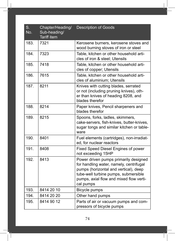| $S_{-}$<br>No. | Chapter/Heading/<br>Sub-heading/<br><b>Tariff item</b> | <b>Description of Goods</b>                                                                                                                                                                                               |
|----------------|--------------------------------------------------------|---------------------------------------------------------------------------------------------------------------------------------------------------------------------------------------------------------------------------|
| 183.           | 7321                                                   | Kerosene burners, kerosene stoves and<br>wood burning stoves of iron or steel                                                                                                                                             |
| 184.           | 7323                                                   | Table, kitchen or other household arti-<br>cles of iron & steel; Utensils                                                                                                                                                 |
| 185.           | 7418                                                   | Table, kitchen or other household arti-<br>cles of copper; Utensils                                                                                                                                                       |
| 186.           | 7615                                                   | Table, kitchen or other household arti-<br>cles of aluminium; Utensils                                                                                                                                                    |
| 187.           | 8211                                                   | Knives with cutting blades, serrated<br>or not (including pruning knives), oth-<br>er than knives of heading 8208, and<br>blades therefor                                                                                 |
| 188.           | 8214                                                   | Paper knives, Pencil sharpeners and<br>blades therefor                                                                                                                                                                    |
| 189.           | 8215                                                   | Spoons, forks, ladles, skimmers,<br>cake-servers, fish-knives, butter-knives,<br>sugar tongs and similar kitchen or table-<br>ware                                                                                        |
| 190.           | 8401                                                   | Fuel elements (cartridges), non-irradiat-<br>ed, for nuclear reactors                                                                                                                                                     |
| 191.           | 8408                                                   | Fixed Speed Diesel Engines of power<br>not exceeding 15HP                                                                                                                                                                 |
| 192.           | 8413                                                   | Power driven pumps primarily designed<br>for handling water, namely, centrifugal<br>pumps (horizontal and vertical), deep<br>tube-well turbine pumps, submersible<br>pumps, axial flow and mixed flow verti-<br>cal pumps |
| 193.           | 8414 20 10                                             | Bicycle pumps                                                                                                                                                                                                             |
| 194.           | 8414 20 20                                             | Other hand pumps                                                                                                                                                                                                          |
| 195.           | 8414 90 12                                             | Parts of air or vacuum pumps and com-<br>pressors of bicycle pumps                                                                                                                                                        |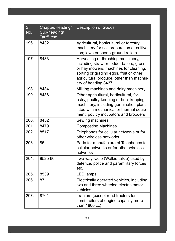| $S_{-}$<br>No. | Chapter/Heading/<br>Sub-heading/<br><b>Tariff item</b> | <b>Description of Goods</b>                                                                                                                                                                                                          |
|----------------|--------------------------------------------------------|--------------------------------------------------------------------------------------------------------------------------------------------------------------------------------------------------------------------------------------|
| 196.           | 8432                                                   | Agricultural, horticultural or forestry<br>machinery for soil preparation or cultiva-<br>tion; lawn or sports-ground rollers                                                                                                         |
| 197.           | 8433                                                   | Harvesting or threshing machinery,<br>including straw or fodder balers; grass<br>or hay mowers; machines for cleaning,<br>sorting or grading eggs, fruit or other<br>agricultural produce, other than machin-<br>ery of heading 8437 |
| 198.           | 8434                                                   | Milking machines and dairy machinery                                                                                                                                                                                                 |
| 199.           | 8436                                                   | Other agricultural, horticultural, for-<br>estry, poultry-keeping or bee- keeping<br>machinery, including germination plant<br>fitted with mechanical or thermal equip-<br>ment; poultry incubators and brooders                     |
| 200.           | 8452                                                   | Sewing machines                                                                                                                                                                                                                      |
| 201.           | 8479                                                   | <b>Composting Machines</b>                                                                                                                                                                                                           |
| 202.           | 8517                                                   | Telephones for cellular networks or for<br>other wireless networks                                                                                                                                                                   |
| 203.           | 85                                                     | Parts for manufacture of Telephones for<br>cellular networks or for other wireless<br>networks                                                                                                                                       |
| 204.           | 8525 60                                                | Two-way radio (Walkie talkie) used by<br>defence, police and paramilitary forces<br>etc.                                                                                                                                             |
| 205.           | 8539                                                   | <b>LED lamps</b>                                                                                                                                                                                                                     |
| 206.           | 87                                                     | Electrically operated vehicles, including<br>two and three wheeled electric motor<br>vehicles                                                                                                                                        |
| 207.           | 8701                                                   | Tractors (except road tractors for<br>semi-trailers of engine capacity more<br>than 1800 cc)                                                                                                                                         |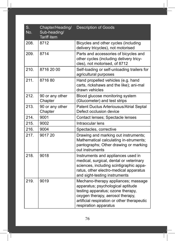| S.<br>No. | Chapter/Heading/<br>Sub-heading/<br><b>Tariff item</b> | <b>Description of Goods</b>                                                                                                                                                                                               |
|-----------|--------------------------------------------------------|---------------------------------------------------------------------------------------------------------------------------------------------------------------------------------------------------------------------------|
| 208.      | 8712                                                   | Bicycles and other cycles (including<br>delivery tricycles), not motorised                                                                                                                                                |
| 209.      | 8714                                                   | Parts and accessories of bicycles and<br>other cycles (including delivery tricy-<br>cles), not motorised, of 8712                                                                                                         |
| 210.      | 8716 20 00                                             | Self-loading or self-unloading trailers for<br>agricultural purposes                                                                                                                                                      |
| 211.      | 871680                                                 | Hand propelled vehicles (e.g. hand<br>carts, rickshaws and the like); ani-mal<br>drawn vehicles                                                                                                                           |
| 212.      | 90 or any other<br>Chapter                             | Blood glucose monitoring system<br>(Glucometer) and test strips                                                                                                                                                           |
| 213.      | 90 or any other<br>Chapter                             | <b>Patent Ductus Arteriousus/Atrial Septal</b><br>Defect occlusion device                                                                                                                                                 |
| 214.      | 9001                                                   | Contact lenses; Spectacle lenses                                                                                                                                                                                          |
| 215.      | 9002                                                   | Intraocular lens                                                                                                                                                                                                          |
| 216.      | 9004                                                   | Spectacles, corrective                                                                                                                                                                                                    |
| 217.      | 9017 20                                                | Drawing and marking out instruments;<br>Mathematical calculating in-struments;<br>pantographs; Other drawing or marking<br>out instruments                                                                                |
| 218.      | 9018                                                   | Instruments and appliances used in<br>medical, surgical, dental or veterinary<br>sciences, including scintigraphic appa-<br>ratus, other electro-medical apparatus<br>and sight-testing instruments                       |
| 219.      | 9019                                                   | Mechano-therapy appliances; massage<br>apparatus; psychological aptitude<br>testing apparatus; ozone therapy,<br>oxygen therapy, aerosol therapy,<br>artificial respiration or other therapeutic<br>respiration apparatus |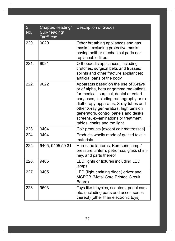| $S_{-}$<br>No. | Chapter/Heading/<br>Sub-heading/<br><b>Tariff item</b> | <b>Description of Goods</b>                                                                                                                                                                                                                                                                                                                                               |
|----------------|--------------------------------------------------------|---------------------------------------------------------------------------------------------------------------------------------------------------------------------------------------------------------------------------------------------------------------------------------------------------------------------------------------------------------------------------|
| 220.           | 9020                                                   | Other breathing appliances and gas<br>masks, excluding protective masks<br>having neither mechanical parts nor<br>replaceable filters                                                                                                                                                                                                                                     |
| 221.           | 9021                                                   | Orthopaedic appliances, including<br>crutches, surgical belts and trusses;<br>splints and other fracture appliances;<br>artificial parts of the body                                                                                                                                                                                                                      |
| 222.           | 9022                                                   | Apparatus based on the use of X-rays<br>or of alpha, beta or gamma radi-ations,<br>for medical, surgical, dental or veteri-<br>nary uses, including radi-ography or ra-<br>diotherapy apparatus, X-ray tubes and<br>other X-ray gen-erators, high tension<br>generators, control panels and desks,<br>screens, ex-aminations or treatment<br>tables, chairs and the light |
| 223.           | 9404                                                   | Coir products [except coir mattresses]                                                                                                                                                                                                                                                                                                                                    |
| 224.           | 9404                                                   | Products wholly made of quilted textile<br>materials                                                                                                                                                                                                                                                                                                                      |
| 225.           | 9405, 9405 50 31                                       | Hurricane lanterns, Kerosene lamp /<br>pressure lantern, petromax, glass chim-<br>ney, and parts thereof                                                                                                                                                                                                                                                                  |
| 226.           | 9405                                                   | LED lights or fixtures including LED<br>lamps                                                                                                                                                                                                                                                                                                                             |
| 227.           | 9405                                                   | LED (light emitting diode) driver and<br><b>MCPCB (Metal Core Printed Circuit</b><br>Board)                                                                                                                                                                                                                                                                               |
| 228.           | 9503                                                   | Toys like tricycles, scooters, pedal cars<br>etc. (including parts and acces-sories<br>thereof) [other than electronic toys]                                                                                                                                                                                                                                              |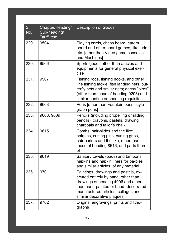| $S_{-}$<br>No. | Chapter/Heading/<br>Sub-heading/<br><b>Tariff item</b> | <b>Description of Goods</b>                                                                                                                                                                                                     |
|----------------|--------------------------------------------------------|---------------------------------------------------------------------------------------------------------------------------------------------------------------------------------------------------------------------------------|
| 229.           | 9504                                                   | Playing cards, chess board, carom<br>board and other board games, like ludo,<br>etc. [other than Video game consoles<br>and Machines]                                                                                           |
| 230.           | 9506                                                   | Sports goods other than articles and<br>equipments for general physical exer-<br>cise                                                                                                                                           |
| 231.           | 9507                                                   | Fishing rods, fishing hooks, and other<br>line fishing tackle; fish landing nets, but-<br>terfly nets and smilar nets; decoy "birds"<br>(other than those of heading 9208) and<br>similar hunting or shooting requisites        |
| 232.           | 9608                                                   | Pens [other than Fountain pens, stylo-<br>graph pens]                                                                                                                                                                           |
| 233.           | 9608, 9609                                             | Pencils (including propelling or sliding<br>pencils), crayons, pastels, drawing<br>charcoals and tailor's chalk                                                                                                                 |
| 234.           | 9615                                                   | Combs, hair-slides and the like;<br>hairpins, curling pins, curling grips,<br>hair-curlers and the like, other than<br>those of heading 8516, and parts there-<br>of                                                            |
| 235.           | 9619                                                   | Sanitary towels (pads) and tampons,<br>napkins and napkin liners for ba-bies<br>and similar articles, of any material                                                                                                           |
| 236.           | 9701                                                   | Paintings, drawings and pastels, ex-<br>ecuted entirely by hand, other than<br>drawings of heading 4906 and other<br>than hand-painted or hand- deco-rated<br>manufactured articles; collages and<br>similar decorative plaques |
| 237.           | 9702                                                   | Original engravings, prints and litho-<br>graphs                                                                                                                                                                                |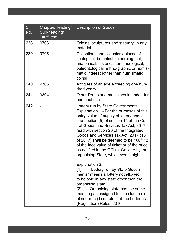| $S_{-}$<br>No. | Chapter/Heading/<br>Sub-heading/<br><b>Tariff item</b> | <b>Description of Goods</b>                                                                                                                                                                                                                                                                                                                                                                                                                                                                                                                                                                                                                                                                                                                                                                                   |
|----------------|--------------------------------------------------------|---------------------------------------------------------------------------------------------------------------------------------------------------------------------------------------------------------------------------------------------------------------------------------------------------------------------------------------------------------------------------------------------------------------------------------------------------------------------------------------------------------------------------------------------------------------------------------------------------------------------------------------------------------------------------------------------------------------------------------------------------------------------------------------------------------------|
| 238.           | 9703                                                   | Original sculptures and statuary, in any<br>material                                                                                                                                                                                                                                                                                                                                                                                                                                                                                                                                                                                                                                                                                                                                                          |
| 239.           | 9705                                                   | Collections and collectors' pieces of<br>zoological, botanical, mineralog-ical,<br>anatomical, historical, archaeological,<br>paleontological, ethno-graphic or numis-<br>matic interest [other than numismatic<br>coins]                                                                                                                                                                                                                                                                                                                                                                                                                                                                                                                                                                                     |
| 240.           | 9706                                                   | Antiques of an age exceeding one hun-<br>dred years                                                                                                                                                                                                                                                                                                                                                                                                                                                                                                                                                                                                                                                                                                                                                           |
| 241.           | 9804                                                   | Other Drugs and medicines intended for<br>personal use                                                                                                                                                                                                                                                                                                                                                                                                                                                                                                                                                                                                                                                                                                                                                        |
| 242.           |                                                        | Lottery run by State Governments<br>Explanation 1.- For the purposes of this<br>entry, value of supply of lottery under<br>sub-section (5) of section 15 of the Cen-<br>tral Goods and Services Tax Act, 2017<br>read with section 20 of the Integrated<br>Goods and Services Tax Act, 2017 (13<br>of 2017) shall be deemed to be 100/112<br>of the face value of ticket or of the price<br>as notified in the Official Gazette by the<br>organising State, whichever is higher.<br>Explanation 2.<br>(1)<br>"Lottery run by State Govern-<br>ments" means a lottery not allowed<br>to be sold in any state other than the<br>organising state.<br>(2)<br>Organising state has the same<br>meaning as assigned to it in clause (f)<br>of sub-rule (1) of rule 2 of the Lotteries<br>(Regulation) Rules, 2010. |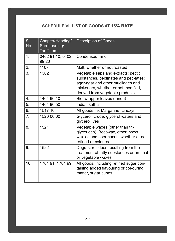## **SCHEDULE VI: LIST OF GOODS AT 18% RATE**

| S.<br>No.        | Chapter/Heading/<br>Sub-heading/<br><b>Tariff item</b> | <b>Description of Goods</b>                                                                                                                                                                   |
|------------------|--------------------------------------------------------|-----------------------------------------------------------------------------------------------------------------------------------------------------------------------------------------------|
| 1.               | 0402 91 10, 0402<br>99 20                              | Condensed milk                                                                                                                                                                                |
| 2.               | 1107                                                   | Malt, whether or not roasted                                                                                                                                                                  |
| 3.               | 1302                                                   | Vegetable saps and extracts; pectic<br>substances, pectinates and pec-tates;<br>agar-agar and other mucilages and<br>thickeners, whether or not modified,<br>derived from vegetable products. |
| 4.               | 1404 90 10                                             | Bidi wrapper leaves (tendu)                                                                                                                                                                   |
| 5.               | 1404 90 50                                             | Indian katha                                                                                                                                                                                  |
| 6.               | 1517 10                                                | All goods i.e. Margarine, Linoxyn                                                                                                                                                             |
| $\overline{7}$ . | 1520 00 00                                             | Glycerol, crude; glycerol waters and<br>glycerol lyes                                                                                                                                         |
| 8.               | 1521                                                   | Vegetable waxes (other than tri-<br>glycerides), Beeswax, other insect<br>wax-es and spermaceti, whether or not<br>refined or coloured                                                        |
| 9.               | 1522                                                   | Degras, residues resulting from the<br>treatment of fatty substances or an-imal<br>or vegetable waxes                                                                                         |
| 10.              | 1701 91, 1701 99                                       | All goods, including refined sugar con-<br>taining added flavouring or col-ouring<br>matter, sugar cubes                                                                                      |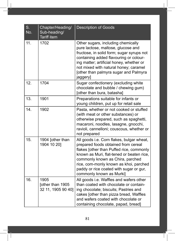| S.<br>No. | Chapter/Heading/<br>Sub-heading/<br><b>Tariff item</b> | Description of Goods                                                                                                                                                                                                                                                                                                           |
|-----------|--------------------------------------------------------|--------------------------------------------------------------------------------------------------------------------------------------------------------------------------------------------------------------------------------------------------------------------------------------------------------------------------------|
| 11.       | 1702                                                   | Other sugars, including chemically<br>pure lactose, maltose, glucose and<br>fructose, in solid form; sugar syrups not<br>containing added flavouring or colour-<br>ing matter; artificial honey, whether or<br>not mixed with natural honey; caramel<br>[other than palmyra sugar and Palmyra<br>jaggery]                      |
| 12.       | 1704                                                   | Sugar confectionery (excluding white<br>chocolate and bubble / chewing gum)<br>[other than bura, batasha]                                                                                                                                                                                                                      |
| 13.       | 1901                                                   | Preparations suitable for infants or<br>young children, put up for retail sale                                                                                                                                                                                                                                                 |
| 14.       | 1902                                                   | Pasta, whether or not cooked or stuffed<br>(with meat or other substances) or<br>otherwise prepared, such as spaghetti,<br>macaroni, noodles, lasagne, gnocchi,<br>ravioli, cannelloni; couscous, whether or<br>not prepared                                                                                                   |
| 15.       | 1904 [other than<br>1904 10 20]                        | All goods i.e. Corn flakes, bulgar wheat,<br>prepared foods obtained from cereal<br>flakes [other than Puffed rice, commonly<br>known as Muri, flat-tened or beaten rice,<br>commonly known as Chira, parched<br>rice, com-monly known as khoi, parched<br>paddy or rice coated with sugar or gur,<br>commonly known as Murki] |
| 16.       | 1905<br>[other than 1905<br>32 11, 1905 90 40]         | All goods i.e. Waffles and wafers other<br>than coated with chocolate or contain-<br>ing chocolate; biscuits; Pastries and<br>cakes [other than pizza bread, Waffles<br>and wafers coated with chocolate or<br>containing chocolate, papad, bread]                                                                             |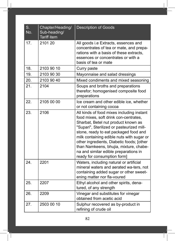| $S_{-}$<br>No. | Chapter/Heading/<br>Sub-heading/<br><b>Tariff item</b> | <b>Description of Goods</b>                                                                                                                                                                                                                                                                                                                                                                                                 |
|----------------|--------------------------------------------------------|-----------------------------------------------------------------------------------------------------------------------------------------------------------------------------------------------------------------------------------------------------------------------------------------------------------------------------------------------------------------------------------------------------------------------------|
| 17.            | 2101 20                                                | All goods i.e Extracts, essences and<br>concentrates of tea or mate, and prepa-<br>rations with a basis of these extracts.<br>essences or concentrates or with a<br>basis of tea or mate                                                                                                                                                                                                                                    |
| 18.            | 2103 90 10                                             | Curry paste                                                                                                                                                                                                                                                                                                                                                                                                                 |
| 19.            | 2103 90 30                                             | Mayonnaise and salad dressings                                                                                                                                                                                                                                                                                                                                                                                              |
| 20.            | 2103 90 40                                             | Mixed condiments and mixed seasoning                                                                                                                                                                                                                                                                                                                                                                                        |
| 21.            | 2104                                                   | Soups and broths and preparations<br>therefor; homogenised composite food<br>preparations                                                                                                                                                                                                                                                                                                                                   |
| 22.            | 2105 00 00                                             | Ice cream and other edible ice, whether<br>or not containing cocoa                                                                                                                                                                                                                                                                                                                                                          |
| 23.            | 2106                                                   | All kinds of food mixes including instant<br>food mixes, soft drink con-centrates,<br>Sharbat, Betel nut product known as<br>"Supari", Sterilized or pasteurized mill-<br>stone, ready to eat packaged food and<br>milk containing edible nuts with sugar or<br>other ingredients, Diabetic foods; [other<br>than Namkeens, bhujia, mixture, chabe-<br>na and similar edible preparations in<br>ready for consumption form] |
| 24.            | 2201                                                   | Waters, including natural or artificial<br>mineral waters and aerated wa-ters, not<br>containing added sugar or other sweet-<br>ening matter nor fla-voured                                                                                                                                                                                                                                                                 |
| 25.            | 2207                                                   | Ethyl alcohol and other spirits, dena-<br>tured, of any strength                                                                                                                                                                                                                                                                                                                                                            |
| 26.            | 2209                                                   | Vinegar and substitutes for vinegar<br>obtained from acetic acid                                                                                                                                                                                                                                                                                                                                                            |
| 27.            | 2503 00 10                                             | Sulphur recovered as by-product in<br>refining of crude oil                                                                                                                                                                                                                                                                                                                                                                 |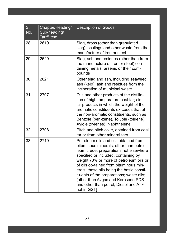| S.<br>No. | Chapter/Heading/<br>Sub-heading/<br><b>Tariff item</b> | <b>Description of Goods</b>                                                                                                                                                                                                                                                                                                                                                                                                                           |
|-----------|--------------------------------------------------------|-------------------------------------------------------------------------------------------------------------------------------------------------------------------------------------------------------------------------------------------------------------------------------------------------------------------------------------------------------------------------------------------------------------------------------------------------------|
| 28.       | 2619                                                   | Slag, dross (other than granulated<br>slag), scalings and other waste from the<br>manufacture of iron or steel                                                                                                                                                                                                                                                                                                                                        |
| 29.       | 2620                                                   | Slag, ash and residues (other than from<br>the manufacture of iron or steel) con-<br>taining metals, arsenic or their com-<br>pounds                                                                                                                                                                                                                                                                                                                  |
| 30.       | 2621                                                   | Other slag and ash, including seaweed<br>ash (kelp); ash and residues from the<br>incineration of municipal waste                                                                                                                                                                                                                                                                                                                                     |
| 31.       | 2707                                                   | Oils and other products of the distilla-<br>tion of high temperature coal tar; simi-<br>lar products in which the weight of the<br>aromatic constituents ex-ceeds that of<br>the non-aromatic constituents, such as<br>Benzole (ben-zene), Toluole (toluene),<br>Xylole (xylenes), Naphthelene                                                                                                                                                        |
| 32.       | 2708                                                   | Pitch and pitch coke, obtained from coal<br>tar or from other mineral tars                                                                                                                                                                                                                                                                                                                                                                            |
| 33.       | 2710                                                   | Petroleum oils and oils obtained from<br>bituminous minerals, other than petro-<br>leum crude; preparations not elsewhere<br>specified or included, containing by<br>weight 70% or more of petroleum oils or<br>of oils ob-tained from bituminous min-<br>erals, these oils being the basic consti-<br>tu-ents of the preparations; waste oils;<br><b>Jother than Avgas and Kerosene PDS</b><br>and other than petrol, Diesel and ATF,<br>not in GST1 |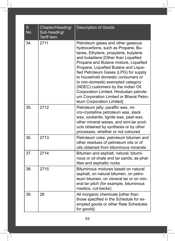| S.<br>No. | Chapter/Heading/<br>Sub-heading/<br><b>Tariff item</b> | <b>Description of Goods</b>                                                                                                                                                                                                                                                                                                                                                                                                                                                                                          |
|-----------|--------------------------------------------------------|----------------------------------------------------------------------------------------------------------------------------------------------------------------------------------------------------------------------------------------------------------------------------------------------------------------------------------------------------------------------------------------------------------------------------------------------------------------------------------------------------------------------|
| 34.       | 2711                                                   | Petroleum gases and other gaseous<br>hydrocarbons, such as Propane, Bu-<br>tanes, Ethylene, propylene, butylene<br>and butadiene [Other than Liquefied<br>Propane and Butane mixture, Liquefied<br>Propane, Liquefied Butane and Lique-<br>fied Petroleum Gases (LPG) for supply<br>to household domestic consumers or<br>to non-domestic exempted category<br>(NDEC) customers by the Indian Oil<br>Corporation Limited, Hindustan petrole-<br>um Corporation Limited or Bharat Petro-<br>leum Corporation Limited] |
| 35.       | 2712                                                   | Petroleum jelly; paraffin wax, mi-<br>cro-crystalline petroleum wax, slack<br>wax, ozokerite, lignite wax, peat wax,<br>other mineral waxes, and simi-lar prod-<br>ucts obtained by synthesis or by other<br>processes, whether or not coloured                                                                                                                                                                                                                                                                      |
| 36.       | 2713                                                   | Petroleum coke, petroleum bitumen and<br>other residues of petroleum oils or of<br>oils obtained from bituminous minerals                                                                                                                                                                                                                                                                                                                                                                                            |
| 37.       | 2714                                                   | Bitumen and asphalt, natural; bitumi-<br>nous or oil shale and tar sands; as-phal-<br>tites and asphaltic rocks                                                                                                                                                                                                                                                                                                                                                                                                      |
| 38.       | 2715                                                   | Bituminous mixtures based on natural<br>asphalt, on natural bitumen, on petro-<br>leum bitumen, on mineral tar or on min-<br>eral tar pitch (for example, bituminous<br>mastics, cut-backs)                                                                                                                                                                                                                                                                                                                          |
| 39.       | 28                                                     | All inorganic chemicals [other than<br>those specified in the Schedule for ex-<br>empted goods or other Rate Schedules<br>for goods]                                                                                                                                                                                                                                                                                                                                                                                 |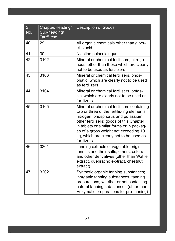| S.<br>No. | Chapter/Heading/<br>Sub-heading/<br><b>Tariff item</b> | <b>Description of Goods</b>                                                                                                                                                                                                                                                                                                |
|-----------|--------------------------------------------------------|----------------------------------------------------------------------------------------------------------------------------------------------------------------------------------------------------------------------------------------------------------------------------------------------------------------------------|
| 40.       | 29                                                     | All organic chemicals other than giber-<br>ellic acid                                                                                                                                                                                                                                                                      |
| 41.       | 30                                                     | Nicotine polacrilex gum                                                                                                                                                                                                                                                                                                    |
| 42.       | 3102                                                   | Mineral or chemical fertilisers, nitroge-<br>nous, other than those which are clearly<br>not to be used as fertilizers                                                                                                                                                                                                     |
| 43.       | 3103                                                   | Mineral or chemical fertilisers, phos-<br>phatic, which are clearly not to be used<br>as fertilizers                                                                                                                                                                                                                       |
| 44.       | 3104                                                   | Mineral or chemical fertilisers, potas-<br>sic, which are clearly not to be used as<br>fertilizers                                                                                                                                                                                                                         |
| 45.       | 3105                                                   | Mineral or chemical fertilisers containing<br>two or three of the fertilis-ing elements<br>nitrogen, phosphorus and potassium;<br>other fertilisers; goods of this Chapter<br>in tablets or similar forms or in packag-<br>es of a gross weight not exceeding 10<br>kg, which are clearly not to be used as<br>fertilizers |
| 46.       | 3201                                                   | Tanning extracts of vegetable origin;<br>tannins and their salts, ethers, esters<br>and other derivatives (other than Wattle<br>extract, quebracho ex-tract, chestnut<br>extract)                                                                                                                                          |
| 47.       | 3202                                                   | Synthetic organic tanning substances;<br>inorganic tanning substances; tanning<br>preparations, whether or not containing<br>natural tanning sub-stances (other than<br>Enzymatic preparations for pre-tanning)                                                                                                            |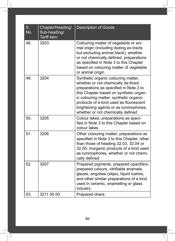| $S_{1}$<br>No. | Chapter/Heading/<br>Sub-heading/<br><b>Tariff item</b> | <b>Description of Goods</b>                                                                                                                                                                                                                                                                                                       |
|----------------|--------------------------------------------------------|-----------------------------------------------------------------------------------------------------------------------------------------------------------------------------------------------------------------------------------------------------------------------------------------------------------------------------------|
| 48.            | 3203                                                   | Colouring matter of vegetable or ani-<br>mal origin (including dyeing ex-tracts<br>but excluding animal black), whether<br>or not chemically defined; preparations<br>as specified in Note 3 to this Chapter<br>based on colouring matter of vegetable<br>or animal origin                                                        |
| 49.            | 3204                                                   | Synthetic organic colouring matter,<br>whether or not chemically de-fined;<br>preparations as specified in Note 3 to<br>this Chapter based on synthetic organ-<br>ic colouring matter; synthetic organic<br>products of a kind used as fluorescent<br>brightening agents or as luminophores,<br>whether or not chemically defined |
| 50.            | 3205                                                   | Colour lakes; preparations as speci-<br>fied in Note 3 to this Chapter based on<br>colour lakes                                                                                                                                                                                                                                   |
| 51.            | 3206                                                   | Other colouring matter; preparations as<br>specified in Note 3 to this Chapter, other<br>than those of heading 32.03, 32.04 or<br>32.05; inorganic products of a kind used<br>as luminophores, whether or not chemi-<br>cally defined                                                                                             |
| 52.            | 3207                                                   | Prepared pigments, prepared opacifiers,<br>prepared colours, vitrifiable enamels,<br>glazes, engobes (slips), liquid lustres,<br>and other similar preparations of a kind<br>used in ceramic, enamelling or glass<br>industry                                                                                                     |
| 53.            | 3211 00 00                                             | Prepared driers                                                                                                                                                                                                                                                                                                                   |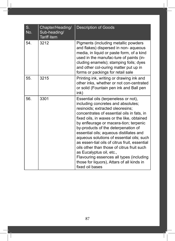| $S_{1}$<br>No. | Chapter/Heading/<br>Sub-heading/<br><b>Tariff item</b> | <b>Description of Goods</b>                                                                                                                                                                                                                                                                                                                                                                                                                                                                                                                                                                                                 |
|----------------|--------------------------------------------------------|-----------------------------------------------------------------------------------------------------------------------------------------------------------------------------------------------------------------------------------------------------------------------------------------------------------------------------------------------------------------------------------------------------------------------------------------------------------------------------------------------------------------------------------------------------------------------------------------------------------------------------|
| 54.            | 3212                                                   | Pigments (including metallic powders<br>and flakes) dispersed in non- aqueous<br>media, in liquid or paste form, of a kind<br>used in the manufac-ture of paints (in-<br>cluding enamels); stamping foils; dyes<br>and other col-ouring matter put up in<br>forms or packings for retail sale                                                                                                                                                                                                                                                                                                                               |
| 55.            | 3215                                                   | Printing ink, writing or drawing ink and<br>other inks, whether or not con-centrated<br>or solid (Fountain pen ink and Ball pen<br>ink)                                                                                                                                                                                                                                                                                                                                                                                                                                                                                     |
| 56.            | 3301                                                   | Essential oils (terpeneless or not),<br>including concretes and absolutes;<br>resinoids; extracted oleoresins;<br>concentrates of essential oils in fats, in<br>fixed oils, in waxes or the like, obtained<br>by enfleurage or macera-tion; terpenic<br>by-products of the deterpenation of<br>essential oils; aqueous distillates and<br>aqueous solutions of essential oils; such<br>as essen-tial oils of citrus fruit, essential<br>oils other than those of citrus fruit such<br>as Eucalyptus oil, etc.,<br>Flavouring essences all types (including<br>those for liquors), Attars of all kinds in<br>fixed oil bases |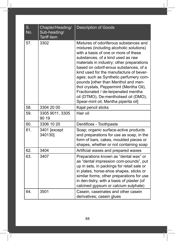| S.<br>No. | Chapter/Heading/<br>Sub-heading/<br><b>Tariff item</b> | <b>Description of Goods</b>                                                                                                                                                                                                                                                                                                                                                                                                                                                                                                                           |
|-----------|--------------------------------------------------------|-------------------------------------------------------------------------------------------------------------------------------------------------------------------------------------------------------------------------------------------------------------------------------------------------------------------------------------------------------------------------------------------------------------------------------------------------------------------------------------------------------------------------------------------------------|
| 57.       | 3302                                                   | Mixtures of odoriferous substances and<br>mixtures (including alcoholic solutions)<br>with a basis of one or more of these<br>substances, of a kind used as raw<br>materials in industry; other preparations<br>based on odorif-erous substances, of a<br>kind used for the manufacture of bever-<br>ages; such as Synthetic perfumery com-<br>pounds [other than Menthol and men-<br>thol crystals, Peppermint (Mentha Oil),<br>Fractionated / de-terpenated mentha<br>oil (DTMO), De-mentholised oil (DMO),<br>Spear-mint oil, Mentha piperita oil] |
| 58.       | 3304 20 00                                             | Kajal pencil sticks                                                                                                                                                                                                                                                                                                                                                                                                                                                                                                                                   |
| 59.       | 3305 9011, 3305<br>90 19                               | Hair oil                                                                                                                                                                                                                                                                                                                                                                                                                                                                                                                                              |
| 60.       | 3306 10 20                                             | Dentifices - Toothpaste                                                                                                                                                                                                                                                                                                                                                                                                                                                                                                                               |
| 61.       | 3401 [except<br>3401301                                | Soap; organic surface-active products<br>and preparations for use as soap, in the<br>form of bars, cakes, moulded pieces or<br>shapes, whether or not containing soap                                                                                                                                                                                                                                                                                                                                                                                 |
| 62.       | 3404                                                   | Artificial waxes and prepared waxes                                                                                                                                                                                                                                                                                                                                                                                                                                                                                                                   |
| 63.       | 3407                                                   | Preparations known as "dental wax" or<br>as "dental impression com-pounds", put<br>up in sets, in packings for retail sale or<br>in plates, horse-shoe shapes, sticks or<br>similar forms; other preparations for use<br>in den-tistry, with a basis of plaster (of<br>calcined gypsum or calcium sulphate)                                                                                                                                                                                                                                           |
| 64.       | 3501                                                   | Casein, caseinates and other casein<br>derivatives; casein glues                                                                                                                                                                                                                                                                                                                                                                                                                                                                                      |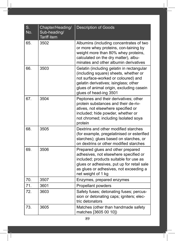| $S_{-}$<br>No. | Chapter/Heading/<br>Sub-heading/<br><b>Tariff item</b> | <b>Description of Goods</b>                                                                                                                                                                                                              |
|----------------|--------------------------------------------------------|------------------------------------------------------------------------------------------------------------------------------------------------------------------------------------------------------------------------------------------|
| 65.            | 3502                                                   | Albumins (including concentrates of two<br>or more whey proteins, con-taining by<br>weight more than 80% whey proteins,<br>calculated on the dry matter), albu-<br>minates and other albumin derivatives                                 |
| 66.            | 3503                                                   | Gelatin (including gelatin in rectangular<br>(including square) sheets, whether or<br>not surface-worked or coloured) and<br>gelatin derivatives; isinglass; other<br>glues of animal origin, excluding casein<br>glues of head-ing 3501 |
| 67.            | 3504                                                   | Peptones and their derivatives; other<br>protein substances and their de-riv-<br>atives, not elsewhere specified or<br>included; hide powder, whether or<br>not chromed; including Isolated soya<br>protein                              |
| 68.            | 3505                                                   | Dextrins and other modified starches<br>(for example, pregelatinised or esterified<br>starches); glues based on starches, or<br>on dextrins or other modified starches                                                                   |
| 69.            | 3506                                                   | Prepared glues and other prepared<br>adhesives, not elsewhere specified or<br>included; products suitable for use as<br>glues or adhesives, put up for retail sale<br>as glues or adhesives, not exceeding a<br>net weight of 1 kg       |
| 70.            | 3507                                                   | Enzymes, prepared enzymes                                                                                                                                                                                                                |
| 71.            | 3601                                                   | Propellant powders                                                                                                                                                                                                                       |
| 72.            | 3603                                                   | Safety fuses; detonating fuses; percus-<br>sion or detonating caps; igniters; elec-<br>tric detonators                                                                                                                                   |
| 73.            | 3605                                                   | Matches (other than handmade safety<br>matches [3605 00 10])                                                                                                                                                                             |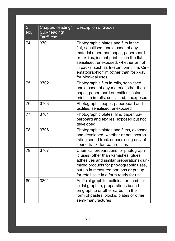| S.<br>$\overline{\text{No}}$ . | Chapter/Heading/<br>Sub-heading/<br><b>Tariff item</b> | <b>Description of Goods</b>                                                                                                                                                                                                                                                                                                 |
|--------------------------------|--------------------------------------------------------|-----------------------------------------------------------------------------------------------------------------------------------------------------------------------------------------------------------------------------------------------------------------------------------------------------------------------------|
| 74.                            | 3701                                                   | Photographic plates and film in the<br>flat, sensitised, unexposed, of any<br>material other than paper, paperboard<br>or textiles; instant print film in the flat,<br>sensitised, unexposed, whether or not<br>in packs; such as In-stant print film, Cin-<br>ematographic film (other than for x-ray<br>for Medi-cal use) |
| 75.                            | 3702                                                   | Photographic film in rolls, sensitised,<br>unexposed, of any material other than<br>paper, paperboard or textiles; instant<br>print film in rolls, sensitised, unexposed                                                                                                                                                    |
| 76.                            | 3703                                                   | Photographic paper, paperboard and<br>textiles, sensitised, unexposed                                                                                                                                                                                                                                                       |
| 77.                            | 3704                                                   | Photographic plates, film, paper, pa-<br>perboard and textiles, exposed but not<br>developed                                                                                                                                                                                                                                |
| 78.                            | 3706                                                   | Photographic plates and films, exposed<br>and developed, whether or not incorpo-<br>rating sound track or consisting only of<br>sound track, for feature films                                                                                                                                                              |
| 79.                            | 3707                                                   | Chemical preparations for photograph-<br>ic uses (other than varnishes, glues,<br>adhesives and similar preparations); un-<br>mixed products for pho-tographic uses,<br>put up in measured portions or put up<br>for retail sale in a form ready for use                                                                    |
| 80.                            | 3801                                                   | Artificial graphite; colloidal or semi-col-<br>loidal graphite; preparations based<br>on graphite or other carbon in the<br>form of pastes, blocks, plates or other<br>semi-manufactures                                                                                                                                    |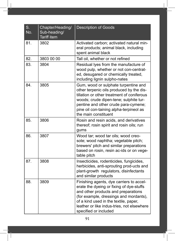| $\overline{\mathsf{S}}$ .<br>No. | Chapter/Heading/<br>Sub-heading/<br><b>Tariff item</b> | <b>Description of Goods</b>                                                                                                                                                                                                                                                           |
|----------------------------------|--------------------------------------------------------|---------------------------------------------------------------------------------------------------------------------------------------------------------------------------------------------------------------------------------------------------------------------------------------|
| 81.                              | 3802                                                   | Activated carbon; activated natural min-<br>eral products; animal black, including<br>spent animal black                                                                                                                                                                              |
| 82.                              | 3803 00 00                                             | Tall oil, whether or not refined                                                                                                                                                                                                                                                      |
| 83.                              | 3804                                                   | Residual lyes from the manufacture of<br>wood pulp, whether or not con-centrat-<br>ed, desugared or chemically treated,<br>including lignin sulpho-nates                                                                                                                              |
| 84.                              | 3805                                                   | Gum, wood or sulphate turpentine and<br>other terpenic oils produced by the dis-<br>tillation or other treatment of coniferous<br>woods; crude dipen-tene; sulphite tur-<br>pentine and other crude para-cymene;<br>pine oil con-taining alpha-terpineol as<br>the main constituent   |
| 85.                              | 3806                                                   | Rosin and resin acids, and derivatives<br>thereof; rosin spirit and rosin oils; run<br>gums                                                                                                                                                                                           |
| 86.                              | 3807                                                   | Wood tar; wood tar oils; wood creo-<br>sote; wood naphtha; vegetable pitch;<br>brewers' pitch and similar preparations<br>based on rosin, resin ac-ids or on vege-<br>table pitch                                                                                                     |
| 87.                              | 3808                                                   | Insecticides, rodenticides, fungicides,<br>herbicides, anti-sprouting prod-ucts and<br>plant-growth regulators, disinfectants<br>and similar products                                                                                                                                 |
| 88.                              | 3809                                                   | Finishing agents, dye carriers to accel-<br>erate the dyeing or fixing of dye-stuffs<br>and other products and preparations<br>(for example, dressings and mordants),<br>of a kind used in the textile, paper,<br>leather or like indus-tries, not elsewhere<br>specified or included |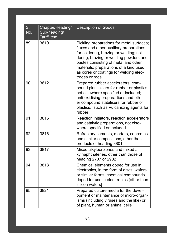| S.<br>No. | Chapter/Heading/<br>Sub-heading/<br><b>Tariff item</b> | <b>Description of Goods</b>                                                                                                                                                                                                                                                                                             |
|-----------|--------------------------------------------------------|-------------------------------------------------------------------------------------------------------------------------------------------------------------------------------------------------------------------------------------------------------------------------------------------------------------------------|
| 89.       | 3810                                                   | Pickling preparations for metal surfaces;<br>fluxes and other auxiliary preparations<br>for soldering, brazing or welding; sol-<br>dering, brazing or welding powders and<br>pastes consisting of metal and other<br>materials; preparations of a kind used<br>as cores or coatings for welding elec-<br>trodes or rods |
| 90.       | 3812                                                   | Prepared rubber accelerators; com-<br>pound plasticisers for rubber or plastics,<br>not elsewhere specified or included;<br>anti-oxidising prepara-tions and oth-<br>er compound stabilisers for rubber or<br>plastics.; such as Vulcanizing agents for<br>rubber                                                       |
| 91.       | 3815                                                   | Reaction initiators, reaction accelerators<br>and catalytic preparations, not else-<br>where specified or included                                                                                                                                                                                                      |
| 92.       | 3816                                                   | Refractory cements, mortars, concretes<br>and similar compositions, other than<br>products of heading 3801                                                                                                                                                                                                              |
| 93.       | 3817                                                   | Mixed alkylbenzenes and mixed al-<br>kylnaphthalenes, other than those of<br>heading 2707 or 2902                                                                                                                                                                                                                       |
| 94.       | 3818                                                   | Chemical elements doped for use in<br>electronics, in the form of discs, wafers<br>or similar forms; chemical compounds<br>doped for use in elec-tronics [other than<br>silicon wafers]                                                                                                                                 |
| 95.       | 3821                                                   | Prepared culture media for the devel-<br>opment or maintenance of micro-organ-<br>isms (including viruses and the like) or<br>of plant, human or animal cells                                                                                                                                                           |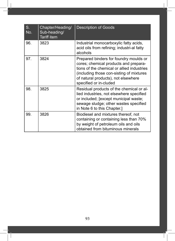| $S_{-}$<br>No. | Chapter/Heading/<br>Sub-heading/<br><b>Tariff item</b> | <b>Description of Goods</b>                                                                                                                                                                                                                |
|----------------|--------------------------------------------------------|--------------------------------------------------------------------------------------------------------------------------------------------------------------------------------------------------------------------------------------------|
| 96.            | 3823                                                   | Industrial monocarboxylic fatty acids,<br>acid oils from refining; industri-al fatty<br>alcohols                                                                                                                                           |
| 97.            | 3824                                                   | Prepared binders for foundry moulds or<br>cores; chemical products and prepara-<br>tions of the chemical or allied industries<br>(including those con-sisting of mixtures<br>of natural products), not elsewhere<br>specified or in-cluded |
| 98.            | 3825                                                   | Residual products of the chemical or al-<br>lied industries, not elsewhere specified<br>or included; [except municipal waste;<br>sewage sludge; other wastes specified<br>in Note 6 to this Chapter.]                                      |
| 99.            | 3826                                                   | Biodiesel and mixtures thereof, not<br>containing or containing less than 70%<br>by weight of petroleum oils and oils<br>obtained from bituminous minerals                                                                                 |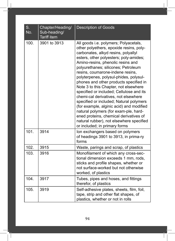| S.<br>No. | Chapter/Heading/<br>Sub-heading/<br><b>Tariff item</b> | <b>Description of Goods</b>                                                                                                                                                                                                                                                                                                                                                                                                                                                                                                                                                                                                                                                                                                                               |
|-----------|--------------------------------------------------------|-----------------------------------------------------------------------------------------------------------------------------------------------------------------------------------------------------------------------------------------------------------------------------------------------------------------------------------------------------------------------------------------------------------------------------------------------------------------------------------------------------------------------------------------------------------------------------------------------------------------------------------------------------------------------------------------------------------------------------------------------------------|
| 100.      | 3901 to 3913                                           | All goods i.e. polymers; Polyacetals,<br>other polyethers, epoxide resins, poly-<br>carbonates, alkyd resins, polyallyl<br>esters, other polyesters; poly-amides;<br>Amino-resins, phenolic resins and<br>polyurethanes; silicones; Petroleum<br>resins, coumarone-indene resins,<br>polyterpenes, polysul-phides, polysul-<br>phones and other products specified in<br>Note 3 to this Chapter, not elsewhere<br>specified or included; Cellulose and its<br>chemi-cal derivatives, not elsewhere<br>specified or included; Natural polymers<br>(for example, alginic acid) and modified<br>natural polymers (for exam-ple, hard-<br>ened proteins, chemical derivatives of<br>natural rubber), not elsewhere specified<br>or included; in primary forms |
| 101.      | 3914                                                   | Ion exchangers based on polymers<br>of headings 3901 to 3913, in prima-ry<br>forms                                                                                                                                                                                                                                                                                                                                                                                                                                                                                                                                                                                                                                                                        |
| 102.      | 3915                                                   | Waste, parings and scrap, of plastics                                                                                                                                                                                                                                                                                                                                                                                                                                                                                                                                                                                                                                                                                                                     |
| 103.      | 3916                                                   | Monofilament of which any cross-sec-<br>tional dimension exceeds 1 mm, rods,<br>sticks and profile shapes, whether or<br>not surface-worked but not otherwise<br>worked, of plastics                                                                                                                                                                                                                                                                                                                                                                                                                                                                                                                                                                      |
| 104.      | 3917                                                   | Tubes, pipes and hoses, and fittings<br>therefor, of plastics                                                                                                                                                                                                                                                                                                                                                                                                                                                                                                                                                                                                                                                                                             |
| 105.      | 3919                                                   | Self-adhesive plates, sheets, film, foil,<br>tape, strip and other flat shapes, of<br>plastics, whether or not in rolls                                                                                                                                                                                                                                                                                                                                                                                                                                                                                                                                                                                                                                   |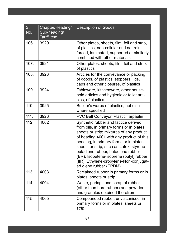| $S_{-}$<br>No. | Chapter/Heading/<br>Sub-heading/<br><b>Tariff item</b> | <b>Description of Goods</b>                                                                                                                                                                                                                                                                                                                                                                                           |
|----------------|--------------------------------------------------------|-----------------------------------------------------------------------------------------------------------------------------------------------------------------------------------------------------------------------------------------------------------------------------------------------------------------------------------------------------------------------------------------------------------------------|
| 106.           | 3920                                                   | Other plates, sheets, film, foil and strip,<br>of plastics, non-cellular and not rein-<br>forced, laminated, supported or similarly<br>combined with other materials                                                                                                                                                                                                                                                  |
| 107.           | 3921                                                   | Other plates, sheets, film, foil and strip,<br>of plastics                                                                                                                                                                                                                                                                                                                                                            |
| 108.           | 3923                                                   | Articles for the conveyance or packing<br>of goods, of plastics; stoppers, lids,<br>caps and other closures, of plastics                                                                                                                                                                                                                                                                                              |
| 109.           | 3924                                                   | Tableware, kitchenware, other house-<br>hold articles and hygienic or toilet arti-<br>cles, of plastics                                                                                                                                                                                                                                                                                                               |
| 110.           | 3925                                                   | Builder's wares of plastics, not else-<br>where specified                                                                                                                                                                                                                                                                                                                                                             |
| 111.           | 3926                                                   | PVC Belt Conveyor, Plastic Tarpaulin                                                                                                                                                                                                                                                                                                                                                                                  |
| 112.           | 4002                                                   | Synthetic rubber and factice derived<br>from oils, in primary forms or in plates,<br>sheets or strip; mixtures of any product<br>of heading 4001 with any product of this<br>heading, in primary forms or in plates,<br>sheets or strip; such as Latex, styrene<br>butadiene rubber, butadiene rubber<br>(BR), Isobutene-isoprene (butyl) rubber<br>(IIR), Ethylene-propylene-Non-conjugat-<br>ed diene rubber (EPDM) |
| 113.           | 4003                                                   | Reclaimed rubber in primary forms or in<br>plates, sheets or strip                                                                                                                                                                                                                                                                                                                                                    |
| 114.           | 4004                                                   | Waste, parings and scrap of rubber<br>(other than hard rubber) and pow-ders<br>and granules obtained therefrom                                                                                                                                                                                                                                                                                                        |
| 115.           | 4005                                                   | Compounded rubber, unvulcanised, in<br>primary forms or in plates, sheets or<br>strip                                                                                                                                                                                                                                                                                                                                 |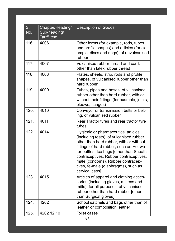| $S_{-}$<br>No. | Chapter/Heading/<br>Sub-heading/<br><b>Tariff item</b> | <b>Description of Goods</b>                                                                                                                                                                                                                                                                                                                                |
|----------------|--------------------------------------------------------|------------------------------------------------------------------------------------------------------------------------------------------------------------------------------------------------------------------------------------------------------------------------------------------------------------------------------------------------------------|
| 116.           | 4006                                                   | Other forms (for example, rods, tubes<br>and profile shapes) and articles (for ex-<br>ample, discs and rings), of unvulcanised<br>rubber                                                                                                                                                                                                                   |
| 117.           | 4007                                                   | Vulcanised rubber thread and cord,<br>other than latex rubber thread                                                                                                                                                                                                                                                                                       |
| 118.           | 4008                                                   | Plates, sheets, strip, rods and profile<br>shapes, of vulcanised rubber other than<br>hard rubber                                                                                                                                                                                                                                                          |
| 119.           | 4009                                                   | Tubes, pipes and hoses, of vulcanised<br>rubber other than hard rubber, with or<br>without their fittings (for example, joints,<br>elbows, flanges)                                                                                                                                                                                                        |
| 120.           | 4010                                                   | Conveyor or transmission belts or belt-<br>ing, of vulcanised rubber                                                                                                                                                                                                                                                                                       |
| 121.           | 4011                                                   | Rear Tractor tyres and rear tractor tyre<br>tubes                                                                                                                                                                                                                                                                                                          |
| 122.           | 4014                                                   | Hygienic or pharmaceutical articles<br>(including teats), of vulcanised rubber<br>other than hard rubber, with or without<br>fittings of hard rubber; such as Hot wa-<br>ter bottles, Ice bags [other than Sheath<br>contraceptives, Rubber contraceptives,<br>male (condoms), Rubber contracep-<br>tives, fe-male (diaphragms), such as<br>cervical caps] |
| 123.           | 4015                                                   | Articles of apparel and clothing acces-<br>sories (including gloves, mittens and<br>mitts), for all purposes, of vulcanised<br>rubber other than hard rubber [other<br>than Surgical gloves]                                                                                                                                                               |
| 124.           | 4202                                                   | School satchels and bags other than of<br>leather or composition leather                                                                                                                                                                                                                                                                                   |
| 125.           | 4202 12 10                                             | <b>Toilet cases</b>                                                                                                                                                                                                                                                                                                                                        |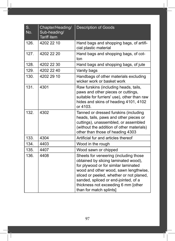| $S_{-}$<br>$\overline{\text{No}}$ . | Chapter/Heading/<br>Sub-heading/<br><b>Tariff item</b> | <b>Description of Goods</b>                                                                                                                                                                                                                                                                                          |
|-------------------------------------|--------------------------------------------------------|----------------------------------------------------------------------------------------------------------------------------------------------------------------------------------------------------------------------------------------------------------------------------------------------------------------------|
| 126.                                | 4202 22 10                                             | Hand bags and shopping bags, of artifi-<br>cial plastic material                                                                                                                                                                                                                                                     |
| 127.                                | 4202 22 20                                             | Hand bags and shopping bags, of cot-<br>ton                                                                                                                                                                                                                                                                          |
| 128.                                | 4202 22 30                                             | Hand bags and shopping bags, of jute                                                                                                                                                                                                                                                                                 |
| 129.                                | 4202 22 40                                             | Vanity bags                                                                                                                                                                                                                                                                                                          |
| 130.                                | 4202 29 10                                             | Handbags of other materials excluding<br>wicker work or basket work                                                                                                                                                                                                                                                  |
| 131.                                | 4301                                                   | Raw furskins (including heads, tails,<br>paws and other pieces or cuttings,<br>suitable for furriers' use), other than raw<br>hides and skins of heading 4101, 4102<br>or 4103.                                                                                                                                      |
| 132.                                | 4302                                                   | Tanned or dressed furskins (including<br>heads, tails, paws and other pieces or<br>cuttings), unassembled, or assembled<br>(without the addition of other materials)<br>other than those of heading 4303                                                                                                             |
| 133.                                | 4304                                                   | Artificial fur and articles thereof                                                                                                                                                                                                                                                                                  |
| 134.                                | 4403                                                   | Wood in the rough                                                                                                                                                                                                                                                                                                    |
| 135.                                | 4407                                                   | Wood sawn or chipped                                                                                                                                                                                                                                                                                                 |
| 136.                                | 4408                                                   | Sheets for veneering (including those<br>obtained by slicing laminated wood),<br>for plywood or for similar laminated<br>wood and other wood, sawn lengthwise,<br>sliced or peeled, whether or not planed,<br>sanded, spliced or end-jointed, of a<br>thickness not exceeding 6 mm [other<br>than for match splints] |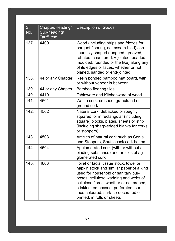| $S_{-}$<br>$\overline{\text{No}}$ . | Chapter/Heading/<br>Sub-heading/<br><b>Tariff item</b> | <b>Description of Goods</b>                                                                                                                                                                                                                                                                                                  |
|-------------------------------------|--------------------------------------------------------|------------------------------------------------------------------------------------------------------------------------------------------------------------------------------------------------------------------------------------------------------------------------------------------------------------------------------|
| 137.                                | 4409                                                   | Wood (including strips and friezes for<br>parquet flooring, not assem-bled) con-<br>tinuously shaped (tongued, grooved,<br>rebated, chamfered, v-jointed, beaded,<br>moulded, rounded or the like) along any<br>of its edges or faces, whether or not<br>planed, sanded or end-jointed                                       |
| 138.                                | 44 or any Chapter                                      | Resin bonded bamboo mat board, with<br>or without veneer in between                                                                                                                                                                                                                                                          |
| 139.                                | 44 or any Chapter                                      | Bamboo flooring tiles                                                                                                                                                                                                                                                                                                        |
| 140.                                | 4419                                                   | Tableware and Kitchenware of wood                                                                                                                                                                                                                                                                                            |
| 141.                                | 4501                                                   | Waste cork; crushed, granulated or<br>ground cork                                                                                                                                                                                                                                                                            |
| 142.                                | 4502                                                   | Natural cork, debacked or roughly<br>squared, or in rectangular (including<br>square) blocks, plates, sheets or strip<br>(including sharp-edged blanks for corks<br>or stoppers)                                                                                                                                             |
| 143.                                | 4503                                                   | Articles of natural cork such as Corks<br>and Stoppers, Shuttlecock cork bottom                                                                                                                                                                                                                                              |
| 144.                                | 4504                                                   | Agglomerated cork (with or without a<br>binding substance) and articles of ag-<br>glomerated cork                                                                                                                                                                                                                            |
| 145.                                | 4803                                                   | Toilet or facial tissue stock, towel or<br>napkin stock and similar paper of a kind<br>used for household or sanitary pur-<br>poses, cellulose wadding and webs of<br>cellulose fibres, whether or not creped,<br>crinkled, embossed, perforated, sur-<br>face-coloured, surface-decorated or<br>printed, in rolls or sheets |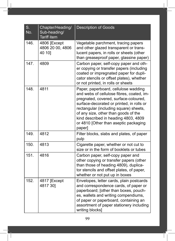| $S_{-}$<br>No. | Chapter/Heading/<br>Sub-heading/<br><b>Tariff item</b> | <b>Description of Goods</b>                                                                                                                                                                                                                                                                                                                          |
|----------------|--------------------------------------------------------|------------------------------------------------------------------------------------------------------------------------------------------------------------------------------------------------------------------------------------------------------------------------------------------------------------------------------------------------------|
| 146.           | 4806 [Except<br>4806 20 00, 4806<br>40 10]             | Vegetable parchment, tracing papers<br>and other glazed transparent or trans-<br>lucent papers, in rolls or sheets (other<br>than greaseproof paper, glassine paper)                                                                                                                                                                                 |
| 147.           | 4809                                                   | Carbon paper, self-copy paper and oth-<br>er copying or transfer papers (including<br>coated or impregnated paper for dupli-<br>cator stencils or offset plates), whether<br>or not printed, in rolls or sheets                                                                                                                                      |
| 148.           | 4811                                                   | Paper, paperboard, cellulose wadding<br>and webs of cellulose fibres, coated, im-<br>pregnated, covered, surface-coloured,<br>surface-decorated or printed, in rolls or<br>rectangular (including square) sheets,<br>of any size, other than goods of the<br>kind described in heading 4803, 4809<br>or 4810 [Other than aseptic packaging<br>paper] |
| 149.           | 4812                                                   | Filter blocks, slabs and plates, of paper<br>pulp                                                                                                                                                                                                                                                                                                    |
| 150.           | 4813                                                   | Cigarette paper, whether or not cut to<br>size or in the form of booklets or tubes                                                                                                                                                                                                                                                                   |
| 151.           | 4816                                                   | Carbon paper, self-copy paper and<br>other copying or transfer papers (other<br>than those of heading 4809), duplica-<br>tor stencils and offset plates, of paper,<br>whether or not put up in boxes                                                                                                                                                 |
| 152.           | 4817 [Except<br>4817 30]                               | Envelopes, letter cards, plain postcards<br>and correspondence cards, of paper or<br>paperboard; [other than boxes, pouch-<br>es, wallets and writing compendiums,<br>of paper or paperboard, containing an<br>assortment of paper stationery including<br>writing blocks]                                                                           |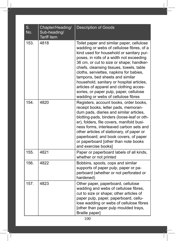| $S_{-}$<br>No. | Chapter/Heading/<br>Sub-heading/<br><b>Tariff item</b> | <b>Description of Goods</b>                                                                                                                                                                                                                                                                                                                                                                                                                                                                                                    |
|----------------|--------------------------------------------------------|--------------------------------------------------------------------------------------------------------------------------------------------------------------------------------------------------------------------------------------------------------------------------------------------------------------------------------------------------------------------------------------------------------------------------------------------------------------------------------------------------------------------------------|
| 153.           | 4818                                                   | Toilet paper and similar paper, cellulose<br>wadding or webs of cellulose fibres, of a<br>kind used for household or sanitary pur-<br>poses, in rolls of a width not exceeding<br>36 cm, or cut to size or shape; handker-<br>chiefs, cleansing tissues, towels, table<br>cloths, serviettes, napkins for babies,<br>tampons, bed sheets and similar<br>household, sanitary or hospital articles,<br>articles of apparel and clothing acces-<br>sories, or paper pulp, paper, cellulose<br>wadding or webs of cellulose fibres |
| 154.           | 4820                                                   | Registers, account books, order books,<br>receipt books, letter pads, memoran-<br>dum pads, diaries and similar articles,<br>blotting-pads, binders (loose-leaf or oth-<br>er), folders, file covers, manifold busi-<br>ness forms, interleaved carbon sets and<br>other articles of stationary, of paper or<br>paperboard; and book covers, of paper<br>or paperboard [other than note books<br>and exercise books]                                                                                                           |
| 155.           | 4821                                                   | Paper or paperboard labels of all kinds,<br>whether or not printed                                                                                                                                                                                                                                                                                                                                                                                                                                                             |
| 156.           | 4822                                                   | Bobbins, spools, cops and similar<br>supports of paper pulp, paper or pa-<br>perboard (whether or not perforated or<br>hardened)                                                                                                                                                                                                                                                                                                                                                                                               |
| 157.           | 4823                                                   | Other paper, paperboard, cellulose<br>wadding and webs of cellulose fibres,<br>cut to size or shape; other articles of<br>paper pulp, paper, paperboard, cellu-<br>lose wadding or webs of cellulose fibres<br>[other than paper pulp moulded trays,<br>Braille paper]                                                                                                                                                                                                                                                         |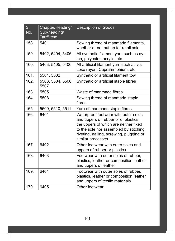| $S_{1}$<br>No. | Chapter/Heading/<br>Sub-heading/<br><b>Tariff item</b> | <b>Description of Goods</b>                                                                                                                                                                                                       |
|----------------|--------------------------------------------------------|-----------------------------------------------------------------------------------------------------------------------------------------------------------------------------------------------------------------------------------|
| 158.           | 5401                                                   | Sewing thread of manmade filaments,<br>whether or not put up for retail sale                                                                                                                                                      |
| 159.           | 5402, 5404, 5406                                       | All synthetic filament yarn such as ny-<br>lon, polyester, acrylic, etc.                                                                                                                                                          |
| 160.           | 5403, 5405, 5406                                       | All artificial filament yarn such as vis-<br>cose rayon, Cuprammonium, etc.                                                                                                                                                       |
| 161.           | 5501, 5502                                             | Synthetic or artificial filament tow                                                                                                                                                                                              |
| 162.           | 5503, 5504, 5506,<br>5507                              | Synthetic or artificial staple fibres                                                                                                                                                                                             |
| 163.           | 5505                                                   | Waste of manmade fibres                                                                                                                                                                                                           |
| 164.           | 5508                                                   | Sewing thread of manmade staple<br>fibres                                                                                                                                                                                         |
| 165.           | 5509, 5510, 5511                                       | Yarn of manmade staple fibres                                                                                                                                                                                                     |
| 166.           | 6401                                                   | Waterproof footwear with outer soles<br>and uppers of rubber or of plastics,<br>the uppers of which are neither fixed<br>to the sole nor assembled by stitching,<br>riveting, nailing, screwing, plugging or<br>similar processes |
| 167.           | 6402                                                   | Other footwear with outer soles and<br>uppers of rubber or plastics                                                                                                                                                               |
| 168.           | 6403                                                   | Footwear with outer soles of rubber,<br>plastics, leather or composition leather<br>and uppers of leather                                                                                                                         |
| 169.           | 6404                                                   | Footwear with outer soles of rubber,<br>plastics, leather or composition leather<br>and uppers of textile materials                                                                                                               |
| 170.           | 6405                                                   | Other footwear                                                                                                                                                                                                                    |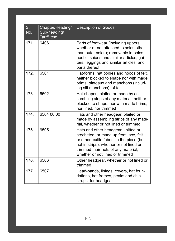| $S_{1}$<br>No. | Chapter/Heading/<br>Sub-heading/<br><b>Tariff item</b> | <b>Description of Goods</b>                                                                                                                                                                                                                     |
|----------------|--------------------------------------------------------|-------------------------------------------------------------------------------------------------------------------------------------------------------------------------------------------------------------------------------------------------|
| 171.           | 6406                                                   | Parts of footwear (including uppers<br>whether or not attached to soles other<br>than outer soles); removable in-soles,<br>heel cushions and similar articles; gai-<br>ters, leggings and similar articles, and<br>parts thereof                |
| 172.           | 6501                                                   | Hat-forms, hat bodies and hoods of felt,<br>neither blocked to shape nor with made<br>brims; plateaux and manchons (includ-<br>ing slit manchons), of felt                                                                                      |
| 173.           | 6502                                                   | Hat-shapes, plaited or made by as-<br>sembling strips of any material, neither<br>blocked to shape, nor with made brims,<br>nor lined, nor trimmed                                                                                              |
| 174.           | 6504 00 00                                             | Hats and other headgear, plaited or<br>made by assembling strips of any mate-<br>rial, whether or not lined or trimmed                                                                                                                          |
| 175.           | 6505                                                   | Hats and other headgear, knitted or<br>crocheted, or made up from lace, felt<br>or other textile fabric, in the piece (but<br>not in strips), whether or not lined or<br>trimmed; hair-nets of any material,<br>whether or not lined or trimmed |
| 176.           | 6506                                                   | Other headgear, whether or not lined or<br>trimmed                                                                                                                                                                                              |
| 177.           | 6507                                                   | Head-bands, linings, covers, hat foun-<br>dations, hat frames, peaks and chin-<br>straps, for headgear                                                                                                                                          |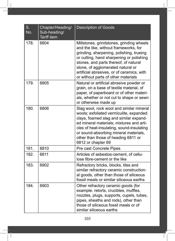| S.<br>No. | Chapter/Heading/<br>Sub-heading/<br><b>Tariff item</b> | <b>Description of Goods</b>                                                                                                                                                                                                                                                                                                                  |
|-----------|--------------------------------------------------------|----------------------------------------------------------------------------------------------------------------------------------------------------------------------------------------------------------------------------------------------------------------------------------------------------------------------------------------------|
| 178.      | 6804                                                   | Millstones, grindstones, grinding wheels<br>and the like, without frameworks, for<br>grinding, sharpening, polishing, trueing<br>or cutting, hand sharpening or polishing<br>stones, and parts thereof, of natural<br>stone, of agglomerated natural or<br>artificial abrasives, or of ceramics, with<br>or without parts of other materials |
| 179.      | 6805                                                   | Natural or artificial abrasive powder or<br>grain, on a base of textile material, of<br>paper, of paperboard or of other materi-<br>als, whether or not cut to shape or sewn<br>or otherwise made up                                                                                                                                         |
| 180.      | 6806                                                   | Slag wool, rock wool and similar mineral<br>wools; exfoliated vermiculite, expanded<br>clays, foamed slag and similar expand-<br>ed mineral materials; mixtures and arti-<br>cles of heat-insulating, sound-insulating<br>or sound-absorbing mineral materials,<br>other than those of heading 6811 or<br>6812 or chapter 69                 |
| 181.      | 6810                                                   | Pre cast Concrete Pipes                                                                                                                                                                                                                                                                                                                      |
| 182.      | 6811                                                   | Articles of asbestos-cement, of cellu-<br>lose fibre-cement or the like                                                                                                                                                                                                                                                                      |
| 183.      | 6902                                                   | Refractory bricks, blocks, tiles and<br>similar refractory ceramic construction-<br>al goods, other than those of siliceous<br>fossil meals or similar siliceous earths                                                                                                                                                                      |
| 184.      | 6903                                                   | Other refractory ceramic goods (for<br>example, retorts, crucibles, muffles,<br>nozzles, plugs, supports, cupels, tubes,<br>pipes, sheaths and rods), other than<br>those of siliceous fossil meals or of<br>similar siliceous earths                                                                                                        |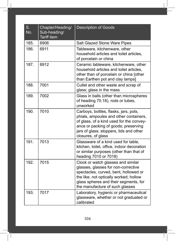| $S_{-}$<br>No. | Chapter/Heading/<br>Sub-heading/<br><b>Tariff item</b> | <b>Description of Goods</b>                                                                                                                                                                                                              |
|----------------|--------------------------------------------------------|------------------------------------------------------------------------------------------------------------------------------------------------------------------------------------------------------------------------------------------|
| 185.           | 6906                                                   | Salt Glazed Stone Ware Pipes                                                                                                                                                                                                             |
| 186.           | 6911                                                   | Tableware, kitchenware, other<br>household articles and toilet articles,<br>of porcelain or china                                                                                                                                        |
| 187.           | 6912                                                   | Ceramic tableware, kitchenware, other<br>household articles and toilet articles,<br>other than of porcelain or china [other<br>than Earthen pot and clay lamps]                                                                          |
| 188.           | 7001                                                   | Cullet and other waste and scrap of<br>glass; glass in the mass                                                                                                                                                                          |
| 189.           | 7002                                                   | Glass in balls (other than microspheres<br>of heading 70.18), rods or tubes,<br>unworked                                                                                                                                                 |
| 190.           | 7010                                                   | Carboys, bottles, flasks, jars, pots,<br>phials, ampoules and other containers,<br>of glass, of a kind used for the convey-<br>ance or packing of goods; preserving<br>jars of glass; stoppers, lids and other<br>closures, of glass     |
| 191.           | 7013                                                   | Glassware of a kind used for table.<br>kitchen, toilet, office, indoor decoration<br>or similar purposes (other than that of<br>heading 7010 or 7018)                                                                                    |
| 192.           | 7015                                                   | Clock or watch glasses and similar<br>glasses, glasses for non-corrective<br>spectacles, curved, bent, hollowed or<br>the like, not optically worked; hollow<br>glass spheres and their segments, for<br>the manufacture of such glasses |
| 193.           | 7017                                                   | Laboratory, hygienic or pharmaceutical<br>glassware, whether or not graduated or<br>calibrated                                                                                                                                           |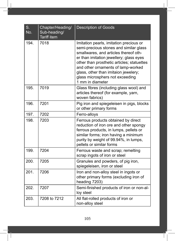| $S_{1}$<br>No. | Chapter/Heading/<br>Sub-heading/<br><b>Tariff item</b> | <b>Description of Goods</b>                                                                                                                                                                                                                                                                                                                              |
|----------------|--------------------------------------------------------|----------------------------------------------------------------------------------------------------------------------------------------------------------------------------------------------------------------------------------------------------------------------------------------------------------------------------------------------------------|
| 194.           | 7018                                                   | Imitation pearls, imitation precious or<br>semi-precious stones and similar glass<br>smallwares, and articles thereof oth-<br>er than imitation jewellery; glass eyes<br>other than prosthetic articles; statuettes<br>and other ornaments of lamp-worked<br>glass, other than imitaion jewelery;<br>glass microsphers not exceeding<br>1 mm in diameter |
| 195.           | 7019                                                   | Glass fibres (including glass wool) and<br>articles thereof (for example, yarn,<br>woven fabrics)                                                                                                                                                                                                                                                        |
| 196.           | 7201                                                   | Pig iron and spiegeleisen in pigs, blocks<br>or other primary forms                                                                                                                                                                                                                                                                                      |
| 197.           | 7202                                                   | Ferro-alloys                                                                                                                                                                                                                                                                                                                                             |
| 198.           | 7203                                                   | Ferrous products obtained by direct<br>reduction of iron ore and other spongy<br>ferrous products, in lumps, pellets or<br>similar forms; iron having a minimum<br>purity by weight of 99.94%, in lumps,<br>pellets or similar forms                                                                                                                     |
| 199.           | 7204                                                   | Ferrous waste and scrap; remelting<br>scrap ingots of iron or steel                                                                                                                                                                                                                                                                                      |
| 200.           | 7205                                                   | Granules and powders, of pig iron,<br>spiegeleisen, iron or steel                                                                                                                                                                                                                                                                                        |
| 201.           | 7206                                                   | Iron and non-alloy steel in ingots or<br>other primary forms (excluding iron of<br>heading 7203)                                                                                                                                                                                                                                                         |
| 202.           | 7207                                                   | Semi-finished products of iron or non-al-<br>loy steel                                                                                                                                                                                                                                                                                                   |
| 203.           | 7208 to 7212                                           | All flat-rolled products of iron or<br>non-alloy steel                                                                                                                                                                                                                                                                                                   |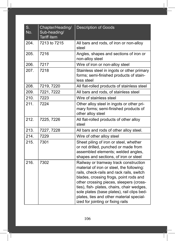| $S_{-}$<br>No. | Chapter/Heading/<br>Sub-heading/<br><b>Tariff item</b> | <b>Description of Goods</b>                                                                                                                                                                                                                                                                                                                                                                       |
|----------------|--------------------------------------------------------|---------------------------------------------------------------------------------------------------------------------------------------------------------------------------------------------------------------------------------------------------------------------------------------------------------------------------------------------------------------------------------------------------|
| 204.           | 7213 to 7215                                           | All bars and rods, of iron or non-alloy<br>steel                                                                                                                                                                                                                                                                                                                                                  |
| 205.           | 7216                                                   | Angles, shapes and sections of iron or<br>non-alloy steel                                                                                                                                                                                                                                                                                                                                         |
| 206.           | 7217                                                   | Wire of iron or non-alloy steel                                                                                                                                                                                                                                                                                                                                                                   |
| 207.           | 7218                                                   | Stainless steel in ingots or other primary<br>forms; semi-finished products of stain-<br>less steel                                                                                                                                                                                                                                                                                               |
| 208.           | 7219, 7220                                             | All flat-rolled products of stainless steel                                                                                                                                                                                                                                                                                                                                                       |
| 209.           | 7221, 7222                                             | All bars and rods, of stainless steel                                                                                                                                                                                                                                                                                                                                                             |
| 210.           | 7223                                                   | Wire of stainless steel                                                                                                                                                                                                                                                                                                                                                                           |
| 211.           | 7224                                                   | Other alloy steel in ingots or other pri-<br>mary forms; semi-finished products of<br>other alloy steel                                                                                                                                                                                                                                                                                           |
| 212.           | 7225, 7226                                             | All flat-rolled products of other alloy<br>steel                                                                                                                                                                                                                                                                                                                                                  |
| 213.           | 7227, 7228                                             | All bars and rods of other alloy steel.                                                                                                                                                                                                                                                                                                                                                           |
| 214.           | 7229                                                   | Wire of other alloy steel                                                                                                                                                                                                                                                                                                                                                                         |
| 215.           | 7301                                                   | Sheet piling of iron or steel, whether<br>or not drilled, punched or made from<br>assembled elements; welded angles,<br>shapes and sections, of iron or steel                                                                                                                                                                                                                                     |
| 216.           | 7302                                                   | Railway or tramway track construction<br>material of iron or steel, the following:<br>rails, check-rails and rack rails, switch<br>blades, crossing frogs, point rods and<br>other crossing pieces, sleepers (cross-<br>ties), fish- plates, chairs, chair wedges,<br>sole plates (base plates), rail clips bed-<br>plates, ties and other material special-<br>ized for jointing or fixing rails |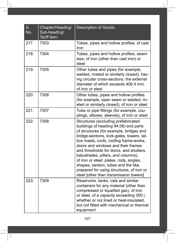| $S_{-}$<br>No. | Chapter/Heading/<br>Sub-heading/<br><b>Tariff item</b> | <b>Description of Goods</b>                                                                                                                                                                                                                                                                                                                                                                                                                                                                                       |
|----------------|--------------------------------------------------------|-------------------------------------------------------------------------------------------------------------------------------------------------------------------------------------------------------------------------------------------------------------------------------------------------------------------------------------------------------------------------------------------------------------------------------------------------------------------------------------------------------------------|
| 217.           | 7303                                                   | Tubes, pipes and hollow profiles, of cast<br>iron                                                                                                                                                                                                                                                                                                                                                                                                                                                                 |
| 218.           | 7304                                                   | Tubes, pipes and hollow profiles, seam-<br>less, of iron (other than cast iron) or<br>steel                                                                                                                                                                                                                                                                                                                                                                                                                       |
| 219.           | 7305                                                   | Other tubes and pipes (for example,<br>welded, riveted or similarly closed), hav-<br>ing circular cross-sections, the external<br>diameter of which exceeds 406.4 mm,<br>of iron or steel                                                                                                                                                                                                                                                                                                                         |
| 220.           | 7306                                                   | Other tubes, pipes and hollow profiles<br>(for example, open seam or welded, riv-<br>eted or similarly closed), of iron or steel                                                                                                                                                                                                                                                                                                                                                                                  |
| 221.           | 7307                                                   | Tube or pipe fittings (for example, cou-<br>plings, elbows, sleeves), of iron or steel                                                                                                                                                                                                                                                                                                                                                                                                                            |
| 222.           | 7308                                                   | Structures (excluding prefabricated<br>buildings of heading 94.06) and parts<br>of structures (for example, bridges and<br>bridge-sections, lock-gates, towers, lat-<br>tice masts, roofs, roofing frame-works,<br>doors and windows and their frames<br>and thresholds for doors, and shutters,<br>balustrades, pillars, and columns),<br>of iron or steel; plates, rods, angles,<br>shapes, section, tubes and the like,<br>prepared for using structures, of iron or<br>steel [other than transmission towers] |
| 223.           | 7309                                                   | Reservoirs, tanks, vats and similar<br>containers for any material (other than<br>compressed or liquefied gas), of iron<br>or steel, of a capacity exceeding 300 l,<br>whether or not lined or heat-insulated,<br>but not fitted with mechanical or thermal<br>equipment                                                                                                                                                                                                                                          |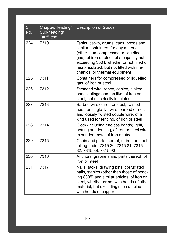| S.<br>No. | Chapter/Heading/<br>Sub-heading/<br><b>Tariff item</b> | <b>Description of Goods</b>                                                                                                                                                                                                                                                              |
|-----------|--------------------------------------------------------|------------------------------------------------------------------------------------------------------------------------------------------------------------------------------------------------------------------------------------------------------------------------------------------|
| 224.      | 7310                                                   | Tanks, casks, drums, cans, boxes and<br>similar containers, for any material<br>(other than compressed or liquefied<br>gas), of iron or steel, of a capacity not<br>exceeding 300 I, whether or not lined or<br>heat-insulated, but not fitted with me-<br>chanical or thermal equipment |
| 225.      | 7311                                                   | Containers for compressed or liquefied<br>gas, of iron or steel                                                                                                                                                                                                                          |
| 226.      | 7312                                                   | Stranded wire, ropes, cables, plaited<br>bands, slings and the like, of iron or<br>steel, not electrically insulated                                                                                                                                                                     |
| 227.      | 7313                                                   | Barbed wire of iron or steel; twisted<br>hoop or single flat wire, barbed or not,<br>and loosely twisted double wire, of a<br>kind used for fencing, of iron or steel                                                                                                                    |
| 228.      | 7314                                                   | Cloth (including endless bands), grill,<br>netting and fencing, of iron or steel wire;<br>expanded metal of iron or steel                                                                                                                                                                |
| 229.      | 7315                                                   | Chain and parts thereof, of iron or steel<br>falling under 7315 20, 7315 81, 7315,<br>82, 7315 89, 7315 90                                                                                                                                                                               |
| 230.      | 7316                                                   | Anchors, grapnels and parts thereof, of<br>iron or steel                                                                                                                                                                                                                                 |
| 231.      | 7317                                                   | Nails, tacks, drawing pins, corrugated<br>nails, staples (other than those of head-<br>ing 8305) and similar articles, of iron or<br>steel, whether or not with heads of other<br>material, but excluding such articles<br>with heads of copper                                          |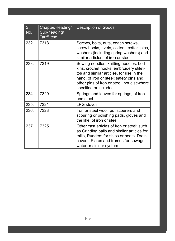| $S_{-}$<br>No. | Chapter/Heading/<br>Sub-heading/<br>Tariff item | <b>Description of Goods</b>                                                                                                                                                                                                                     |
|----------------|-------------------------------------------------|-------------------------------------------------------------------------------------------------------------------------------------------------------------------------------------------------------------------------------------------------|
| 232.           | 7318                                            | Screws, bolts, nuts, coach screws,<br>screw hooks, rivets, cotters, cotter- pins,<br>washers (including spring washers) and<br>similar articles, of iron or steel                                                                               |
| 233.           | 7319                                            | Sewing needles, knitting needles, bod-<br>kins, crochet hooks, embroidery stilet-<br>tos and similar articles, for use in the<br>hand, of iron or steel; safety pins and<br>other pins of iron or steel, not elsewhere<br>specified or included |
| 234.           | 7320                                            | Springs and leaves for springs, of iron<br>and steel                                                                                                                                                                                            |
| 235.           | 7321                                            | <b>LPG</b> stoves                                                                                                                                                                                                                               |
| 236.           | 7323                                            | Iron or steel wool; pot scourers and<br>scouring or polishing pads, gloves and<br>the like, of iron or steel                                                                                                                                    |
| 237.           | 7325                                            | Other cast articles of iron or steel; such<br>as Grinding balls and similar articles for<br>mills, Rudders for ships or boats, Drain<br>covers, Plates and frames for sewage<br>water or similar system                                         |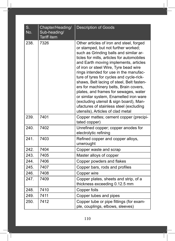| S.<br>No. | Chapter/Heading/<br>Sub-heading/<br><b>Tariff item</b> | <b>Description of Goods</b>                                                                                                                                                                                                                                                                                                                                                                                                                                                                                                                                                                                                                         |
|-----------|--------------------------------------------------------|-----------------------------------------------------------------------------------------------------------------------------------------------------------------------------------------------------------------------------------------------------------------------------------------------------------------------------------------------------------------------------------------------------------------------------------------------------------------------------------------------------------------------------------------------------------------------------------------------------------------------------------------------------|
| 238.      | 7326                                                   | Other articles of iron and steel, forged<br>or stamped, but not further worked;<br>such as Grinding balls and similar ar-<br>ticles for mills, articles for automobiles<br>and Earth moving implements, articles<br>of iron or steel Wire, Tyre bead wire<br>rings intended for use in the manufac-<br>ture of tyres for cycles and cycle-rick-<br>shaws, Belt lacing of steel, Belt fasten-<br>ers for machinery belts, Brain covers,<br>plates, and frames for sewages, water<br>or similar system, Enamelled iron ware<br>(excluding utensil & sign board), Man-<br>ufactures of stainless steel (excluding<br>utensils), Articles of clad metal |
| 239.      | 7401                                                   | Copper mattes; cement copper (precipi-<br>tated copper)                                                                                                                                                                                                                                                                                                                                                                                                                                                                                                                                                                                             |
| 240.      | 7402                                                   | Unrefined copper; copper anodes for<br>electrolytic refining                                                                                                                                                                                                                                                                                                                                                                                                                                                                                                                                                                                        |
| 241.      | 7403                                                   | Refined copper and copper alloys,<br>unwrought                                                                                                                                                                                                                                                                                                                                                                                                                                                                                                                                                                                                      |
| 242.      | 7404                                                   | Copper waste and scrap                                                                                                                                                                                                                                                                                                                                                                                                                                                                                                                                                                                                                              |
| 243.      | 7405                                                   | Master alloys of copper                                                                                                                                                                                                                                                                                                                                                                                                                                                                                                                                                                                                                             |
| 244.      | 7406                                                   | Copper powders and flakes                                                                                                                                                                                                                                                                                                                                                                                                                                                                                                                                                                                                                           |
| 245.      | 7407                                                   | Copper bars, rods and profiles                                                                                                                                                                                                                                                                                                                                                                                                                                                                                                                                                                                                                      |
| 246.      | 7408                                                   | Copper wire                                                                                                                                                                                                                                                                                                                                                                                                                                                                                                                                                                                                                                         |
| 247.      | 7409                                                   | Copper plates, sheets and strip, of a<br>thickness exceeding 0.12.5 mm                                                                                                                                                                                                                                                                                                                                                                                                                                                                                                                                                                              |
| 248.      | 7410                                                   | Copper foils                                                                                                                                                                                                                                                                                                                                                                                                                                                                                                                                                                                                                                        |
| 249.      | 7411                                                   | Copper tubes and pipes                                                                                                                                                                                                                                                                                                                                                                                                                                                                                                                                                                                                                              |
| 250.      | 7412                                                   | Copper tube or pipe fittings (for exam-<br>ple, couplings, elbows, sleeves)                                                                                                                                                                                                                                                                                                                                                                                                                                                                                                                                                                         |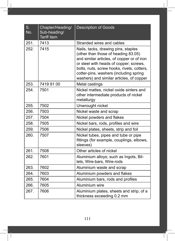| S <sub>1</sub><br>No. | Chapter/Heading/<br>Sub-heading/<br><b>Tariff item</b> | <b>Description of Goods</b>                                                                                                                                                                                                                                                                            |
|-----------------------|--------------------------------------------------------|--------------------------------------------------------------------------------------------------------------------------------------------------------------------------------------------------------------------------------------------------------------------------------------------------------|
| 251.                  | 7413                                                   | Stranded wires and cables                                                                                                                                                                                                                                                                              |
| 252.                  | 7415                                                   | Nails, tacks, drawing pins, staples<br>(other than those of heading 83.05)<br>and similar articles, of copper or of iron<br>or steel with heads of copper; screws,<br>bolts, nuts, screw hooks, rivets, cotters,<br>cotter-pins, washers (including spring<br>washers) and similar articles, of copper |
| 253.                  | 7419 91 00                                             | Metal castings                                                                                                                                                                                                                                                                                         |
| 254.                  | 7501                                                   | Nickel mattes, nickel oxide sinters and<br>other intermediate products of nickel<br>metallurgy                                                                                                                                                                                                         |
| 255.                  | 7502                                                   | Unwrought nickel                                                                                                                                                                                                                                                                                       |
| 256.                  | 7503                                                   | Nickel waste and scrap                                                                                                                                                                                                                                                                                 |
| 257.                  | 7504                                                   | Nickel powders and flakes                                                                                                                                                                                                                                                                              |
| 258.                  | 7505                                                   | Nickel bars, rods, profiles and wire                                                                                                                                                                                                                                                                   |
| 259.                  | 7506                                                   | Nickel plates, sheets, strip and foil                                                                                                                                                                                                                                                                  |
| 260.                  | 7507                                                   | Nickel tubes, pipes and tube or pipe<br>fittings (for example, couplings, elbows,<br>sleeves)                                                                                                                                                                                                          |
| 261.                  | 7508                                                   | Other articles of nickel                                                                                                                                                                                                                                                                               |
| 262.                  | 7601                                                   | Aluminium alloys; such as Ingots, Bil-<br>lets, Wire-bars, Wire-rods                                                                                                                                                                                                                                   |
| 263.                  | 7602                                                   | Aluminium waste and scrap                                                                                                                                                                                                                                                                              |
| 264.                  | 7603                                                   | Aluminium powders and flakes                                                                                                                                                                                                                                                                           |
| 265.                  | 7604                                                   | Aluminium bars, rods and profiles                                                                                                                                                                                                                                                                      |
| 266.                  | 7605                                                   | Aluminium wire                                                                                                                                                                                                                                                                                         |
| 267.                  | 7606                                                   | Aluminium plates, sheets and strip, of a<br>thickness exceeding 0.2 mm                                                                                                                                                                                                                                 |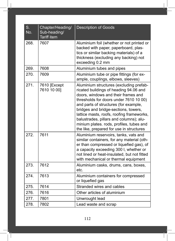| $S_{-}$<br>No. | Chapter/Heading/<br>Sub-heading/<br><b>Tariff item</b> | <b>Description of Goods</b>                                                                                                                                                                                                                                                                                                                                                                                                         |
|----------------|--------------------------------------------------------|-------------------------------------------------------------------------------------------------------------------------------------------------------------------------------------------------------------------------------------------------------------------------------------------------------------------------------------------------------------------------------------------------------------------------------------|
| 268.           | 7607                                                   | Aluminium foil (whether or not printed or<br>backed with paper, paperboard, plas-<br>tics or similar backing materials) of a<br>thickness (excluding any backing) not<br>exceeding 0.2 mm                                                                                                                                                                                                                                           |
| 269.           | 7608                                                   | Aluminium tubes and pipes                                                                                                                                                                                                                                                                                                                                                                                                           |
| 270.           | 7609                                                   | Aluminium tube or pipe fittings (for ex-<br>ample, couplings, elbows, sleeves)                                                                                                                                                                                                                                                                                                                                                      |
| 271.           | 7610 [Except<br>7610 10 00]                            | Aluminium structures (excluding prefab-<br>ricated buildings of heading 94.06 and<br>doors, windows and their frames and<br>thresholds for doors under 7610 10 00)<br>and parts of structures (for example,<br>bridges and bridge-sections, towers,<br>lattice masts, roofs, roofing frameworks,<br>balustrades, pillars and columns); alu-<br>minium plates. rods, profiles, tubes and<br>the like, prepared for use in structures |
| 272.           | 7611                                                   | Aluminium reservoirs, tanks, vats and<br>similar containers, for any material (oth-<br>er than compressed or liquefied gas), of<br>a capacity exceeding 300 I, whether or<br>not lined or heat-insulated, but not fitted<br>with mechanical or thermal equipment                                                                                                                                                                    |
| 273.           | 7612                                                   | Aluminium casks, drums, cans, boxes,<br>etc.                                                                                                                                                                                                                                                                                                                                                                                        |
| 274.           | 7613                                                   | Aluminium containers for compressed<br>or liquefied gas                                                                                                                                                                                                                                                                                                                                                                             |
| 275.           | 7614                                                   | Stranded wires and cables                                                                                                                                                                                                                                                                                                                                                                                                           |
| 276.           | 7616                                                   | Other articles of aluminium                                                                                                                                                                                                                                                                                                                                                                                                         |
| 277.           | 7801                                                   | Unwrought lead                                                                                                                                                                                                                                                                                                                                                                                                                      |
| 278.           | 7802                                                   | Lead waste and scrap                                                                                                                                                                                                                                                                                                                                                                                                                |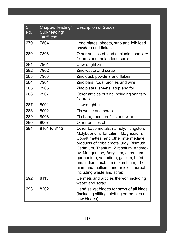| $S_{-}$<br>No. | Chapter/Heading/<br>Sub-heading/<br><b>Tariff item</b> | <b>Description of Goods</b>                                                                                                                                                                                                                                                                                                                                                                            |
|----------------|--------------------------------------------------------|--------------------------------------------------------------------------------------------------------------------------------------------------------------------------------------------------------------------------------------------------------------------------------------------------------------------------------------------------------------------------------------------------------|
| 279.           | 7804                                                   | Lead plates, sheets, strip and foil; lead<br>powders and flakes                                                                                                                                                                                                                                                                                                                                        |
| 280.           | 7806                                                   | Other articles of lead (including sanitary<br>fixtures and Indian lead seals)                                                                                                                                                                                                                                                                                                                          |
| 281.           | 7901                                                   | Unwrought zinc                                                                                                                                                                                                                                                                                                                                                                                         |
| 282.           | 7902                                                   | Zinc waste and scrap                                                                                                                                                                                                                                                                                                                                                                                   |
| 283.           | 7903                                                   | Zinc dust, powders and flakes                                                                                                                                                                                                                                                                                                                                                                          |
| 284.           | 7904                                                   | Zinc bars, rods, profiles and wire                                                                                                                                                                                                                                                                                                                                                                     |
| 285.           | 7905                                                   | Zinc plates, sheets, strip and foil                                                                                                                                                                                                                                                                                                                                                                    |
| 286.           | 7907                                                   | Other articles of zinc including sanitary<br>fixtures                                                                                                                                                                                                                                                                                                                                                  |
| 287.           | 8001                                                   | Unwrought tin                                                                                                                                                                                                                                                                                                                                                                                          |
| 288.           | 8002                                                   | Tin waste and scrap                                                                                                                                                                                                                                                                                                                                                                                    |
| 289.           | 8003                                                   | Tin bars, rods, profiles and wire                                                                                                                                                                                                                                                                                                                                                                      |
| 290.           | 8007                                                   | Other articles of tin                                                                                                                                                                                                                                                                                                                                                                                  |
| 291.           | 8101 to 8112                                           | Other base metals, namely, Tungsten,<br>Molybdenum, Tantalum, Magnesium,<br>Cobalt mattes, and other intermediate<br>products of cobalt metallurgy, Bismuth,<br>Cadmium, Titanium, Zirconium, Antimo-<br>ny, Manganese, Beryllium, chromium,<br>germanium, vanadium, gallium, hafni-<br>um, indium, niobium (columbium), rhe-<br>nium and thallium, and articles thereof,<br>including waste and scrap |
| 292.           | 8113                                                   | Cermets and articles thereof, including<br>waste and scrap                                                                                                                                                                                                                                                                                                                                             |
| 293.           | 8202                                                   | Hand saws; blades for saws of all kinds<br>(including slitting, slotting or toothless<br>saw blades)                                                                                                                                                                                                                                                                                                   |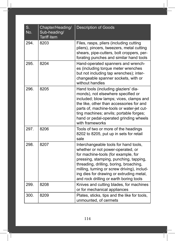| $S_{-}$<br>No. | Chapter/Heading/<br>Sub-heading/<br><b>Tariff item</b> | <b>Description of Goods</b>                                                                                                                                                                                                                                                                                                                  |
|----------------|--------------------------------------------------------|----------------------------------------------------------------------------------------------------------------------------------------------------------------------------------------------------------------------------------------------------------------------------------------------------------------------------------------------|
| 294.           | 8203                                                   | Files, rasps, pliers (including cutting<br>pliers), pincers, tweezers, metal cutting<br>shears, pipe-cutters, bolt croppers, per-<br>forating punches and similar hand tools                                                                                                                                                                 |
| 295.           | 8204                                                   | Hand-operated spanners and wrench-<br>es (including torque meter wrenches<br>but not including tap wrenches); inter-<br>changeable spanner sockets, with or<br>without handles                                                                                                                                                               |
| 296.           | 8205                                                   | Hand tools (including glaziers' dia-<br>monds), not elsewhere specified or<br>included; blow lamps; vices, clamps and<br>the like, other than accessories for and<br>parts of, machine-tools or water-jet cut-<br>ting machines; anvils; portable forges;<br>hand or pedal-operated grinding wheels<br>with frameworks                       |
| 297.           | 8206                                                   | Tools of two or more of the headings<br>8202 to 8205, put up in sets for retail<br>sale                                                                                                                                                                                                                                                      |
| 298.           | 8207                                                   | Interchangeable tools for hand tools,<br>whether or not power-operated, or<br>for machine-tools (for example, for<br>pressing, stamping, punching, tapping,<br>threading, drilling, boring, broaching,<br>milling, turning or screw driving), includ-<br>ing dies for drawing or extruding metal,<br>and rock drilling or earth boring tools |
| 299.           | 8208                                                   | Knives and cutting blades, for machines<br>or for mechanical appliances                                                                                                                                                                                                                                                                      |
| 300.           | 8209                                                   | Plates, sticks, tips and the like for tools,<br>unmounted, of cermets                                                                                                                                                                                                                                                                        |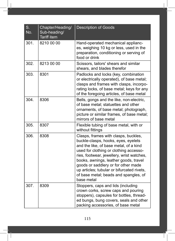| S.<br>No. | Chapter/Heading/<br>Sub-heading/<br><b>Tariff item</b> | <b>Description of Goods</b>                                                                                                                                                                                                                                                                                                                                                                       |
|-----------|--------------------------------------------------------|---------------------------------------------------------------------------------------------------------------------------------------------------------------------------------------------------------------------------------------------------------------------------------------------------------------------------------------------------------------------------------------------------|
| 301.      | 8210 00 00                                             | Hand-operated mechanical applianc-<br>es, weighing 10 kg or less, used in the<br>preparation, conditioning or serving of<br>food or drink                                                                                                                                                                                                                                                         |
| 302.      | 8213 00 00                                             | Scissors, tailors' shears and similar<br>shears, and blades therefor                                                                                                                                                                                                                                                                                                                              |
| 303.      | 8301                                                   | Padlocks and locks (key, combination<br>or electrically operated), of base metal;<br>clasps and frames with clasps, incorpo-<br>rating locks, of base metal; keys for any<br>of the foregoing articles, of base metal                                                                                                                                                                             |
| 304.      | 8306                                                   | Bells, gongs and the like, non-electric,<br>of base metal; statuettes and other<br>ornaments, of base metal; photograph,<br>picture or similar frames, of base metal;<br>mirrors of base metal                                                                                                                                                                                                    |
| 305.      | 8307                                                   | Flexible tubing of base metal, with or<br>without fittings                                                                                                                                                                                                                                                                                                                                        |
| 306.      | 8308                                                   | Clasps, frames with clasps, buckles,<br>buckle-clasps, hooks, eyes, eyelets<br>and the like, of base metal, of a kind<br>used for clothing or clothing accesso-<br>ries, footwear, jewellery, wrist watches,<br>books, awnings, leather goods, travel<br>goods or saddlery or for other made<br>up articles; tubular or bifurcated rivets,<br>of base metal; beads and spangles, of<br>base metal |
| 307.      | 8309                                                   | Stoppers, caps and lids (including<br>crown corks, screw caps and pouring<br>stoppers), capsules for bottles, thread-<br>ed bungs, bung covers, seals and other<br>packing accessories, of base metal                                                                                                                                                                                             |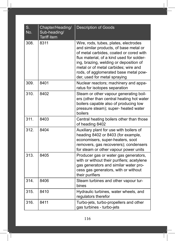| $\overline{\mathsf{S}}$ .<br>No. | Chapter/Heading/<br>Sub-heading/<br><b>Tariff item</b> | <b>Description of Goods</b>                                                                                                                                                                                                                                                                                                        |
|----------------------------------|--------------------------------------------------------|------------------------------------------------------------------------------------------------------------------------------------------------------------------------------------------------------------------------------------------------------------------------------------------------------------------------------------|
| 308.                             | 8311                                                   | Wire, rods, tubes, plates, electrodes<br>and similar products, of base metal or<br>of metal carbides, coated or cored with<br>flux material, of a kind used for solder-<br>ing, brazing, welding or deposition of<br>metal or of metal carbides; wire and<br>rods, of agglomerated base metal pow-<br>der, used for metal spraying |
| 309.                             | 8401                                                   | Nuclear reactors; machinery and appa-<br>ratus for isotopes separation                                                                                                                                                                                                                                                             |
| 310.                             | 8402                                                   | Steam or other vapour generating boil-<br>ers (other than central heating hot water<br>boilers capable also of producing low<br>pressure steam); super- heated water<br>boilers                                                                                                                                                    |
| 311.                             | 8403                                                   | Central heating boilers other than those<br>of heading 8402                                                                                                                                                                                                                                                                        |
| 312.                             | 8404                                                   | Auxiliary plant for use with boilers of<br>heading 8402 or 8403 (for example,<br>economisers, super-heaters, soot<br>removers, gas recoverers); condensers<br>for steam or other vapour power units                                                                                                                                |
| 313.                             | 8405                                                   | Producer gas or water gas generators,<br>with or without their purifiers; acetylene<br>gas generators and similar water pro-<br>cess gas generators, with or without<br>their purifiers                                                                                                                                            |
| 314.                             | 8406                                                   | Steam turbines and other vapour tur-<br>bines                                                                                                                                                                                                                                                                                      |
| 315.                             | 8410                                                   | Hydraulic turbines, water wheels, and<br>regulators therefor                                                                                                                                                                                                                                                                       |
| 316.                             | 8411                                                   | Turbo-jets, turbo-propellers and other<br>gas turbines - turbo-jets                                                                                                                                                                                                                                                                |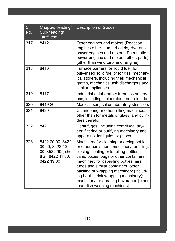| $S_{1}$<br>No. | Chapter/Heading/<br>Sub-heading/<br><b>Tariff item</b>                                      | <b>Description of Goods</b>                                                                                                                                                                                                                                                                                                                                                                                              |
|----------------|---------------------------------------------------------------------------------------------|--------------------------------------------------------------------------------------------------------------------------------------------------------------------------------------------------------------------------------------------------------------------------------------------------------------------------------------------------------------------------------------------------------------------------|
| 317.           | 8412                                                                                        | Other engines and motors (Reaction<br>engines other than turbo jets, Hydraulic<br>power engines and motors, Pneumatic<br>power engines and motors, other, parts)<br>[other than wind turbine or engine]                                                                                                                                                                                                                  |
| 318.           | 8416                                                                                        | Furnace burners for liquid fuel, for<br>pulverised solid fuel or for gas; mechan-<br>ical stokers, including their mechanical<br>grates, mechanical ash dischargers and<br>similar appliances                                                                                                                                                                                                                            |
| 319.           | 8417                                                                                        | Industrial or laboratory furnaces and ov-<br>ens, including incinerators, non-electric                                                                                                                                                                                                                                                                                                                                   |
| 320.           | 841920                                                                                      | Medical, surgical or laboratory sterilisers                                                                                                                                                                                                                                                                                                                                                                              |
| 321.           | 8420                                                                                        | Calendering or other rolling machines,<br>other than for metals or glass, and cylin-<br>ders therefor                                                                                                                                                                                                                                                                                                                    |
| 322.           | 8421                                                                                        | Centrifuges, including centrifugal dry-<br>ers; filtering or purifying machinery and<br>apparatus, for liquids or gases                                                                                                                                                                                                                                                                                                  |
| 323.           | 8422 20 00, 8422<br>30 00, 8422 40<br>00, 8522 90 [other<br>than 8422 11 00,<br>8422 19 00] | Machinery for cleaning or drying bottles<br>or other containers; machinery for filling,<br>closing, sealing or labelling bottles,<br>cans, boxes, bags or other containers;<br>machinery for capsuling bottles, jars,<br>tubes and similar containers; other<br>packing or wrapping machinery (includ-<br>ing heat-shrink wrapping machinery);<br>machinery for aerating beverages [other<br>than dish washing machines] |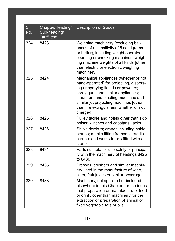| S.<br>No. | Chapter/Heading/<br>Sub-heading/<br><b>Tariff item</b> | <b>Description of Goods</b>                                                                                                                                                                                                                                                                           |
|-----------|--------------------------------------------------------|-------------------------------------------------------------------------------------------------------------------------------------------------------------------------------------------------------------------------------------------------------------------------------------------------------|
| 324.      | 8423                                                   | Weighing machinery (excluding bal-<br>ances of a sensitivity of 5 centigrams<br>or better), including weight operated<br>counting or checking machines; weigh-<br>ing machine weights of all kinds [other<br>than electric or electronic weighing<br>machinery]                                       |
| 325.      | 8424                                                   | Mechanical appliances (whether or not<br>hand-operated) for projecting, dispers-<br>ing or spraying liquids or powders;<br>spray guns and similar appliances;<br>steam or sand blasting machines and<br>similar jet projecting machines [other<br>than fire extinguishers, whether or not<br>charged] |
| 326.      | 8425                                                   | Pulley tackle and hoists other than skip<br>hoists; winches and capstans; jacks                                                                                                                                                                                                                       |
| 327.      | 8426                                                   | Ship's derricks; cranes including cable<br>cranes; mobile lifting frames, straddle<br>carriers and works trucks fitted with a<br>crane                                                                                                                                                                |
| 328.      | 8431                                                   | Parts suitable for use solely or principal-<br>ly with the machinery of headings 8425<br>to 8430                                                                                                                                                                                                      |
| 329.      | 8435                                                   | Presses, crushers and similar machin-<br>ery used in the manufacture of wine,<br>cider, fruit juices or similar beverages                                                                                                                                                                             |
| 330.      | 8438                                                   | Machinery, not specified or included<br>elsewhere in this Chapter, for the indus-<br>trial preparation or manufacture of food<br>or drink, other than machinery for the<br>extraction or preparation of animal or<br>fixed vegetable fats or oils                                                     |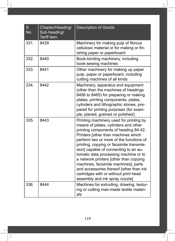| $S_{-}$<br>No. | Chapter/Heading/<br>Sub-heading/<br><b>Tariff item</b> | <b>Description of Goods</b>                                                                                                                                                                                                                                                                                                                                                                                                                                                                                                                      |
|----------------|--------------------------------------------------------|--------------------------------------------------------------------------------------------------------------------------------------------------------------------------------------------------------------------------------------------------------------------------------------------------------------------------------------------------------------------------------------------------------------------------------------------------------------------------------------------------------------------------------------------------|
| 331.           | 8439                                                   | Machinery for making pulp of fibrous<br>cellulosic material or for making or fin-<br>ishing paper or paperboard                                                                                                                                                                                                                                                                                                                                                                                                                                  |
| 332.           | 8440                                                   | Book-binding machinery, including<br>book-sewing machines                                                                                                                                                                                                                                                                                                                                                                                                                                                                                        |
| 333.           | 8441                                                   | Other machinery for making up paper<br>pulp, paper or paperboard, including<br>cutting machines of all kinds                                                                                                                                                                                                                                                                                                                                                                                                                                     |
| 334.           | 8442                                                   | Machinery, apparatus and equipment<br>(other than the machines of headings<br>8456 to 8465) for preparing or making<br>plates, printing components; plates,<br>cylinders and lithographic stones, pre-<br>pared for printing purposes (for exam-<br>ple, planed, grained or polished)                                                                                                                                                                                                                                                            |
| 335.           | 8443                                                   | Printing machinery used for printing by<br>means of plates, cylinders and other<br>printing components of heading 84.42;<br>Printers [other than machines which<br>perform two or more of the functions of<br>printing, copying or facsimile transmis-<br>sion] capable of connecting to an au-<br>tomatic data processing machine or to<br>a network printers [other than copying<br>machines, facsimile machines]; parts<br>and accessories thereof [other than ink<br>cartridges with or without print head<br>assembly and ink spray nozzle] |
| 336.           | 8444                                                   | Machines for extruding, drawing, textur-<br>ing or cutting man-made textile materi-<br>als                                                                                                                                                                                                                                                                                                                                                                                                                                                       |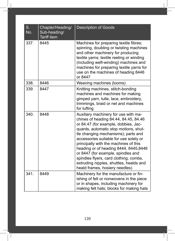| S.<br>No. | Chapter/Heading/<br>Sub-heading/<br><b>Tariff item</b> | <b>Description of Goods</b>                                                                                                                                                                                                                                                                                                                                                                                                                                                                     |
|-----------|--------------------------------------------------------|-------------------------------------------------------------------------------------------------------------------------------------------------------------------------------------------------------------------------------------------------------------------------------------------------------------------------------------------------------------------------------------------------------------------------------------------------------------------------------------------------|
| 337.      | 8445                                                   | Machines for preparing textile fibres;<br>spinning, doubling or twisting machines<br>and other machinery for producing<br>textile yarns; textile reeling or winding<br>(including weft-winding) machines and<br>machines for preparing textile yarns for<br>use on the machines of heading 8446<br>or 8447                                                                                                                                                                                      |
| 338.      | 8446                                                   | Weaving machines (looms)                                                                                                                                                                                                                                                                                                                                                                                                                                                                        |
| 339.      | 8447                                                   | Knitting machines, stitch-bonding<br>machines and machines for making<br>gimped yarn, tulle, lace, embroidery,<br>trimmings, braid or net and machines<br>for tufting                                                                                                                                                                                                                                                                                                                           |
| 340.      | 8448                                                   | Auxiliary machinery for use with ma-<br>chines of heading 84.44, 84.45, 84.46<br>or 84.47 (for example, dobbies, Jac-<br>quards, automatic stop motions, shut-<br>tle changing mechanisms); parts and<br>accessories suitable for use solely or<br>principally with the machines of this<br>heading or of heading 8444, 8445, 8446<br>or 8447 (for example, spindles and<br>spindles flyers, card clothing, combs,<br>extruding nipples, shuttles, healds and<br>heald frames, hosiery needles) |
| 341.      | 8449                                                   | Machinery for the manufacture or fin-<br>ishing of felt or nonwovens in the piece<br>or in shapes, including machinery for<br>making felt hats; blocks for making hats                                                                                                                                                                                                                                                                                                                          |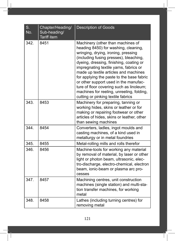| S.<br>$\overline{\text{No}}$ . | Chapter/Heading/<br>Sub-heading/<br><b>Tariff item</b> | <b>Description of Goods</b>                                                                                                                                                                                                                                                                                                                                                                                                                                                                                   |
|--------------------------------|--------------------------------------------------------|---------------------------------------------------------------------------------------------------------------------------------------------------------------------------------------------------------------------------------------------------------------------------------------------------------------------------------------------------------------------------------------------------------------------------------------------------------------------------------------------------------------|
| 342.                           | 8451                                                   | Machinery (other than machines of<br>heading 8450) for washing, cleaning,<br>wringing, drying, ironing, pressing<br>(including fusing presses), bleaching,<br>dyeing, dressing, finishing, coating or<br>impregnating textile yarns, fabrics or<br>made up textile articles and machines<br>for applying the paste to the base fabric<br>or other support used in the manufac-<br>ture of floor covering such as linoleum;<br>machines for reeling, unreeling, folding,<br>cutting or pinking textile fabrics |
| 343.                           | 8453                                                   | Machinery for preparing, tanning or<br>working hides, skins or leather or for<br>making or repairing footwear or other<br>articles of hides, skins or leather, other<br>than sewing machines                                                                                                                                                                                                                                                                                                                  |
| 344.                           | 8454                                                   | Converters, ladles, ingot moulds and<br>casting machines, of a kind used in<br>metallurgy or in metal foundries                                                                                                                                                                                                                                                                                                                                                                                               |
| 345.                           | 8455                                                   | Metal-rolling mills and rolls therefor                                                                                                                                                                                                                                                                                                                                                                                                                                                                        |
| 346.                           | 8456                                                   | Machine-tools for working any material<br>by removal of material, by laser or other<br>light or photon beam, ultrasonic, elec-<br>tro-discharge, electro-chemical, electron<br>beam, ionic-beam or plasma arc pro-<br>cesses                                                                                                                                                                                                                                                                                  |
| 347.                           | 8457                                                   | Machining centres, unit construction<br>machines (single station) and multi-sta-<br>tion transfer machines, for working<br>metal                                                                                                                                                                                                                                                                                                                                                                              |
| 348.                           | 8458                                                   | Lathes (including turning centres) for<br>removing metal                                                                                                                                                                                                                                                                                                                                                                                                                                                      |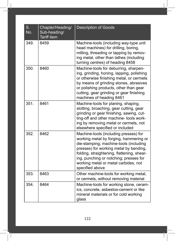| $S_{1}$<br>No. | Chapter/Heading/<br>Sub-heading/<br><b>Tariff item</b> | <b>Description of Goods</b>                                                                                                                                                                                                                                                                                            |
|----------------|--------------------------------------------------------|------------------------------------------------------------------------------------------------------------------------------------------------------------------------------------------------------------------------------------------------------------------------------------------------------------------------|
| 349.           | 8459                                                   | Machine-tools (including way-type unit<br>head machines) for drilling, boring,<br>milling, threading or tapping by remov-<br>ing metal, other than lathes (including<br>turning centres) of heading 8458                                                                                                               |
| 350.           | 8460                                                   | Machine-tools for deburring, sharpen-<br>ing, grinding, honing, lapping, polishing<br>or otherwise finishing metal, or cermets<br>by means of grinding stones, abrasives<br>or polishing products, other than gear<br>cutting, gear grinding or gear finishing<br>machines of heading 8461                             |
| 351.           | 8461                                                   | Machine-tools for planing, shaping,<br>slotting, broaching, gear cutting, gear<br>grinding or gear finishing, sawing, cut-<br>ting-off and other machine- tools work-<br>ing by removing metal or cermets, not<br>elsewhere specified or included                                                                      |
| 352.           | 8462                                                   | Machine-tools (including presses) for<br>working metal by forging, hammering or<br>die-stamping; machine-tools (including<br>presses) for working metal by bending,<br>folding, straightening, flattening, shear-<br>ing, punching or notching; presses for<br>working metal or metal carbides, not<br>specified above |
| 353.           | 8463                                                   | Other machine-tools for working metal,<br>or cermets, without removing material                                                                                                                                                                                                                                        |
| 354.           | 8464                                                   | Machine-tools for working stone, ceram-<br>ics, concrete, asbestos-cement or like<br>mineral materials or for cold working<br>glass                                                                                                                                                                                    |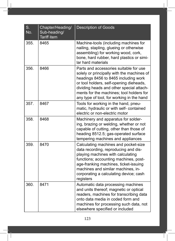| S.<br>No. | Chapter/Heading/<br>Sub-heading/<br><b>Tariff item</b> | <b>Description of Goods</b>                                                                                                                                                                                                                                                                                  |
|-----------|--------------------------------------------------------|--------------------------------------------------------------------------------------------------------------------------------------------------------------------------------------------------------------------------------------------------------------------------------------------------------------|
| 355.      | 8465                                                   | Machine-tools (including machines for<br>nailing, stapling, glueing or otherwise<br>assembling) for working wood, cork,<br>bone, hard rubber, hard plastics or simi-<br>lar hard materials                                                                                                                   |
| 356.      | 8466                                                   | Parts and accessories suitable for use<br>solely or principally with the machines of<br>headings 8456 to 8465 including work<br>or tool holders, self-opening dieheads,<br>dividing heads and other special attach-<br>ments for the machines; tool holders for<br>any type of tool, for working in the hand |
| 357.      | 8467                                                   | Tools for working in the hand, pneu-<br>matic, hydraulic or with self- contained<br>electric or non-electric motor                                                                                                                                                                                           |
| 358.      | 8468                                                   | Machinery and apparatus for solder-<br>ing, brazing or welding, whether or not<br>capable of cutting, other than those of<br>heading 8512.5; gas-operated surface<br>tempering machines and appliances                                                                                                       |
| 359.      | 8470                                                   | Calculating machines and pocket-size<br>data recording, reproducing and dis-<br>playing machines with calculating<br>functions; accounting machines, post-<br>age-franking machines, ticket-issuing<br>machines and similar machines, in-<br>corporating a calculating device; cash<br>registers             |
| 360.      | 8471                                                   | Automatic data processing machines<br>and units thereof; magnetic or optical<br>readers, machines for transcribing data<br>onto data media in coded form and<br>machines for processing such data, not<br>elsewhere specified or included                                                                    |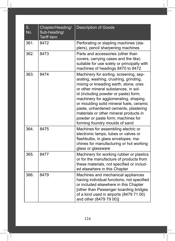| $S_{-}$<br>No. | Chapter/Heading/<br>Sub-heading/<br><b>Tariff item</b> | <b>Description of Goods</b>                                                                                                                                                                                                                                                                                                                                                                                                                             |
|----------------|--------------------------------------------------------|---------------------------------------------------------------------------------------------------------------------------------------------------------------------------------------------------------------------------------------------------------------------------------------------------------------------------------------------------------------------------------------------------------------------------------------------------------|
| 361.           | 8472                                                   | Perforating or stapling machines (sta-<br>plers), pencil sharpening machines                                                                                                                                                                                                                                                                                                                                                                            |
| 362.           | 8473                                                   | Parts and accessories (other than<br>covers, carrying cases and the like)<br>suitable for use solely or principally with<br>machines of headings 8470 to 8472                                                                                                                                                                                                                                                                                           |
| 363.           | 8474                                                   | Machinery for sorting, screening, sep-<br>arating, washing, crushing, grinding,<br>mixing or kneading earth, stone, ores<br>or other mineral substances, in sol-<br>id (including powder or paste) form;<br>machinery for agglomerating, shaping<br>or moulding solid mineral fuels, ceramic<br>paste, unhardened cements, plastering<br>materials or other mineral products in<br>powder or paste form; machines for<br>forming foundry moulds of sand |
| 364.           | 8475                                                   | Machines for assembling electric or<br>electronic lamps, tubes or valves or<br>flashbulbs, in glass envelopes; ma-<br>chines for manufacturing or hot working<br>glass or glassware                                                                                                                                                                                                                                                                     |
| 365.           | 8477                                                   | Machinery for working rubber or plastics<br>or for the manufacture of products from<br>these materials, not specified or includ-<br>ed elsewhere in this Chapter                                                                                                                                                                                                                                                                                        |
| 366.           | 8479                                                   | Machines and mechanical appliances<br>having individual functions, not specified<br>or included elsewhere in this Chapter<br><b>Jother than Passenger boarding bridges</b><br>of a kind used in airports (8479 71 00)<br>and other (8479 79 00)]                                                                                                                                                                                                        |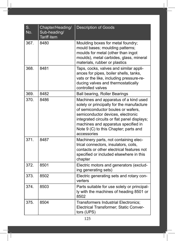| S.<br>No. | Chapter/Heading/<br>Sub-heading/<br><b>Tariff item</b> | <b>Description of Goods</b>                                                                                                                                                                                                                                                                                 |
|-----------|--------------------------------------------------------|-------------------------------------------------------------------------------------------------------------------------------------------------------------------------------------------------------------------------------------------------------------------------------------------------------------|
| 367.      | 8480                                                   | Moulding boxes for metal foundry;<br>mould bases; moulding patterns;<br>moulds for metal (other than ingot<br>moulds), metal carbides, glass, mineral<br>materials, rubber or plastics                                                                                                                      |
| 368.      | 8481                                                   | Taps, cocks, valves and similar appli-<br>ances for pipes, boiler shells, tanks,<br>vats or the like, including pressure-re-<br>ducing valves and thermostatically<br>controlled valves                                                                                                                     |
| 369.      | 8482                                                   | <b>Ball bearing, Roller Bearings</b>                                                                                                                                                                                                                                                                        |
| 370.      | 8486                                                   | Machines and apparatus of a kind used<br>solely or principally for the manufacture<br>of semiconductor boules or wafers,<br>semiconductor devices, electronic<br>integrated circuits or flat panel displays;<br>machines and apparatus specified in<br>Note 9 (C) to this Chapter; parts and<br>accessories |
| 371.      | 8487                                                   | Machinery parts, not containing elec-<br>trical connectors, insulators, coils,<br>contacts or other electrical features not<br>specified or included elsewhere in this<br>chapter                                                                                                                           |
| 372.      | 8501                                                   | Electric motors and generators (exclud-<br>ing generating sets)                                                                                                                                                                                                                                             |
| 373.      | 8502                                                   | Electric generating sets and rotary con-<br>verters                                                                                                                                                                                                                                                         |
| 374.      | 8503                                                   | Parts suitable for use solely or principal-<br>ly with the machines of heading 8501 or<br>8502                                                                                                                                                                                                              |
| 375.      | 8504                                                   | <b>Transformers Industrial Electronics:</b><br>Electrical Transformer; Static Conver-<br>tors (UPS)                                                                                                                                                                                                         |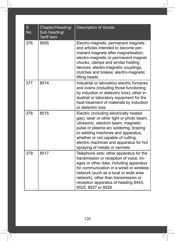| S.<br>No. | Chapter/Heading/<br>Sub-heading/<br><b>Tariff item</b> | <b>Description of Goods</b>                                                                                                                                                                                                                                                                                                   |
|-----------|--------------------------------------------------------|-------------------------------------------------------------------------------------------------------------------------------------------------------------------------------------------------------------------------------------------------------------------------------------------------------------------------------|
| 376.      | 8505                                                   | Electro-magnets; permanent magnets<br>and articles intended to become per-<br>manent magnets after magnetisation;<br>electro-magnetic or permanent magnet<br>chucks, clamps and similar holding<br>devices; electro-magnetic couplings,<br>clutches and brakes; electro-magnetic<br>lifting heads                             |
| 377.      | 8514                                                   | Industrial or laboratory electric furnaces<br>and ovens (including those functioning<br>by induction or dielectric loss); other in-<br>dustrial or laboratory equipment for the<br>heat treatment of materials by induction<br>or dielectric loss                                                                             |
| 378.      | 8515                                                   | Electric (including electrically heated<br>gas), laser or other light or photo beam,<br>ultrasonic, electron beam, magnetic<br>pulse or plasma arc soldering, brazing<br>or welding machines and apparatus,<br>whether or not capable of cutting;<br>electric machines and apparatus for hot<br>spraying of metals or cermets |
| 379.      | 8517                                                   | Telephone sets; other apparatus for the<br>transmission or reception of voice, im-<br>ages or other data, including apparatus<br>for communication in a wired or wireless<br>network (such as a local or wide area<br>network), other than transmission or<br>reception apparatus of heading 8443,<br>8525, 8527 or 8528      |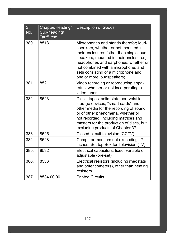| $S_{-}$<br>No. | Chapter/Heading/<br>Sub-heading/<br><b>Tariff item</b> | <b>Description of Goods</b>                                                                                                                                                                                                                                                                                              |
|----------------|--------------------------------------------------------|--------------------------------------------------------------------------------------------------------------------------------------------------------------------------------------------------------------------------------------------------------------------------------------------------------------------------|
| 380.           | 8518                                                   | Microphones and stands therefor; loud-<br>speakers, whether or not mounted in<br>their enclosures [other than single loud-<br>speakers, mounted in their enclosures];<br>headphones and earphones, whether or<br>not combined with a microphone, and<br>sets consisting of a microphone and<br>one or more loudspeakers; |
| 381.           | 8521                                                   | Video recording or reproducing appa-<br>ratus, whether or not incorporating a<br>video tuner                                                                                                                                                                                                                             |
| 382.           | 8523                                                   | Discs, tapes, solid-state non-volatile<br>storage devices, "smart cards" and<br>other media for the recording of sound<br>or of other phenomena, whether or<br>not recorded, including matrices and<br>masters for the production of discs, but<br>excluding products of Chapter 37                                      |
| 383.           | 8525                                                   | Closed-circuit television (CCTV)                                                                                                                                                                                                                                                                                         |
| 384.           | 8528                                                   | Computer monitors not exceeding 17<br>inches, Set top Box for Television (TV)                                                                                                                                                                                                                                            |
| 385.           | 8532                                                   | Electrical capacitors, fixed, variable or<br>adjustable (pre-set)                                                                                                                                                                                                                                                        |
| 386.           | 8533                                                   | Electrical resistors (including rheostats<br>and potentiometers), other than heating<br>resistors                                                                                                                                                                                                                        |
| 387.           | 8534 00 00                                             | <b>Printed Circuits</b>                                                                                                                                                                                                                                                                                                  |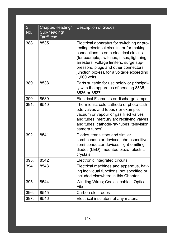| S.<br>No. | Chapter/Heading/<br>Sub-heading/<br><b>Tariff item</b> | <b>Description of Goods</b>                                                                                                                                                                                                                                                                                                     |
|-----------|--------------------------------------------------------|---------------------------------------------------------------------------------------------------------------------------------------------------------------------------------------------------------------------------------------------------------------------------------------------------------------------------------|
| 388.      | 8535                                                   | Electrical apparatus for switching or pro-<br>tecting electrical circuits, or for making<br>connections to or in electrical circuits<br>(for example, switches, fuses, lightning<br>arresters, voltage limiters, surge sup-<br>pressors, plugs and other connectors,<br>junction boxes), for a voltage exceeding<br>1,000 volts |
| 389.      | 8538                                                   | Parts suitable for use solely or principal-<br>ly with the apparatus of heading 8535,<br>8536 or 8537                                                                                                                                                                                                                           |
| 390.      | 8539                                                   | Electrical Filaments or discharge lamps                                                                                                                                                                                                                                                                                         |
| 391.      | 8540                                                   | Thermionic, cold cathode or photo-cath-<br>ode valves and tubes (for example,<br>vacuum or vapour or gas filled valves<br>and tubes, mercury arc rectifying valves<br>and tubes, cathode-ray tubes, television<br>camera tubes)                                                                                                 |
| 392.      | 8541                                                   | Diodes, transistors and similar<br>semi-conductor devices; photosensitive<br>semi-conductor devices; light-emitting<br>diodes (LED); mounted piezo- electric<br>crystals                                                                                                                                                        |
| 393.      | 8542                                                   | Electronic integrated circuits                                                                                                                                                                                                                                                                                                  |
| 394.      | 8543                                                   | Electrical machines and apparatus, hav-<br>ing individual functions, not specified or<br>included elsewhere in this Chapter                                                                                                                                                                                                     |
| 395.      | 8544                                                   | Winding Wires; Coaxial cables; Optical<br>Fiber                                                                                                                                                                                                                                                                                 |
| 396.      | 8545                                                   | Carbon electrodes                                                                                                                                                                                                                                                                                                               |
| 397.      | 8546                                                   | Electrical insulators of any material                                                                                                                                                                                                                                                                                           |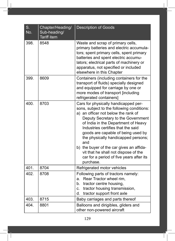| S.<br>No. | Chapter/Heading/<br>Sub-heading/<br><b>Tariff item</b> | <b>Description of Goods</b>                                                                                                                                                                                                                                                                                                                                                                                                                                                   |
|-----------|--------------------------------------------------------|-------------------------------------------------------------------------------------------------------------------------------------------------------------------------------------------------------------------------------------------------------------------------------------------------------------------------------------------------------------------------------------------------------------------------------------------------------------------------------|
| 398.      | 8548                                                   | Waste and scrap of primary cells,<br>primary batteries and electric accumula-<br>tors; spent primary cells, spent primary<br>batteries and spent electric accumu-<br>lators; electrical parts of machinery or<br>apparatus, not specified or included<br>elsewhere in this Chapter                                                                                                                                                                                            |
| 399.      | 8609                                                   | Containers (including containers for the<br>transport of fluids) specially designed<br>and equipped for carriage by one or<br>more modes of transport [including<br>refrigerated containers]                                                                                                                                                                                                                                                                                  |
| 400.      | 8703                                                   | Cars for physically handicapped per-<br>sons, subject to the following conditions:<br>a) an officer not below the rank of<br>Deputy Secretary to the Government<br>of India in the Department of Heavy<br>Industries certifies that the said<br>goods are capable of being used by<br>the physically handicapped persons;<br>and<br>b) the buyer of the car gives an affida-<br>vit that he shall not dispose of the<br>car for a period of five years after its<br>purchase. |
| 401.      | 8704                                                   | Refrigerated motor vehicles                                                                                                                                                                                                                                                                                                                                                                                                                                                   |
| 402.      | 8708                                                   | Following parts of tractors namely:<br>Rear Tractor wheel rim.<br>a.<br>tractor centre housing,<br>b.<br>tractor housing transmission,<br>C.<br>tractor support front axle<br>d.                                                                                                                                                                                                                                                                                              |
| 403.      | 8715                                                   | Baby carriages and parts thereof                                                                                                                                                                                                                                                                                                                                                                                                                                              |
| 404.      | 8801                                                   | Balloons and dirigibles, gliders and<br>other non-powered aircraft                                                                                                                                                                                                                                                                                                                                                                                                            |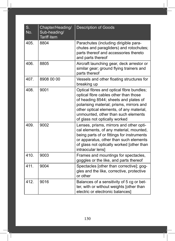| S.<br>No. | Chapter/Heading/<br>Sub-heading/<br><b>Tariff item</b> | <b>Description of Goods</b>                                                                                                                                                                                                                                                                 |
|-----------|--------------------------------------------------------|---------------------------------------------------------------------------------------------------------------------------------------------------------------------------------------------------------------------------------------------------------------------------------------------|
| 405.      | 8804                                                   | Parachutes (including dirigible para-<br>chutes and paragliders) and rotochutes;<br>parts thereof and accessories thereto<br>and parts thereof                                                                                                                                              |
| 406.      | 8805                                                   | Aircraft launching gear, deck arrestor or<br>similar gear; ground flying trainers and<br>parts thereof                                                                                                                                                                                      |
| 407.      | 8908 00 00                                             | Vessels and other floating structures for<br>breaking up                                                                                                                                                                                                                                    |
| 408.      | 9001                                                   | Optical fibres and optical fibre bundles;<br>optical fibre cables other than those<br>of heading 8544; sheets and plates of<br>polarising material; prisms, mirrors and<br>other optical elements, of any material,<br>unmounted, other than such elements<br>of glass not optically worked |
| 409.      | 9002                                                   | Lenses, prisms, mirrors and other opti-<br>cal elements, of any material, mounted,<br>being parts of or fittings for instruments<br>or apparatus, other than such elements<br>of glass not optically worked [other than<br>intraocular lens]                                                |
| 410.      | 9003                                                   | Frames and mountings for spectacles,<br>goggles or the like, and parts thereof                                                                                                                                                                                                              |
| 411.      | 9004                                                   | Spectacles [other than corrective]; gog-<br>gles and the like, corrective, protective<br>or other                                                                                                                                                                                           |
| 412.      | 9016                                                   | Balances of a sensitivity of 5 cg or bet-<br>ter, with or without weights [other than<br>electric or electronic balances]                                                                                                                                                                   |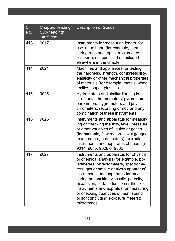| $S_{1}$<br>No. | Chapter/Heading/<br>Sub-heading/<br><b>Tariff item</b> | <b>Description of Goods</b>                                                                                                                                                                                                                                                                                                                                                                                                                 |
|----------------|--------------------------------------------------------|---------------------------------------------------------------------------------------------------------------------------------------------------------------------------------------------------------------------------------------------------------------------------------------------------------------------------------------------------------------------------------------------------------------------------------------------|
| 413.           | 9017                                                   | Instruments for measuring length, for<br>use in the hand (for example, mea-<br>suring rods and tapes, micrometers,<br>callipers), not specified or included<br>elsewhere in the chapter                                                                                                                                                                                                                                                     |
| 414.           | 9024                                                   | Machines and appliances for testing<br>the hardness, strength, compressibility,<br>elasticity or other mechanical properties<br>of materials (for example, metals, wood,<br>textiles, paper, plastics)                                                                                                                                                                                                                                      |
| 415.           | 9025                                                   | Hydrometers and similar floating in-<br>struments, thermometers, pyrometers,<br>barometers, hygrometers and psy-<br>chrometers, recording or not, and any<br>combination of these instruments                                                                                                                                                                                                                                               |
| 416.           | 9026                                                   | Instruments and apparatus for measur-<br>ing or checking the flow, level, pressure<br>or other variables of liquids or gases<br>(for example, flow meters, level gauges,<br>manometers, heat meters), excluding<br>instruments and apparatus of heading<br>9014, 9015, 9028 or 9032                                                                                                                                                         |
| 417.           | 9027                                                   | Instruments and apparatus for physical<br>or chemical analysis (for example, po-<br>larimeters, refractometers, spectrome-<br>ters, gas or smoke analysis apparatus);<br>instruments and apparatus for mea-<br>suring or checking viscosity, porosity,<br>expansion, surface tension or the like;<br>instruments and appratus for measuring<br>or checking quantities of heat, sound<br>or light (including exposure meters);<br>microtomes |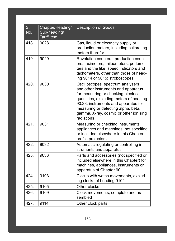| $S_{-}$<br>No. | Chapter/Heading/<br>Sub-heading/<br><b>Tariff item</b> | <b>Description of Goods</b>                                                                                                                                                                                                                                                                        |
|----------------|--------------------------------------------------------|----------------------------------------------------------------------------------------------------------------------------------------------------------------------------------------------------------------------------------------------------------------------------------------------------|
| 418.           | 9028                                                   | Gas, liquid or electricity supply or<br>production meters, including calibrating<br>meters therefor                                                                                                                                                                                                |
| 419.           | 9029                                                   | Revolution counters, production count-<br>ers, taximeters, mileometers, pedome-<br>ters and the like; speed indicators and<br>tachometers, other than those of head-<br>ing 9014 or 9015; stroboscopes                                                                                             |
| 420.           | 9030                                                   | Oscilloscopes, spectrum analysers<br>and other instruments and apparatus<br>for measuring or checking electrical<br>quantities, excluding meters of heading<br>90.28; instruments and apparatus for<br>measuring or detecting alpha, beta,<br>gamma, X-ray, cosmic or other ionising<br>radiations |
| 421.           | 9031                                                   | Measuring or checking instruments,<br>appliances and machines, not specified<br>or included elsewhere in this Chapter;<br>profile projectors                                                                                                                                                       |
| 422.           | 9032                                                   | Automatic regulating or controlling in-<br>struments and apparatus                                                                                                                                                                                                                                 |
| 423.           | 9033                                                   | Parts and accessories (not specified or<br>included elsewhere in this Chapter) for<br>machines, appliances, instruments or<br>apparatus of Chapter 90                                                                                                                                              |
| 424.           | 9103                                                   | Clocks with watch movements, exclud-<br>ing clocks of heading 9104                                                                                                                                                                                                                                 |
| 425.           | 9105                                                   | Other clocks                                                                                                                                                                                                                                                                                       |
| 426.           | 9109                                                   | Clock movements, complete and as-<br>sembled                                                                                                                                                                                                                                                       |
| 427.           | 9114                                                   | Other clock parts                                                                                                                                                                                                                                                                                  |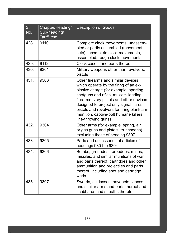| S.<br>No. | Chapter/Heading/<br>Sub-heading/<br><b>Tariff item</b> | <b>Description of Goods</b>                                                                                                                                                                                                                                                                                                                                        |
|-----------|--------------------------------------------------------|--------------------------------------------------------------------------------------------------------------------------------------------------------------------------------------------------------------------------------------------------------------------------------------------------------------------------------------------------------------------|
| 428.      | 9110                                                   | Complete clock movements, unassem-<br>bled or partly assembled (movement<br>sets); incomplete clock movements,<br>assembled; rough clock movements                                                                                                                                                                                                                 |
| 429.      | 9112                                                   | Clock cases, and parts thereof                                                                                                                                                                                                                                                                                                                                     |
| 430.      | 9301                                                   | Military weapons other than revolvers,<br>pistols                                                                                                                                                                                                                                                                                                                  |
| 431.      | 9303                                                   | Other firearms and similar devices<br>which operate by the firing of an ex-<br>plosive charge (for example, sporting<br>shotguns and rifles, muzzle- loading<br>firearms, very pistols and other devices<br>designed to project only signal flares,<br>pistols and revolvers for firing blank am-<br>munition, captive-bolt humane killers,<br>line-throwing guns) |
| 432.      | 9304                                                   | Other arms (for example, spring, air<br>or gas guns and pistols, truncheons),<br>excluding those of heading 9307                                                                                                                                                                                                                                                   |
| 433.      | 9305                                                   | Parts and accessories of articles of<br>headings 9301 to 9304                                                                                                                                                                                                                                                                                                      |
| 434.      | 9306                                                   | Bombs, grenades, torpedoes, mines,<br>missiles, and similar munitions of war<br>and parts thereof; cartridges and other<br>ammunition and projectiles and parts<br>thereof, including shot and cartridge<br>wads                                                                                                                                                   |
| 435.      | 9307                                                   | Swords, cut lasses, bayonets, lances<br>and similar arms and parts thereof and<br>scabbards and sheaths therefor                                                                                                                                                                                                                                                   |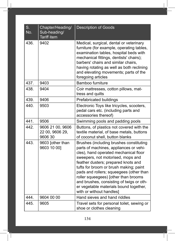| $S_{-}$<br>No. | Chapter/Heading/<br>Sub-heading/<br><b>Tariff item</b> | <b>Description of Goods</b>                                                                                                                                                                                                                                                                                                                                                                                                                           |
|----------------|--------------------------------------------------------|-------------------------------------------------------------------------------------------------------------------------------------------------------------------------------------------------------------------------------------------------------------------------------------------------------------------------------------------------------------------------------------------------------------------------------------------------------|
| 436.           | 9402                                                   | Medical, surgical, dental or veterinary<br>furniture (for example, operating tables,<br>examination tables, hospital beds with<br>mechanical fittings, dentists' chairs);<br>barbers' chairs and similar chairs,<br>having rotating as well as both reclining<br>and elevating movements; parts of the<br>foregoing articles                                                                                                                          |
| 437.           | 9403                                                   | <b>Bamboo furniture</b>                                                                                                                                                                                                                                                                                                                                                                                                                               |
| 438.           | 9404                                                   | Coir mattresses, cotton pillows, mat-<br>tress and quilts                                                                                                                                                                                                                                                                                                                                                                                             |
| 439.           | 9406                                                   | Prefabricated buildings                                                                                                                                                                                                                                                                                                                                                                                                                               |
| 440.           | 9503                                                   | Electronic Toys like tricycles, scooters,<br>pedal cars etc. (including parts and<br>accessories thereof)                                                                                                                                                                                                                                                                                                                                             |
| 441.           | 9506                                                   | Swimming pools and padding pools                                                                                                                                                                                                                                                                                                                                                                                                                      |
| 442.           | 9606 21 00, 9606<br>22 00, 9606 29,<br>9606 30         | Buttons, of plastics not covered with the<br>textile material, of base metals, buttons<br>of coconut shell, button blanks                                                                                                                                                                                                                                                                                                                             |
| 443.           | 9603 [other than<br>9603 10 00]                        | Brushes (including brushes constituting<br>parts of machines, appliances or vehi-<br>cles), hand operated mechanical floor<br>sweepers, not motorised, mops and<br>feather dusters; prepared knots and<br>tufts for broom or brush making; paint<br>pads and rollers; squeegees (other than<br>roller squeegees) [other than brooms<br>and brushes, consisting of twigs or oth-<br>er vegetable materials bound together,<br>with or without handles] |
| 444.           | 9604 00 00                                             | Hand sieves and hand riddles                                                                                                                                                                                                                                                                                                                                                                                                                          |
| 445.           | 9605                                                   | Travel sets for personal toilet, sewing or<br>shoe or clothes cleaning                                                                                                                                                                                                                                                                                                                                                                                |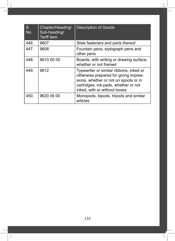| S.<br>No. | Chapter/Heading/<br>Sub-heading/<br><b>Tariff item</b> | <b>Description of Goods</b>                                                                                                                                                                       |
|-----------|--------------------------------------------------------|---------------------------------------------------------------------------------------------------------------------------------------------------------------------------------------------------|
| 446.      | 9607                                                   | Slide fasteners and parts thereof                                                                                                                                                                 |
| 447.      | 9608                                                   | Fountain pens, stylograph pens and<br>other pens                                                                                                                                                  |
| 448.      | 9610 00 00                                             | Boards, with writing or drawing surface,<br>whether or not framed                                                                                                                                 |
| 449.      | 9612                                                   | Typewriter or similar ribbons, inked or<br>otherwise prepared for giving impres-<br>sions, whether or not on spools or in<br>cartridges; ink-pads, whether or not<br>inked, with or without boxes |
| 450.      | 9620 00 00                                             | Monopods, bipods, tripods and similar<br>articles                                                                                                                                                 |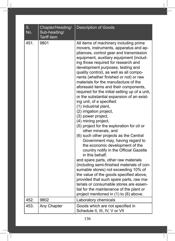| S.<br>Chapter/Heading/<br><b>Description of Goods</b><br>No.<br>Sub-heading/<br><b>Tariff item</b>                                                                                                                                                                                                                                                                                                                                                                                                                                                                                                                                                                                                                                                                                                                                                                                                                                                                                                                                                                                                                                                                                                                                                                            |  |
|-------------------------------------------------------------------------------------------------------------------------------------------------------------------------------------------------------------------------------------------------------------------------------------------------------------------------------------------------------------------------------------------------------------------------------------------------------------------------------------------------------------------------------------------------------------------------------------------------------------------------------------------------------------------------------------------------------------------------------------------------------------------------------------------------------------------------------------------------------------------------------------------------------------------------------------------------------------------------------------------------------------------------------------------------------------------------------------------------------------------------------------------------------------------------------------------------------------------------------------------------------------------------------|--|
| 9801<br>451.<br>All items of machinery including prime<br>movers, instruments, apparatus and ap-<br>pliances, control gear and transmission<br>equipment, auxiliary equipment (includ-<br>ing those required for research and<br>development purposes, testing and<br>quality control), as well as all compo-<br>nents (whether finished or not) or raw<br>materials for the manufacture of the<br>aforesaid items and their components,<br>required for the initial setting up of a unit,<br>or the substantial expansion of an exist-<br>ing unit, of a specified:<br>(1) industrial plant,<br>(2) irrigation project,<br>(3) power project,<br>(4) mining project,<br>(5) project for the exploration for oil or<br>other minerals, and<br>(6) such other projects as the Central<br>Government may, having regard to<br>the economic development of the<br>country notify in the Official Gazette<br>in this behalf;<br>and spare parts, other raw materials<br>(including semi-finished materials of con-<br>sumable stores) not exceeding 10% of<br>the value of the goods specified above,<br>provided that such spare parts, raw ma-<br>terials or consumable stores are essen-<br>tial for the maintenance of the plant or<br>project mentioned in (1) to (6) above. |  |
| 452.<br>9802<br>Laboratory chemicals                                                                                                                                                                                                                                                                                                                                                                                                                                                                                                                                                                                                                                                                                                                                                                                                                                                                                                                                                                                                                                                                                                                                                                                                                                          |  |
| 453.<br>Any Chapter<br>Goods which are not specified in<br>Schedule II, III, IV, V or VII                                                                                                                                                                                                                                                                                                                                                                                                                                                                                                                                                                                                                                                                                                                                                                                                                                                                                                                                                                                                                                                                                                                                                                                     |  |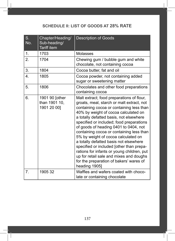## **SCHEDULE II: LIST OF GOODS AT 28% RATE**

| S.<br>No.        | Chapter/Heading/<br>Sub-heading/<br><b>Tariff item</b> | <b>Description of Goods</b>                                                                                                                                                                                                                                                                                                                                                                                                                                                                                                                                                                                                              |
|------------------|--------------------------------------------------------|------------------------------------------------------------------------------------------------------------------------------------------------------------------------------------------------------------------------------------------------------------------------------------------------------------------------------------------------------------------------------------------------------------------------------------------------------------------------------------------------------------------------------------------------------------------------------------------------------------------------------------------|
| 1.               | 1703                                                   | Molasses                                                                                                                                                                                                                                                                                                                                                                                                                                                                                                                                                                                                                                 |
| 2.               | 1704                                                   | Chewing gum / bubble gum and white<br>chocolate, not containing cocoa                                                                                                                                                                                                                                                                                                                                                                                                                                                                                                                                                                    |
| 3.               | 1804                                                   | Cocoa butter, fat and oil                                                                                                                                                                                                                                                                                                                                                                                                                                                                                                                                                                                                                |
| 4.               | 1805                                                   | Cocoa powder, not containing added<br>sugar or sweetening matter                                                                                                                                                                                                                                                                                                                                                                                                                                                                                                                                                                         |
| 5.               | 1806                                                   | Chocolates and other food preparations<br>containing cocoa                                                                                                                                                                                                                                                                                                                                                                                                                                                                                                                                                                               |
| 6.               | 1901 90 [other<br>than 1901 10,<br>1901 20 00]         | Malt extract; food preparations of flour,<br>groats, meal, starch or malt extract, not<br>containing cocoa or containing less than<br>40% by weight of cocoa calculated on<br>a totally defatted basis, not elsewhere<br>specified or included; food preparations<br>of goods of heading 0401 to 0404, not<br>containing cocoa or containing less than<br>5% by weight of cocoa calculated on<br>a totally defatted basis not elsewhere<br>specified or included [other than prepa-<br>rations for infants or young children, put<br>up for retail sale and mixes and doughs<br>for the preparation of bakers' wares of<br>heading 1905] |
| $\overline{7}$ . | 1905 32                                                | Waffles and wafers coated with choco-<br>late or containing chocolate                                                                                                                                                                                                                                                                                                                                                                                                                                                                                                                                                                    |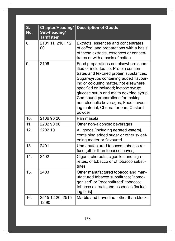| S.<br>No. | Chapter/Heading/<br>Sub-heading/<br><b>Tariff item</b> | <b>Description of Goods</b>                                                                                                                                                                                                                                                                                                                                                                                                         |
|-----------|--------------------------------------------------------|-------------------------------------------------------------------------------------------------------------------------------------------------------------------------------------------------------------------------------------------------------------------------------------------------------------------------------------------------------------------------------------------------------------------------------------|
| 8.        | 2101 11, 2101 12<br>00                                 | Extracts, essences and concentrates<br>of coffee, and preparations with a basis<br>of these extracts, essences or concen-<br>trates or with a basis of coffee                                                                                                                                                                                                                                                                       |
| 9.        | 2106                                                   | Food preparations not elsewhere spec-<br>ified or included i.e. Protein concen-<br>trates and textured protein substances,<br>Sugar-syrups containing added flavour-<br>ing or colouring matter, not elsewhere<br>specified or included; lactose syrup;<br>glucose syrup and malto dextrine syrup,<br>Compound preparations for making<br>non-alcoholic beverages, Food flavour-<br>ing material, Churna for pan, Custard<br>powder |
| 10.       | 2106 90 20                                             | Pan masala                                                                                                                                                                                                                                                                                                                                                                                                                          |
| 11.       | 2202 90 90                                             | Other non-alcoholic beverages                                                                                                                                                                                                                                                                                                                                                                                                       |
| 12.       | 2202 10                                                | All goods [including aerated waters],<br>containing added sugar or other sweet-<br>ening matter or flavoured                                                                                                                                                                                                                                                                                                                        |
| 13.       | 2401                                                   | Unmanufactured tobacco; tobacco re-<br>fuse [other than tobacco leaves]                                                                                                                                                                                                                                                                                                                                                             |
| 14.       | 2402                                                   | Cigars, cheroots, cigarillos and ciga-<br>rettes, of tobacco or of tobacco substi-<br>tutes                                                                                                                                                                                                                                                                                                                                         |
| 15.       | 2403                                                   | Other manufactured tobacco and man-<br>ufactured tobacco substitutes; "homo-<br>genised" or "reconstituted" tobacco;<br>tobacco extracts and essences [includ-<br>ing biris]                                                                                                                                                                                                                                                        |
| 16.       | 2515 12 20, 2515<br>12 90                              | Marble and travertine, other than blocks                                                                                                                                                                                                                                                                                                                                                                                            |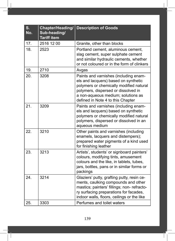| S.<br>$\overline{\text{No}}$ . | Chapter/Heading/<br>Sub-heading/<br><b>Tariff item</b> | <b>Description of Goods</b>                                                                                                                                                                                                                |
|--------------------------------|--------------------------------------------------------|--------------------------------------------------------------------------------------------------------------------------------------------------------------------------------------------------------------------------------------------|
| 17.                            | 2516 12 00                                             | Granite, other than blocks                                                                                                                                                                                                                 |
| 18.                            | 2523                                                   | Portland cement, aluminous cement,<br>slag cement, super sulphate cement<br>and similar hydraulic cements, whether<br>or not coloured or in the form of clinkers                                                                           |
| 19.                            | 2710                                                   | Avgas                                                                                                                                                                                                                                      |
| 20.                            | 3208                                                   | Paints and varnishes (including enam-<br>els and lacquers) based on synthetic<br>polymers or chemically modified natural<br>polymers, dispersed or dissolved in<br>a non-aqueous medium; solutions as<br>defined in Note 4 to this Chapter |
| 21.                            | 3209                                                   | Paints and varnishes (including enam-<br>els and lacquers) based on synthetic<br>polymers or chemically modified natural<br>polymers, dispersed or dissolved in an<br>aqueous medium                                                       |
| 22.                            | 3210                                                   | Other paints and varnishes (including<br>enamels, lacquers and distempers);<br>prepared water pigments of a kind used<br>for finishing leather                                                                                             |
| 23.                            | 3213                                                   | Artists', students' or signboard painters'<br>colours, modifying tints, amusement<br>colours and the like, in tablets, tubes,<br>jars, bottles, pans or in similar forms or<br>packings                                                    |
| 24.                            | 3214                                                   | Glaziers' putty, grafting putty, resin ce-<br>ments, caulking compounds and other<br>mastics; painters' fillings; non-refracto-<br>ry surfacing preparations for facades,<br>indoor walls, floors, ceilings or the like                    |
| 25.                            | 3303                                                   | Perfumes and toilet waters                                                                                                                                                                                                                 |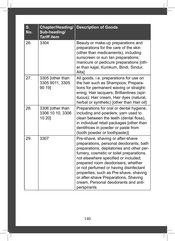| S.<br>No. | Chapter/Heading/<br>Sub-heading/<br><b>Tariff item</b> | <b>Description of Goods</b>                                                                                                                                                                                                                                                                                                                                                                                                            |
|-----------|--------------------------------------------------------|----------------------------------------------------------------------------------------------------------------------------------------------------------------------------------------------------------------------------------------------------------------------------------------------------------------------------------------------------------------------------------------------------------------------------------------|
| 26.       | 3304                                                   | Beauty or make-up preparations and<br>preparations for the care of the skin<br>(other than medicaments), including<br>sunscreen or sun tan preparations;<br>manicure or pedicure preparations [oth-<br>er than kajal, Kumkum, Bindi, Sindur,<br>Alta]                                                                                                                                                                                  |
| 27.       | 3305 [other than<br>3305 9011, 3305<br>90 19]          | All goods, i.e. preparations for use on<br>the hair such as Shampoos; Prepara-<br>tions for permanent waving or straight-<br>ening; Hair lacquers; Brilliantines (spir-<br>ituous); Hair cream, Hair dyes (natural,<br>herbal or synthetic) [other than Hair oil]                                                                                                                                                                      |
| 28.       | 3306 [other than<br>3306 10 10, 3306<br>10 20]         | Preparations for oral or dental hygiene,<br>including and powders; yarn used to<br>clean between the teeth (dental floss),<br>in individual retail packages [other than<br>dentifrices in powder or paste from<br>(tooth powder or toothpaste)]                                                                                                                                                                                        |
| 29.       | 3307                                                   | Pre-shave, shaving or after-shave<br>preparations, personal deodorants, bath<br>preparations, depilatories and other per-<br>fumery, cosmetic or toilet preparations,<br>not elsewhere specified or included;<br>prepared room deodorisers, whether<br>or not perfumed or having disinfectant<br>properties; such as Pre-shave, shaving<br>or after-shave Preparations, Shaving<br>cream, Personal deodorants and anti-<br>perspirants |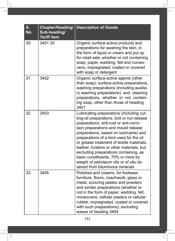| S.<br>No. | Chapter/Heading/<br>Sub-heading/<br><b>Tariff item</b> | <b>Description of Goods</b>                                                                                                                                                                                                                                                                                                                                                                                                                                                                                         |
|-----------|--------------------------------------------------------|---------------------------------------------------------------------------------------------------------------------------------------------------------------------------------------------------------------------------------------------------------------------------------------------------------------------------------------------------------------------------------------------------------------------------------------------------------------------------------------------------------------------|
| 30.       | 3401 30                                                | Organic surface-active products and<br>preparations for washing the skin, in<br>the form of liquid or cream and put up<br>for retail sale, whether or not containing<br>soap; paper, wadding, felt and nonwo-<br>vens, impregnated, coated or covered<br>with soap or detergent                                                                                                                                                                                                                                     |
| 31.       | 3402                                                   | Organic surface-active agents (other<br>than soap); surface-active preparations,<br>washing preparations (including auxilia-<br>ry washing preparations) and cleaning<br>preparations, whether or not contain-<br>ing soap, other than those of heading<br>3401                                                                                                                                                                                                                                                     |
| 32.       | 3403                                                   | Lubricating preparations (including cut-<br>ting-oil preparations, bolt or nut release<br>preparations, anti-rust or anti-corro-<br>sion preparations and mould release<br>preparations, based on lubricants) and<br>preparations of a kind used for the oil<br>or grease treatment of textile materials,<br>leather, furskins or other materials, but<br>excluding preparations containing, as<br>basic constituents, 70% or more by<br>weight of petroleum oils or of oils ob-<br>tained from bituminous minerals |
| 33.       | 3405                                                   | Polishes and creams, for footwear,<br>furniture, floors, coachwork, glass or<br>metal, scouring pastes and powders<br>and similar preparations (whether or<br>not in the form of paper, wadding, felt,<br>nonwovens, cellular plastics or cellular<br>rubber, impregnated, coated or covered<br>with such preparations), excluding<br>waxes of heading 3404                                                                                                                                                         |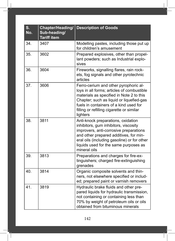| S.<br>No. | Chapter/Heading/<br>Sub-heading/<br><b>Tariff item</b> | <b>Description of Goods</b>                                                                                                                                                                                                                                                    |
|-----------|--------------------------------------------------------|--------------------------------------------------------------------------------------------------------------------------------------------------------------------------------------------------------------------------------------------------------------------------------|
| 34.       | 3407                                                   | Modelling pastes, including those put up<br>for children's amusement                                                                                                                                                                                                           |
| 35.       | 3602                                                   | Prepared explosives, other than propel-<br>lant powders; such as Industrial explo-<br>sives                                                                                                                                                                                    |
| 36.       | 3604                                                   | Fireworks, signalling flares, rain rock-<br>ets, fog signals and other pyrotechnic<br>articles                                                                                                                                                                                 |
| 37.       | 3606                                                   | Ferro-cerium and other pyrophoric al-<br>loys in all forms; articles of combustible<br>materials as specified in Note 2 to this<br>Chapter; such as liquid or liquefied-gas<br>fuels in containers of a kind used for<br>filling or refilling cigarette or similar<br>lighters |
| 38.       | 3811                                                   | Anti-knock preparations, oxidation<br>inhibitors, gum inhibitors, viscosity<br>improvers, anti-corrosive preparations<br>and other prepared additives, for min-<br>eral oils (including gasoline) or for other<br>liquids used for the same purposes as<br>mineral oils        |
| 39.       | 3813                                                   | Preparations and charges for fire-ex-<br>tinguishers; charged fire-extinguishing<br>grenades                                                                                                                                                                                   |
| 40.       | 3814                                                   | Organic composite solvents and thin-<br>ners, not elsewhere specified or includ-<br>ed; prepared paint or varnish removers                                                                                                                                                     |
| 41.       | 3819                                                   | Hydraulic brake fluids and other pre-<br>pared liquids for hydraulic transmission,<br>not containing or containing less than<br>70% by weight of petroleum oils or oils<br>obtained from bituminous minerals                                                                   |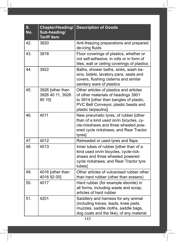| S.<br>No. | Chapter/Heading/<br>Sub-heading/<br><b>Tariff item</b> | <b>Description of Goods</b>                                                                                                                                                              |
|-----------|--------------------------------------------------------|------------------------------------------------------------------------------------------------------------------------------------------------------------------------------------------|
| 42.       | 3820                                                   | Anti-freezing preparations and prepared<br>de-icing fluids                                                                                                                               |
| 43.       | 3918                                                   | Floor coverings of plastics, whether or<br>not self-adhesive, in rolls or in form of<br>tiles; wall or ceiling coverings of plastics                                                     |
| 44.       | 3922                                                   | Baths, shower baths, sinks, wash ba-<br>sins, bidets, lavatory pans, seats and<br>covers, flushing cisterns and similar<br>sanitary ware of plastics                                     |
| 45.       | 3926 [other than<br>3926 40 11, 3926<br>90 10]         | Other articles of plastics and articles<br>of other materials of headings 3901<br>to 3914 [other than bangles of plastic,<br>PVC Belt Conveyor, plastic beads and<br>plastic tarpaulins] |
| 46.       | 4011                                                   | New pneumatic tyres, of rubber [other<br>than of a kind used on/in bicycles, cy-<br>cle-rickshaws and three wheeled pow-<br>ered cycle rickshaws; and Rear Tractor<br>tyres]             |
| 47.       | 4012                                                   | Retreaded or used tyres and flaps                                                                                                                                                        |
| 48.       | 4013                                                   | Inner tubes of rubber [other than of a<br>kind used on/in bicycles, cycle-rick-<br>shaws and three wheeled powered<br>cycle rickshaws; and Rear Tractor tyre<br>tubes]                   |
| 49.       | 4016 [other than<br>4016 92 00]                        | Other articles of vulcanised rubber other<br>than hard rubber (other than erasers)                                                                                                       |
| 50.       | 4017                                                   | Hard rubber (for example ebonite) in<br>all forms, including waste and scrap;<br>articles of hard rubber                                                                                 |
| 51.       | 4201                                                   | Saddlery and harness for any animal<br>(including traces, leads, knee pads,<br>muzzles, saddle cloths, saddle bags,<br>dog coats and the like), of any material                          |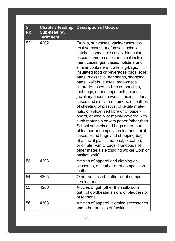| S.<br>No. | Chapter/Heading/<br>Sub-heading/<br><b>Tariff item</b> | <b>Description of Goods</b>                                                                                                                                                                                                                                                                                                                                                                                                                                                                                                                                                                                                                                                                                                                                                                                                                                                                                                                                                                           |
|-----------|--------------------------------------------------------|-------------------------------------------------------------------------------------------------------------------------------------------------------------------------------------------------------------------------------------------------------------------------------------------------------------------------------------------------------------------------------------------------------------------------------------------------------------------------------------------------------------------------------------------------------------------------------------------------------------------------------------------------------------------------------------------------------------------------------------------------------------------------------------------------------------------------------------------------------------------------------------------------------------------------------------------------------------------------------------------------------|
| 52.       | 4202                                                   | Trunks, suit-cases, vanity-cases, ex-<br>ecutive-cases, brief-cases, school<br>satchels, spectacle cases, binocular<br>cases, camera cases, musical instru-<br>ment cases, gun cases, holsters and<br>similar containers; travelling-bags,<br>insulated food or beverages bags, toilet<br>bags, rucksacks, handbags, shopping<br>bags, wallets, purses, map-cases,<br>cigarette-cases, to-bacco- pouches,<br>tool bags, sports bags, bottle-cases,<br>jewellery boxes, powder-boxes, cutlery<br>cases and similar containers, of leather,<br>of sheeting of plastics, of textile mate-<br>rials, of vulcanised fibre or of paper-<br>board, or wholly or mainly covered with<br>such materials or with paper [other than<br>School satchels and bags other than<br>of leather or composition leather, Toilet<br>cases, Hand bags and shopping bags,<br>of artificial plastic material, of cotton,<br>or of jute, Vanity bags, Handbags of<br>other materials excluding wicker work or<br>basket work] |
| 53.       | 4203                                                   | Articles of apparel and clothing ac-<br>cessories, of leather or of composition<br>leather                                                                                                                                                                                                                                                                                                                                                                                                                                                                                                                                                                                                                                                                                                                                                                                                                                                                                                            |
| 54.       | 4205                                                   | Other articles of leather or of composi-<br>tion leather                                                                                                                                                                                                                                                                                                                                                                                                                                                                                                                                                                                                                                                                                                                                                                                                                                                                                                                                              |
| 55.       | 4206                                                   | Articles of gut (other than silk-worm<br>gut), of goldbeater's skin, of bladders or<br>of tendons                                                                                                                                                                                                                                                                                                                                                                                                                                                                                                                                                                                                                                                                                                                                                                                                                                                                                                     |
| 56.       | 4303                                                   | Articles of apparel, clothing accessories<br>and other articles of furskin                                                                                                                                                                                                                                                                                                                                                                                                                                                                                                                                                                                                                                                                                                                                                                                                                                                                                                                            |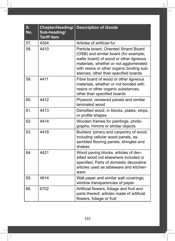| S.<br>No. | Chapter/Heading/<br>Sub-heading/<br><b>Tariff item</b> | <b>Description of Goods</b>                                                                                                                                                                                                                             |
|-----------|--------------------------------------------------------|---------------------------------------------------------------------------------------------------------------------------------------------------------------------------------------------------------------------------------------------------------|
| 57.       | 4304                                                   | Articles of artificial fur                                                                                                                                                                                                                              |
| 58.       | 4410                                                   | Particle board, Oriented Strand Board<br>(OSB) and similar board (for example,<br>wafer board) of wood or other ligneous<br>materials, whether or not agglomerated<br>with resins or other organic binding sub-<br>stances, other than specified boards |
| 59.       | 4411                                                   | Fibre board of wood or other ligneous<br>materials, whether or not bonded with<br>resins or other organic substances,<br>other than specified boards                                                                                                    |
| 60.       | 4412                                                   | Plywood, veneered panels and similar<br>laminated wood                                                                                                                                                                                                  |
| 61.       | 4413                                                   | Densified wood, in blocks, plates, strips,<br>or profile shapes                                                                                                                                                                                         |
| 62.       | 4414                                                   | Wooden frames for paintings, photo-<br>graphs, mirrors or similar objects                                                                                                                                                                               |
| 63.       | 4418                                                   | Builders' joinery and carpentry of wood,<br>including cellular wood panels, as-<br>sembled flooring panels, shingles and<br>shakes                                                                                                                      |
| 64.       | 4421                                                   | Wood paving blocks, articles of den-<br>sified wood not elsewhere included or<br>specified, Parts of domestic decorative<br>articles used as tableware and kitchen-<br>ware                                                                             |
| 65.       | 4814                                                   | Wall paper and similar wall coverings;<br>window transparencies of paper                                                                                                                                                                                |
| 66.       | 6702                                                   | Artificial flowers, foliage and fruit and<br>parts thereof; articles made of artificial<br>flowers, foliage or fruit                                                                                                                                    |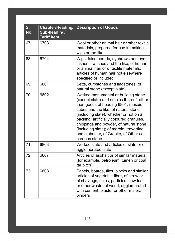| S.<br>No. | Chapter/Heading/<br>Sub-heading/<br><b>Tariff item</b> | <b>Description of Goods</b>                                                                                                                                                                                                                                                                                                                                                                              |
|-----------|--------------------------------------------------------|----------------------------------------------------------------------------------------------------------------------------------------------------------------------------------------------------------------------------------------------------------------------------------------------------------------------------------------------------------------------------------------------------------|
| 67.       | 6703                                                   | Wool or other animal hair or other textile<br>materials, prepared for use in making<br>wigs or the like                                                                                                                                                                                                                                                                                                  |
| 68.       | 6704                                                   | Wigs, false beards, eyebrows and eye-<br>lashes, switches and the like, of human<br>or animal hair or of textile materials;<br>articles of human hair not elsewhere<br>specified or included                                                                                                                                                                                                             |
| 69.       | 6801                                                   | Setts, curbstones and flagstones, of<br>natural stone (except slate)                                                                                                                                                                                                                                                                                                                                     |
| 70.       | 6802                                                   | Worked monumental or building stone<br>(except slate) and articles thereof, other<br>than goods of heading 6801; mosaic<br>cubes and the like, of natural stone<br>(including slate), whether or not on a<br>backing; artificially coloured granules,<br>chippings and powder, of natural stone<br>(including slate); of marble, travertine<br>and alabaster, of Granite, of Other cal-<br>careous stone |
| 71.       | 6803                                                   | Worked slate and articles of slate or of<br>agglomerated slate                                                                                                                                                                                                                                                                                                                                           |
| 72.       | 6807                                                   | Articles of asphalt or of similar material<br>(for example, petroleum itumen or coal<br>tar pitch)                                                                                                                                                                                                                                                                                                       |
| 73.       | 6808                                                   | Panels, boards, tiles, blocks and similar<br>articles of vegetable fibre, of straw or<br>of shavings, chips, particles, sawdust<br>or other waste, of wood, agglomerated<br>with cement, plaster or other mineral<br>binders                                                                                                                                                                             |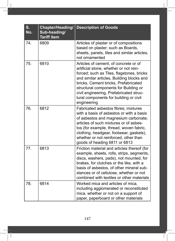| S.<br>$\overline{\text{No}}$ . | Chapter/Heading/<br>Sub-heading/<br><b>Tariff item</b> | <b>Description of Goods</b>                                                                                                                                                                                                                                                                                                                                    |
|--------------------------------|--------------------------------------------------------|----------------------------------------------------------------------------------------------------------------------------------------------------------------------------------------------------------------------------------------------------------------------------------------------------------------------------------------------------------------|
| 74.                            | 6809                                                   | Articles of plaster or of compositions<br>based on plaster; such as Boards,<br>sheets, panels, tiles and similar articles,<br>not ornamented                                                                                                                                                                                                                   |
| 75.                            | 6810                                                   | Articles of cement, of concrete or of<br>artificial stone, whether or not rein-<br>forced; such as Tiles, flagstones, bricks<br>and similar articles, Building blocks and<br>bricks, Cement bricks, Prefabricated<br>structural components for Building or<br>civil engineering, Prefabricated struc-<br>tural components for building or civil<br>engineering |
| 76.                            | 6812                                                   | Fabricated asbestos fibres; mixtures<br>with a basis of asbestos or with a basis<br>of asbestos and magnesium carbonate;<br>articles of such mixtures or of asbes-<br>tos (for example, thread, woven fabric,<br>clothing, headgear, footwear, gaskets),<br>whether or not reinforced, other than<br>goods of heading 6811 or 6813                             |
| 77.                            | 6813                                                   | Friction material and articles thereof (for<br>example, sheets, rolls, strips, segments,<br>discs, washers, pads), not mounted, for<br>brakes, for clutches or the like, with a<br>basis of asbestos, of other mineral sub-<br>stances or of cellulose, whether or not<br>combined with textiles or other materials                                            |
| 78.                            | 6814                                                   | Worked mica and articles of mica,<br>including agglomerated or reconstituted<br>mica, whether or not on a support of<br>paper, paperboard or other materials                                                                                                                                                                                                   |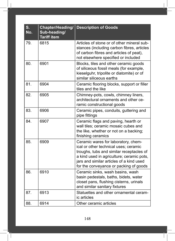| S.<br>No. | Chapter/Heading/<br>Sub-heading/<br><b>Tariff item</b> | <b>Description of Goods</b>                                                                                                                                                                                                                                 |
|-----------|--------------------------------------------------------|-------------------------------------------------------------------------------------------------------------------------------------------------------------------------------------------------------------------------------------------------------------|
| 79.       | 6815                                                   | Articles of stone or of other mineral sub-<br>stances (including carbon fibres, articles<br>of carbon fibres and articles of peat),<br>not elsewhere specified or included                                                                                  |
| 80.       | 6901                                                   | Blocks, tiles and other ceramic goods<br>of siliceous fossil meals (for example,<br>kieselguhr, tripolite or diatomite) or of<br>similar siliceous earths                                                                                                   |
| 81.       | 6904                                                   | Ceramic flooring blocks, support or filler<br>tiles and the like                                                                                                                                                                                            |
| 82.       | 6905                                                   | Chimney-pots, cowls, chimney liners,<br>architectural ornaments and other ce-<br>ramic constructional goods                                                                                                                                                 |
| 83.       | 6906                                                   | Ceramic pipes, conduits, guttering and<br>pipe fittings                                                                                                                                                                                                     |
| 84.       | 6907                                                   | Ceramic flags and paving, hearth or<br>wall tiles; ceramic mosaic cubes and<br>the like, whether or not on a backing;<br>finishing ceramics                                                                                                                 |
| 85.       | 6909                                                   | Ceramic wares for laboratory, chem-<br>ical or other technical uses; ceramic<br>troughs, tubs and similar receptacles of<br>a kind used in agriculture; ceramic pots,<br>jars and similar articles of a kind used<br>for the conveyance or packing of goods |
| 86.       | 6910                                                   | Ceramic sinks, wash basins, wash<br>basin pedestals, baths, bidets, water<br>closet pans, flushing cisterns, urinals<br>and similar sanitary fixtures                                                                                                       |
| 87.       | 6913                                                   | Statuettes and other ornamental ceram-<br>ic articles                                                                                                                                                                                                       |
| 88.       | 6914                                                   | Other ceramic articles                                                                                                                                                                                                                                      |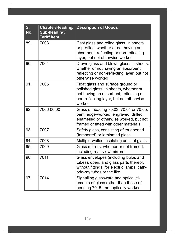| S.<br>No. | Chapter/Heading/<br>Sub-heading/<br><b>Tariff item</b> | <b>Description of Goods</b>                                                                                                                                               |
|-----------|--------------------------------------------------------|---------------------------------------------------------------------------------------------------------------------------------------------------------------------------|
| 89.       | 7003                                                   | Cast glass and rolled glass, in sheets<br>or profiles, whether or not having an<br>absorbent, reflecting or non-reflecting<br>layer, but not otherwise worked             |
| 90.       | 7004                                                   | Drawn glass and blown glass, in sheets,<br>whether or not having an absorbent,<br>reflecting or non-reflecting layer, but not<br>otherwise worked                         |
| 91.       | 7005                                                   | Float glass and surface ground or<br>polished glass, in sheets, whether or<br>not having an absorbent, reflecting or<br>non-reflecting layer, but not otherwise<br>worked |
| 92.       | 7006 00 00                                             | Glass of heading 70.03, 70.04 or 70.05,<br>bent, edge-worked, engraved, drilled,<br>enamelled or otherwise worked, but not<br>framed or fitted with other materials       |
| 93.       | 7007                                                   | Safety glass, consisting of toughened<br>(tempered) or laminated glass                                                                                                    |
| 94.       | 7008                                                   | Multiple-walled insulating units of glass                                                                                                                                 |
| 95.       | 7009                                                   | Glass mirrors, whether or not framed,<br>including rear-view mirrors                                                                                                      |
| 96.       | 7011                                                   | Glass envelopes (including bulbs and<br>tubes), open, and glass parts thereof,<br>without fittings, for electric lamps, cath-<br>ode-ray tubes or the like                |
| 97.       | 7014                                                   | Signalling glassware and optical el-<br>ements of glass (other than those of<br>heading 7015), not optically worked                                                       |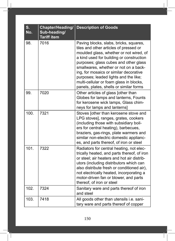| S.<br>No. | Chapter/Heading/<br>Sub-heading/<br><b>Tariff item</b> | <b>Description of Goods</b>                                                                                                                                                                                                                                                                                                                                                                                                        |
|-----------|--------------------------------------------------------|------------------------------------------------------------------------------------------------------------------------------------------------------------------------------------------------------------------------------------------------------------------------------------------------------------------------------------------------------------------------------------------------------------------------------------|
| 98.       | 7016                                                   | Paving blocks, slabs, bricks, squares,<br>tiles and other articles of pressed or<br>moulded glass, whether or not wired, of<br>a kind used for building or construction<br>purposes; glass cubes and other glass<br>smallwares, whether or not on a back-<br>ing, for mosaics or similar decorative<br>purposes; leaded lights and the like;<br>multi-cellular or foam glass in blocks,<br>panels, plates, shells or similar forms |
| 99.       | 7020                                                   | Other articles of glass [other than<br>Globes for lamps and lanterns, Founts<br>for kerosene wick lamps, Glass chim-<br>neys for lamps and lanterns]                                                                                                                                                                                                                                                                               |
| 100.      | 7321                                                   | Stoves [other than kerosene stove and<br>LPG stoves], ranges, grates, cookers<br>(including those with subsidiary boil-<br>ers for central heating), barbecues,<br>braziers, gas-rings, plate warmers and<br>similar non-electric domestic applianc-<br>es, and parts thereof, of iron or steel                                                                                                                                    |
| 101.      | 7322                                                   | Radiators for central heating, not elec-<br>trically heated, and parts thereof, of iron<br>or steel; air heaters and hot air distrib-<br>utors (including distributors which can<br>also distribute fresh or conditioned air),<br>not electrically heated, incorporating a<br>motor-driven fan or blower, and parts<br>thereof, of iron or steel                                                                                   |
| 102.      | 7324                                                   | Sanitary ware and parts thereof of iron<br>and steel                                                                                                                                                                                                                                                                                                                                                                               |
| 103.      | 7418                                                   | All goods other than utensils i.e. sani-<br>tary ware and parts thereof of copper                                                                                                                                                                                                                                                                                                                                                  |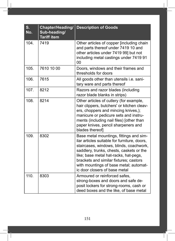| S.<br>No. | Chapter/Heading/<br>Sub-heading/<br><b>Tariff item</b> | <b>Description of Goods</b>                                                                                                                                                                                                                                                                                                                  |
|-----------|--------------------------------------------------------|----------------------------------------------------------------------------------------------------------------------------------------------------------------------------------------------------------------------------------------------------------------------------------------------------------------------------------------------|
| 104.      | 7419                                                   | Other articles of copper [including chain<br>and parts thereof under 7419 10 and<br>other articles under 7419 99] but not<br>including metal castings under 7419 91<br>00                                                                                                                                                                    |
| 105.      | 7610 10 00                                             | Doors, windows and their frames and<br>thresholds for doors                                                                                                                                                                                                                                                                                  |
| 106.      | 7615                                                   | All goods other than utensils i.e. sani-<br>tary ware and parts thereof                                                                                                                                                                                                                                                                      |
| 107.      | 8212                                                   | Razors and razor blades (including<br>razor blade blanks in strips)                                                                                                                                                                                                                                                                          |
| 108.      | 8214                                                   | Other articles of cutlery (for example,<br>hair clippers, butchers' or kitchen cleav-<br>ers, choppers and mincing knives,);<br>manicure or pedicure sets and instru-<br>ments (including nail files) [other than<br>paper knives, pencil sharpeners and<br>blades thereof                                                                   |
| 109.      | 8302                                                   | Base metal mountings, fittings and sim-<br>ilar articles suitable for furniture, doors,<br>staircases, windows, blinds, coachwork,<br>saddlery, trunks, chests, caskets or the<br>like; base metal hat-racks, hat-pegs,<br>brackets and similar fixtures; castors<br>with mountings of base metal; automat-<br>ic door closers of base metal |
| 110.      | 8303                                                   | Armoured or reinforced safes,<br>strong-boxes and doors and safe de-<br>posit lockers for strong-rooms, cash or<br>deed boxes and the like, of base metal                                                                                                                                                                                    |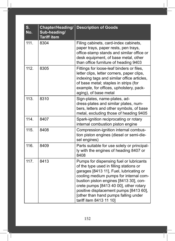| S.<br>$\overline{\text{No}}$ . | Chapter/Heading/<br>Sub-heading/<br><b>Tariff item</b> | <b>Description of Goods</b>                                                                                                                                                                                                                                                                                                                                              |
|--------------------------------|--------------------------------------------------------|--------------------------------------------------------------------------------------------------------------------------------------------------------------------------------------------------------------------------------------------------------------------------------------------------------------------------------------------------------------------------|
| 111.                           | 8304                                                   | Filing cabinets, card-index cabinets,<br>paper trays, paper rests, pen trays,<br>office-stamp stands and similar office or<br>desk equipment, of base metal, other<br>than office furniture of heading 9403                                                                                                                                                              |
| 112.                           | 8305                                                   | Fittings for loose-leaf binders or files,<br>letter clips, letter corners, paper clips,<br>indexing tags and similar office articles,<br>of base metal; staples in strips (for<br>example, for offices, upholstery, pack-<br>aging), of base metal                                                                                                                       |
| 113.                           | 8310                                                   | Sign-plates, name-plates, ad-<br>dress-plates and similar plates, num-<br>bers, letters and other symbols, of base<br>metal, excluding those of heading 9405                                                                                                                                                                                                             |
| 114.                           | 8407                                                   | Spark-ignition reciprocating or rotary<br>internal combustion piston engine                                                                                                                                                                                                                                                                                              |
| 115.                           | 8408                                                   | Compression-ignition internal combus-<br>tion piston engines (diesel or semi-die-<br>sel engines)                                                                                                                                                                                                                                                                        |
| 116.                           | 8409                                                   | Parts suitable for use solely or principal-<br>ly with the engines of heading 8407 or<br>8408                                                                                                                                                                                                                                                                            |
| 117.                           | 8413                                                   | Pumps for dispensing fuel or lubricants<br>of the type used in filling stations or<br>garages [8413 11], Fuel, lubricating or<br>cooling medium pumps for internal com-<br>bustion piston engines [8413 30], con-<br>crete pumps [8413 40 00], other rotary<br>positive displacement pumps [8413 60],<br>[other than hand pumps falling under<br>tariff item 8413 11 10] |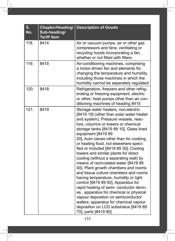| $\overline{\mathbf{s}}$ .<br>No. | Chapter/Heading/<br>Sub-heading/<br><b>Tariff item</b> | <b>Description of Goods</b>                                                                                                                                                                                                                                                                                                                                                                                                                                                                                                                                                                                                                                                                                                                                                                                                                                                                   |
|----------------------------------|--------------------------------------------------------|-----------------------------------------------------------------------------------------------------------------------------------------------------------------------------------------------------------------------------------------------------------------------------------------------------------------------------------------------------------------------------------------------------------------------------------------------------------------------------------------------------------------------------------------------------------------------------------------------------------------------------------------------------------------------------------------------------------------------------------------------------------------------------------------------------------------------------------------------------------------------------------------------|
| 118.                             | 8414                                                   | Air or vacuum pumps, air or other gas<br>compressors and fans; ventilating or<br>recycling hoods incorporating a fan,<br>whether or not fitted with filters                                                                                                                                                                                                                                                                                                                                                                                                                                                                                                                                                                                                                                                                                                                                   |
| 119.                             | 8415                                                   | Air-conditioning machines, comprising<br>a motor-driven fan and elements for<br>changing the temperature and humidity,<br>including those machines in which the<br>humidity cannot be separately regulated                                                                                                                                                                                                                                                                                                                                                                                                                                                                                                                                                                                                                                                                                    |
| 120.                             | 8418                                                   | Refrigerators, freezers and other refrig-<br>erating or freezing equipment, electric<br>or other; heat pumps other than air con-<br>ditioning machines of heading 8415                                                                                                                                                                                                                                                                                                                                                                                                                                                                                                                                                                                                                                                                                                                        |
| 121.                             | 8419                                                   | Storage water heaters, non-electric<br>[8419 19] (other than solar water heater<br>and system), Pressure vessels, reac-<br>tors, columns or towers or chemical<br>storage tanks [8419 89 10], Glass lined<br>equipment [8419 89<br>20], Auto claves other than for cooking<br>or heating food, not elsewhere speci-<br>fied or included [8419 89 30], Cooling<br>towers and similar plants for direct<br>cooling (without a separating wall) by<br>means of recirculated water [8419 89<br>40], Plant growth chambers and rooms<br>and tissue culture chambers and rooms<br>having temperature, humidity or light<br>control [8419 89 60], Apparatus for<br>rapid heating of semi- conductor devic-<br>es, apparatus for chemical or physical<br>vapour deposition on semiconductor<br>wafers; apparatus for chemical vapour<br>deposition on LCD substratus [8419 89<br>70]; parts [8419 90] |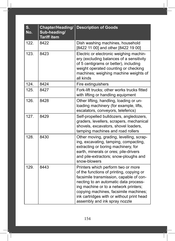| S.<br>No. | Chapter/Heading/<br>Sub-heading/<br><b>Tariff item</b> | <b>Description of Goods</b>                                                                                                                                                                                                                                                                                                        |
|-----------|--------------------------------------------------------|------------------------------------------------------------------------------------------------------------------------------------------------------------------------------------------------------------------------------------------------------------------------------------------------------------------------------------|
| 122.      | 8422                                                   | Dish washing machines, household<br>[8422 11 00] and other [8422 19 00]                                                                                                                                                                                                                                                            |
| 123.      | 8423                                                   | Electric or electronic weighing machin-<br>ery (excluding balances of a sensitivity<br>of 5 centigrams or better), including<br>weight operated counting or checking<br>machines; weighing machine weights of<br>all kinds                                                                                                         |
| 124.      | 8424                                                   | Fire extinguishers                                                                                                                                                                                                                                                                                                                 |
| 125.      | 8427                                                   | Fork-lift trucks; other works trucks fitted<br>with lifting or handling equipment                                                                                                                                                                                                                                                  |
| 126.      | 8428                                                   | Other lifting, handling, loading or un-<br>loading machinery (for example, lifts,<br>escalators, conveyors, teleferics)                                                                                                                                                                                                            |
| 127.      | 8429                                                   | Self-propelled bulldozers, angledozers,<br>graders, levellers, scrapers, mechanical<br>shovels, excavators, shovel loaders,<br>tamping machines and road rollers                                                                                                                                                                   |
| 128.      | 8430                                                   | Other moving, grading, levelling, scrap-<br>ing, excavating, tamping, compacting,<br>extracting or boring machinery, for<br>earth, minerals or ores; pile-drivers<br>and pile-extractors; snow-ploughs and<br>snow-blowers                                                                                                         |
| 129.      | 8443                                                   | Printers which perform two or more<br>of the functions of printing, copying or<br>facsimile transmission, capable of con-<br>necting to an automatic data process-<br>ing machine or to a network printers;<br>copying machines, facsimile machines;<br>ink cartridges with or without print head<br>assembly and ink spray nozzle |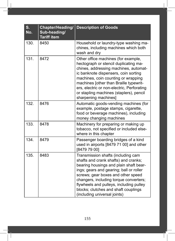| S.<br>No. | Chapter/Heading/<br>Sub-heading/<br><b>Tariff item</b> | <b>Description of Goods</b>                                                                                                                                                                                                                                                                                                                                        |
|-----------|--------------------------------------------------------|--------------------------------------------------------------------------------------------------------------------------------------------------------------------------------------------------------------------------------------------------------------------------------------------------------------------------------------------------------------------|
| 130.      | 8450                                                   | Household or laundry-type washing ma-<br>chines, including machines which both<br>wash and dry                                                                                                                                                                                                                                                                     |
| 131.      | 8472                                                   | Other office machines (for example,<br>hectograph or stencil duplicating ma-<br>chines, addressing machines, automat-<br>ic banknote dispensers, coin sorting<br>machines, coin counting or wrapping<br>machines [other than Braille typewrit-<br>ers, electric or non-electric, Perforating<br>or stapling machines (staplers), pencil<br>sharpening machines]    |
| 132.      | 8476                                                   | Automatic goods-vending machines (for<br>example, postage stamps, cigarette,<br>food or beverage machines), including<br>money changing machines                                                                                                                                                                                                                   |
| 133.      | 8478                                                   | Machinery for preparing or making up<br>tobacco, not specified or included else-<br>where in this chapter                                                                                                                                                                                                                                                          |
| 134.      | 8479                                                   | Passenger boarding bridges of a kind<br>used in airports [8479 71 00] and other<br>[8479 79 00]                                                                                                                                                                                                                                                                    |
| 135.      | 8483                                                   | Transmission shafts (including cam<br>shafts and crank shafts) and cranks;<br>bearing housings and plain shaft bear-<br>ings; gears and gearing; ball or roller<br>screws; gear boxes and other speed<br>changers, including torque converters;<br>flywheels and pulleys, including pulley<br>blocks; clutches and shaft couplings<br>(including universal joints) |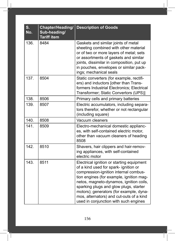| S.<br>No. | Chapter/Heading/<br>Sub-heading/<br><b>Tariff item</b> | <b>Description of Goods</b>                                                                                                                                                                                                                                                                                                                                                                  |
|-----------|--------------------------------------------------------|----------------------------------------------------------------------------------------------------------------------------------------------------------------------------------------------------------------------------------------------------------------------------------------------------------------------------------------------------------------------------------------------|
| 136.      | 8484                                                   | Gaskets and similar joints of metal<br>sheeting combined with other material<br>or of two or more layers of metal; sets<br>or assortments of gaskets and similar<br>joints, dissimilar in composition, put up<br>in pouches, envelopes or similar pack-<br>ings; mechanical seals                                                                                                            |
| 137.      | 8504                                                   | Static converters (for example, rectifi-<br>ers) and inductors [other than Trans-<br>formers Industrial Electronics; Electrical<br>Transformer; Static Convertors (UPS)]                                                                                                                                                                                                                     |
| 138.      | 8506                                                   | Primary cells and primary batteries                                                                                                                                                                                                                                                                                                                                                          |
| 139.      | 8507                                                   | Electric accumulators, including separa-<br>tors therefor, whether or not rectangular<br>(including square)                                                                                                                                                                                                                                                                                  |
| 140.      | 8508                                                   | Vacuum cleaners                                                                                                                                                                                                                                                                                                                                                                              |
| 141.      | 8509                                                   | Electro-mechanical domestic applianc-<br>es, with self-contained electric motor,<br>other than vacuum cleaners of heading<br>8508                                                                                                                                                                                                                                                            |
| 142.      | 8510                                                   | Shavers, hair clippers and hair-remov-<br>ing appliances, with self-contained<br>electric motor                                                                                                                                                                                                                                                                                              |
| 143.      | 8511                                                   | Electrical ignition or starting equipment<br>of a kind used for spark- ignition or<br>compression-ignition internal combus-<br>tion engines (for example, ignition mag-<br>netos, magneto-dynamos, ignition coils,<br>sparking plugs and glow plugs, starter<br>motors); generators (for example, dyna-<br>mos, alternators) and cut-outs of a kind<br>used in conjunction with such engines |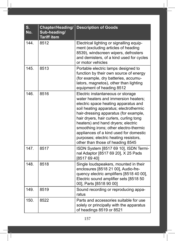| S.<br>No. | Chapter/Heading/<br>Sub-heading/<br><b>Tariff item</b> | <b>Description of Goods</b>                                                                                                                                                                                                                                                                                                                                                                                                                            |
|-----------|--------------------------------------------------------|--------------------------------------------------------------------------------------------------------------------------------------------------------------------------------------------------------------------------------------------------------------------------------------------------------------------------------------------------------------------------------------------------------------------------------------------------------|
| 144.      | 8512                                                   | Electrical lighting or signalling equip-<br>ment (excluding articles of heading<br>8539), windscreen wipers, defrosters<br>and demisters, of a kind used for cycles<br>or motor vehicles                                                                                                                                                                                                                                                               |
| 145.      | 8513                                                   | Portable electric lamps designed to<br>function by their own source of energy<br>(for example, dry batteries, accumu-<br>lators, magnetos), other than lighting<br>equipment of heading 8512                                                                                                                                                                                                                                                           |
| 146.      | 8516                                                   | Electric instantaneous or storage<br>water heaters and immersion heaters;<br>electric space heating apparatus and<br>soil heating apparatus; electrothermic<br>hair-dressing apparatus (for example,<br>hair dryers, hair curlers, curling tong<br>heaters) and hand dryers; electric<br>smoothing irons; other electro-thermic<br>appliances of a kind used for domestic<br>purposes; electric heating resistors,<br>other than those of heading 8545 |
| 147.      | 8517                                                   | ISDN System [8517 69 10], ISDN Termi-<br>nal Adaptor [8517 69 20], X 25 Pads<br>[8517 69 40]                                                                                                                                                                                                                                                                                                                                                           |
| 148.      | 8518                                                   | Single loudspeakers, mounted in their<br>enclosures [8518 21 00], Audio-fre-<br>quency electric amplifiers [8518 40 00],<br>Electric sound amplifier sets [8518 50<br>00], Parts [8518 90 00]                                                                                                                                                                                                                                                          |
| 149.      | 8519                                                   | Sound recording or reproducing appa-<br>ratus                                                                                                                                                                                                                                                                                                                                                                                                          |
| 150.      | 8522                                                   | Parts and accessories suitable for use<br>solely or principally with the apparatus<br>of headings 8519 or 8521                                                                                                                                                                                                                                                                                                                                         |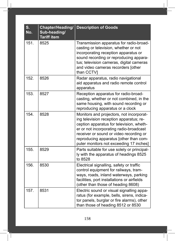| S.<br>No. | Chapter/Heading/<br>Sub-heading/<br><b>Tariff item</b> | <b>Description of Goods</b>                                                                                                                                                                                                                                                                                |
|-----------|--------------------------------------------------------|------------------------------------------------------------------------------------------------------------------------------------------------------------------------------------------------------------------------------------------------------------------------------------------------------------|
| 151.      | 8525                                                   | Transmission apparatus for radio-broad-<br>casting or television, whether or not<br>incorporating reception apparatus or<br>sound recording or reproducing appara-<br>tus; television cameras, digital cameras<br>and video cameras recorders [other<br>than CCTV]                                         |
| 152.      | 8526                                                   | Radar apparatus, radio navigational<br>aid apparatus and radio remote control<br>apparatus                                                                                                                                                                                                                 |
| 153.      | 8527                                                   | Reception apparatus for radio-broad-<br>casting, whether or not combined, in the<br>same housing, with sound recording or<br>reproducing apparatus or a clock                                                                                                                                              |
| 154.      | 8528                                                   | Monitors and projectors, not incorporat-<br>ing television reception apparatus; re-<br>ception apparatus for television, wheth-<br>er or not incorporating radio-broadcast<br>receiver or sound or video recording or<br>reproducing apparatus [other than com-<br>puter monitors not exceeding 17 inches] |
| 155.      | 8529                                                   | Parts suitable for use solely or principal-<br>ly with the apparatus of headings 8525<br>to 8528                                                                                                                                                                                                           |
| 156.      | 8530                                                   | Electrical signalling, safety or traffic<br>control equipment for railways, tram-<br>ways, roads, inland waterways, parking<br>facilities, port installations or airfields<br>(other than those of heading 8608)                                                                                           |
| 157.      | 8531                                                   | Electric sound or visual signalling appa-<br>ratus (for example, bells, sirens, indica-<br>tor panels, burglar or fire alarms), other<br>than those of heading 8512 or 8530                                                                                                                                |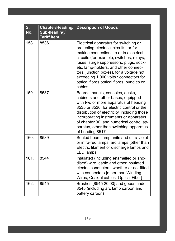| S.<br>No. | Chapter/Heading/<br>Sub-heading/<br><b>Tariff item</b> | <b>Description of Goods</b>                                                                                                                                                                                                                                                                                                                                                                          |
|-----------|--------------------------------------------------------|------------------------------------------------------------------------------------------------------------------------------------------------------------------------------------------------------------------------------------------------------------------------------------------------------------------------------------------------------------------------------------------------------|
| 158.      | 8536                                                   | Electrical apparatus for switching or<br>protecting electrical circuits, or for<br>making connections to or in electrical<br>circuits (for example, switches, relays,<br>fuses, surge suppressors, plugs, sock-<br>ets, lamp-holders, and other connec-<br>tors, junction boxes), for a voltage not<br>exceeding 1,000 volts : connectors for<br>optical fibres optical fibres, bundles or<br>cables |
| 159.      | 8537                                                   | Boards, panels, consoles, desks,<br>cabinets and other bases, equipped<br>with two or more apparatus of heading<br>8535 or 8536, for electric control or the<br>distribution of electricity, including those<br>incorporating instruments or apparatus<br>of chapter 90, and numerical control ap-<br>paratus, other than switching apparatus<br>of heading 8517                                     |
| 160.      | 8539                                                   | Sealed beam lamp units and ultra-violet<br>or infra-red lamps; arc lamps [other than<br>Electric filament or discharge lamps and<br><b>LED lamps]</b>                                                                                                                                                                                                                                                |
| 161.      | 8544                                                   | Insulated (including enamelled or ano-<br>dised) wire, cable and other insulated<br>electric conductors, whether or not fitted<br>with connectors [other than Winding<br>Wires; Coaxial cables; Optical Fiber]                                                                                                                                                                                       |
| 162.      | 8545                                                   | Brushes [8545 20 00] and goods under<br>8545 (including arc lamp carbon and<br>battery carbon)                                                                                                                                                                                                                                                                                                       |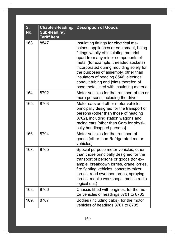| S.<br>No. | Chapter/Heading/<br>Sub-heading/<br><b>Tariff item</b> | <b>Description of Goods</b>                                                                                                                                                                                                                                                                                                                                                                                                   |
|-----------|--------------------------------------------------------|-------------------------------------------------------------------------------------------------------------------------------------------------------------------------------------------------------------------------------------------------------------------------------------------------------------------------------------------------------------------------------------------------------------------------------|
| 163.      | 8547                                                   | Insulating fittings for electrical ma-<br>chines, appliances or equipment, being<br>fittings wholly of insulating material<br>apart from any minor components of<br>metal (for example, threaded sockets)<br>incorporated during moulding solely for<br>the purposes of assembly, other than<br>insulators of heading 8546; electrical<br>conduit tubing and joints therefor, of<br>base metal lined with insulating material |
| 164.      | 8702                                                   | Motor vehicles for the transport of ten or<br>more persons, including the driver                                                                                                                                                                                                                                                                                                                                              |
| 165.      | 8703                                                   | Motor cars and other motor vehicles<br>principally designed for the transport of<br>persons (other than those of heading<br>8702), including station wagons and<br>racing cars [other than Cars for physi-<br>cally handicapped persons]                                                                                                                                                                                      |
| 166.      | 8704                                                   | Motor vehicles for the transport of<br>goods [other than Refrigerated motor<br>vehicles]                                                                                                                                                                                                                                                                                                                                      |
| 167.      | 8705                                                   | Special purpose motor vehicles, other<br>than those principally designed for the<br>transport of persons or goods (for ex-<br>ample, breakdown lorries, crane lorries,<br>fire fighting vehicles, concrete-mixer<br>lorries, road sweeper lorries, spraying<br>lorries, mobile workshops, mobile radio-<br>logical unit)                                                                                                      |
| 168.      | 8706                                                   | Chassis fitted with engines, for the mo-<br>tor vehicles of headings 8701 to 8705                                                                                                                                                                                                                                                                                                                                             |
| 169.      | 8707                                                   | Bodies (including cabs), for the motor<br>vehicles of headings 8701 to 8705                                                                                                                                                                                                                                                                                                                                                   |

 $\overline{\phantom{a}}$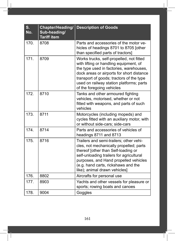| S.<br>No. | Chapter/Heading/<br>Sub-heading/<br><b>Tariff item</b> | <b>Description of Goods</b>                                                                                                                                                                                                                                                                     |
|-----------|--------------------------------------------------------|-------------------------------------------------------------------------------------------------------------------------------------------------------------------------------------------------------------------------------------------------------------------------------------------------|
| 170.      | 8708                                                   | Parts and accessories of the motor ve-<br>hicles of headings 8701 to 8705 [other<br>than specified parts of tractors]                                                                                                                                                                           |
| 171.      | 8709                                                   | Works trucks, self-propelled, not fitted<br>with lifting or handling equipment, of<br>the type used in factories, warehouses,<br>dock areas or airports for short distance<br>transport of goods; tractors of the type<br>used on railway station platforms; parts<br>of the foregoing vehicles |
| 172.      | 8710                                                   | Tanks and other armoured fighting<br>vehicles, motorised, whether or not<br>fitted with weapons, and parts of such<br>vehicles                                                                                                                                                                  |
| 173.      | 8711                                                   | Motorcycles (including mopeds) and<br>cycles fitted with an auxiliary motor, with<br>or without side-cars; side-cars                                                                                                                                                                            |
| 174.      | 8714                                                   | Parts and accessories of vehicles of<br>headings 8711 and 8713                                                                                                                                                                                                                                  |
| 175.      | 8716                                                   | Trailers and semi-trailers; other vehi-<br>cles, not mechanically propelled; parts<br>thereof [other than Self-loading or<br>self-unloading trailers for agricultural<br>purposes, and Hand propelled vehicles<br>(e.g. hand carts, rickshaws and the<br>like); animal drawn vehicles]          |
| 176.      | 8802                                                   | Aircrafts for personal use                                                                                                                                                                                                                                                                      |
| 177.      | 8903                                                   | Yachts and other vessels for pleasure or<br>sports; rowing boats and canoes                                                                                                                                                                                                                     |
| 178.      | 9004                                                   | Goggles                                                                                                                                                                                                                                                                                         |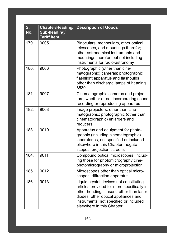| S.<br>No. | Chapter/Heading/<br>Sub-heading/<br><b>Tariff item</b> | <b>Description of Goods</b>                                                                                                                                                                                                                      |
|-----------|--------------------------------------------------------|--------------------------------------------------------------------------------------------------------------------------------------------------------------------------------------------------------------------------------------------------|
| 179.      | 9005                                                   | Binoculars, monoculars, other optical<br>telescopes, and mountings therefor;<br>other astronomical instruments and<br>mountings therefor, but not including<br>instruments for radio-astronomy                                                   |
| 180.      | 9006                                                   | Photographic (other than cine-<br>matographic) cameras; photographic<br>flashlight apparatus and flashbulbs<br>other than discharge lamps of heading<br>8539                                                                                     |
| 181.      | 9007                                                   | Cinematographic cameras and projec-<br>tors, whether or not incorporating sound<br>recording or reproducing apparatus                                                                                                                            |
| 182.      | 9008                                                   | Image projectors, other than cine-<br>matographic; photographic (other than<br>cinematographic) enlargers and<br>reducers                                                                                                                        |
| 183.      | 9010                                                   | Apparatus and equipment for photo-<br>graphic (including cinematographic)<br>laboratories, not specified or included<br>elsewhere in this Chapter; negato-<br>scopes; projection screens                                                         |
| 184.      | 9011                                                   | Compound optical microscopes, includ-<br>ing those for photomicrography cine-<br>photomicrography or microprojection                                                                                                                             |
| 185.      | 9012                                                   | Microscopes other than optical micro-<br>scopes; diffraction apparatus                                                                                                                                                                           |
| 186.      | 9013                                                   | Liquid crystal devices not constituting<br>articles provided for more specifically in<br>other headings; lasers, other than laser<br>diodes; other optical appliances and<br>instruments, not specified or included<br>elsewhere in this Chapter |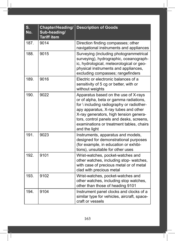| S.<br>No. | Chapter/Heading/<br>Sub-heading/<br><b>Tariff item</b> | <b>Description of Goods</b>                                                                                                                                                                                                                                                                                            |
|-----------|--------------------------------------------------------|------------------------------------------------------------------------------------------------------------------------------------------------------------------------------------------------------------------------------------------------------------------------------------------------------------------------|
| 187.      | 9014                                                   | Direction finding compasses; other<br>navigational instruments and appliances                                                                                                                                                                                                                                          |
| 188.      | 9015                                                   | Surveying (including photogrammetrical<br>surveying), hydrographic, oceanograph-<br>ic, hydrological, meteorological or geo-<br>physical instruments and appliances,<br>excluding compasses; rangefinders                                                                                                              |
| 189.      | 9016                                                   | Electric or electronic balances of a<br>sensitivity of 5 cg or better, with or<br>without weights                                                                                                                                                                                                                      |
| 190.      | 9022                                                   | Apparatus based on the use of X-rays<br>or of alpha, beta or gamma radiations,<br>for \ including radiography or radiother-<br>apy apparatus, X-ray tubes and other<br>X-ray generators, high tension genera-<br>tors, control panels and desks, screens,<br>examinations or treatment tables, chairs<br>and the light |
| 191.      | 9023                                                   | Instruments, apparatus and models,<br>designed for demonstrational purposes<br>(for example, in education or exhibi-<br>tions), unsuitable for other uses                                                                                                                                                              |
| 192.      | 9101                                                   | Wrist-watches, pocket-watches and<br>other watches, including stop- watches,<br>with case of precious metal or of metal<br>clad with precious metal                                                                                                                                                                    |
| 193.      | 9102                                                   | Wrist-watches, pocket-watches and<br>other watches, including stop watches,<br>other than those of heading 9101                                                                                                                                                                                                        |
| 194.      | 9104                                                   | Instrument panel clocks and clocks of a<br>similar type for vehicles, aircraft, space-<br>craft or vessels                                                                                                                                                                                                             |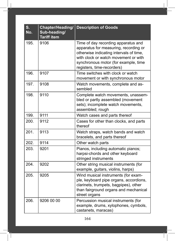| S.<br>No. | Chapter/Heading/<br>Sub-heading/<br><b>Tariff item</b> | <b>Description of Goods</b>                                                                                                                                                                                                           |
|-----------|--------------------------------------------------------|---------------------------------------------------------------------------------------------------------------------------------------------------------------------------------------------------------------------------------------|
| 195.      | 9106                                                   | Time of day recording apparatus and<br>apparatus for measuring, recording or<br>otherwise indicating intervals of time,<br>with clock or watch movement or with<br>synchronous motor (for example, time<br>registers, time-recorders) |
| 196.      | 9107                                                   | Time switches with clock or watch<br>movement or with synchronous motor                                                                                                                                                               |
| 197.      | 9108                                                   | Watch movements, complete and as-<br>sembled                                                                                                                                                                                          |
| 198.      | 9110                                                   | Complete watch movements, unassem-<br>bled or partly assembled (movement<br>sets); incomplete watch movements,<br>assembled; rough                                                                                                    |
| 199.      | 9111                                                   | Watch cases and parts thereof                                                                                                                                                                                                         |
| 200.      | 9112                                                   | Cases for other than clocks, and parts<br>thereof                                                                                                                                                                                     |
| 201.      | 9113                                                   | Watch straps, watch bands and watch<br>bracelets, and parts thereof                                                                                                                                                                   |
| 202.      | 9114                                                   | Other watch parts                                                                                                                                                                                                                     |
| 203.      | 9201                                                   | Pianos, including automatic pianos;<br>harpsi-chords and other keyboard<br>stringed instruments                                                                                                                                       |
| 204.      | 9202                                                   | Other string musical instruments (for<br>example, guitars, violins, harps)                                                                                                                                                            |
| 205.      | 9205                                                   | Wind musical instruments (for exam-<br>ple, keyboard pipe organs, accordions,<br>clarinets, trumpets, bagpipes), other<br>than fairground organs and mechanical<br>street organs                                                      |
| 206.      | 9206 00 00                                             | Percussion musical instruments (for<br>example, drums, xylophones, cymbols,<br>castanets, maracas)                                                                                                                                    |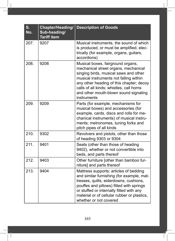| S.<br>No. | Chapter/Heading/<br>Sub-heading/<br><b>Tariff item</b> | <b>Description of Goods</b>                                                                                                                                                                                                                                                                                  |
|-----------|--------------------------------------------------------|--------------------------------------------------------------------------------------------------------------------------------------------------------------------------------------------------------------------------------------------------------------------------------------------------------------|
| 207.      | 9207                                                   | Musical instruments, the sound of which<br>is produced, or must be amplified, elec-<br>trically (for example, organs, guitars,<br>accordions)                                                                                                                                                                |
| 208.      | 9208                                                   | Musical boxes, fairground organs,<br>mechanical street organs, mechanical<br>singing birds, musical saws and other<br>musical instruments not falling within<br>any other heading of this chapter; decoy<br>calls of all kinds; whistles, call horns<br>and other mouth-blown sound signaling<br>instruments |
| 209.      | 9209                                                   | Parts (for example, mechanisms for<br>musical boxes) and accessories (for<br>example, cards, discs and rolls for me-<br>chanical instruments) of musical instru-<br>ments; metronomes, tuning forks and<br>pitch pipes of all kinds                                                                          |
| 210.      | 9302                                                   | Revolvers and pistols, other than those<br>of heading 9303 or 9304                                                                                                                                                                                                                                           |
| 211.      | 9401                                                   | Seats (other than those of heading<br>9402), whether or not convertible into<br>beds, and parts thereof                                                                                                                                                                                                      |
| 212.      | 9403                                                   | Other furniture [other than bamboo fur-<br>niture] and parts thereof                                                                                                                                                                                                                                         |
| 213.      | 9404                                                   | Mattress supports; articles of bedding<br>and similar furnishing (for example, mat-<br>tresses, quilts, eiderdowns, cushions,<br>pouffes and pillows) fitted with springs<br>or stuffed or internally fitted with any<br>material or of cellular rubber or plastics,<br>whether or not covered               |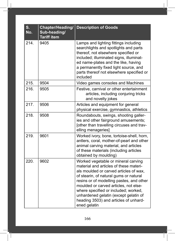| S.<br>No. | Chapter/Heading/<br>Sub-heading/<br><b>Tariff item</b> | <b>Description of Goods</b>                                                                                                                                                                                                                                                                                                                                                                      |
|-----------|--------------------------------------------------------|--------------------------------------------------------------------------------------------------------------------------------------------------------------------------------------------------------------------------------------------------------------------------------------------------------------------------------------------------------------------------------------------------|
| 214.      | 9405                                                   | Lamps and lighting fittings including<br>searchlights and spotlights and parts<br>thereof, not elsewhere specified or<br>included; illuminated signs, illuminat-<br>ed name-plates and the like, having<br>a permanently fixed light source, and<br>parts thereof not elsewhere specified or<br>included                                                                                         |
| 215.      | 9504                                                   | Video games consoles and Machines                                                                                                                                                                                                                                                                                                                                                                |
| 216.      | 9505                                                   | Festive, carnival or other entertainment<br>articles, including conjuring tricks<br>and novelty jokes                                                                                                                                                                                                                                                                                            |
| 217.      | 9506                                                   | Articles and equipment for general<br>physical exercise, gymnastics, athletics                                                                                                                                                                                                                                                                                                                   |
| 218.      | 9508                                                   | Roundabouts, swings, shooting galler-<br>ies and other fairground amusements;<br>[other than travelling circuses and trav-<br>elling menageries]                                                                                                                                                                                                                                                 |
| 219.      | 9601                                                   | Worked ivory, bone, tortoise-shell, horn,<br>antlers, coral, mother-of-pearl and other<br>animal carving material, and articles<br>of these materials (including articles<br>obtained by moulding)                                                                                                                                                                                               |
| 220.      | 9602                                                   | Worked vegetable or mineral carving<br>material and articles of these materi-<br>als moulded or carved articles of wax,<br>of stearin, of natural gums or natural<br>resins or of modelling pastes, and other<br>moulded or carved articles, not else-<br>where specified or included; worked,<br>unhardened gelatin (except gelatin of<br>heading 3503) and articles of unhard-<br>ened gelatin |

 $\overline{\phantom{a}}$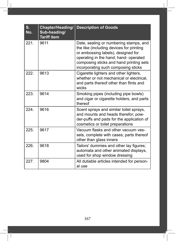| S.<br>$\overline{\text{No}}$ . | Chapter/Heading/<br>Sub-heading/<br><b>Tariff item</b> | <b>Description of Goods</b>                                                                                                                                                                                                                         |
|--------------------------------|--------------------------------------------------------|-----------------------------------------------------------------------------------------------------------------------------------------------------------------------------------------------------------------------------------------------------|
| 221.                           | 9611                                                   | Date, sealing or numbering stamps, and<br>the like (including devices for printing<br>or embossing labels), designed for<br>operating in the hand; hand- operated<br>composing sticks and hand printing sets<br>incorporating such composing sticks |
| 222.                           | 9613                                                   | Cigarette lighters and other lighters,<br>whether or not mechanical or electrical,<br>and parts thereof other than flints and<br>wicks                                                                                                              |
| 223.                           | 9614                                                   | Smoking pipes (including pipe bowls)<br>and cigar or cigarette holders, and parts<br>thereof                                                                                                                                                        |
| 224.                           | 9616                                                   | Scent sprays and similar toilet sprays,<br>and mounts and heads therefor; pow-<br>der-puffs and pads for the application of<br>cosmetics or toilet preparations                                                                                     |
| 225.                           | 9617                                                   | Vacuum flasks and other vacuum ves-<br>sels, complete with cases; parts thereof<br>other than glass inners                                                                                                                                          |
| 226.                           | 9618                                                   | Tailors' dummies and other lay figures;<br>automata and other animated displays,<br>used for shop window dressing                                                                                                                                   |
| 227.                           | 9804                                                   | All dutiable articles intended for person-<br>al use                                                                                                                                                                                                |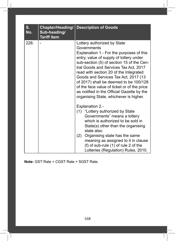| $S_{1}$<br>No. | Chapter/Heading/<br>Sub-heading/<br><b>Tariff item</b> | <b>Description of Goods</b>                                                                                                                                                                                                                                                                                                                                                                                                                                                                |
|----------------|--------------------------------------------------------|--------------------------------------------------------------------------------------------------------------------------------------------------------------------------------------------------------------------------------------------------------------------------------------------------------------------------------------------------------------------------------------------------------------------------------------------------------------------------------------------|
| 228.           |                                                        | Lottery authorized by State<br>Governments<br>Explanation 1.- For the purposes of this<br>entry, value of supply of lottery under<br>sub-section (5) of section 15 of the Cen-<br>tral Goods and Services Tax Act, 2017<br>read with section 20 of the Integrated<br>Goods and Services Tax Act, 2017 (13<br>of 2017) shall be deemed to be 100/128<br>of the face value of ticket or of the price<br>as notified in the Official Gazette by the<br>organising State, whichever is higher. |
|                |                                                        | <b>Explanation 2.-</b><br>(1) "Lottery authorized by State<br>Governments" means a lottery<br>which is authorized to be sold in<br>State(s) other than the organising<br>state also.<br>(2)<br>Organising state has the same<br>meaning as assigned to it in clause<br>(f) of sub-rule $(1)$ of rule 2 of the<br>Lotteries (Regulation) Rules, 2010.                                                                                                                                       |

**Note:** GST Rate = CGST Rate + SGST Rate.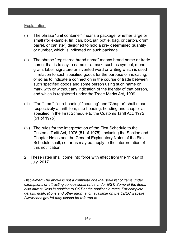## **Explanation**

- (i) The phrase "unit container" means a package, whether large or small (for example, tin, can, box, jar, bottle, bag, or carton, drum, barrel, or canister) designed to hold a pre- determined quantity or number, which is indicated on such package.
- (ii) The phrase "registered brand name" means brand name or trade name, that is to say, a name or a mark, such as symbol, monogram, label, signature or invented word or writing which is used in relation to such specified goods for the purpose of indicating, or so as to indicate a connection in the course of trade between such specified goods and some person using such name or mark with or without any indication of the identity of that person, and which is registered under the Trade Marks Act, 1999.
- (iii) "Tariff item", "sub-heading" "heading" and "Chapter" shall mean respectively a tariff item, sub-heading, heading and chapter as specified in the First Schedule to the Customs Tariff Act, 1975 (51 of 1975).
- (iv) The rules for the interpretation of the First Schedule to the Customs Tariff Act, 1975 (51 of 1975), including the Section and Chapter Notes and the General Explanatory Notes of the First Schedule shall, so far as may be, apply to the interpretation of this notification.
- 2. These rates shall come into force with effect from the  $1<sup>st</sup>$  day of July, 2017.

*Disclaimer: The above is not a complete or exhaustive list of items under exemptions or attracting concessional rates under GST. Some of the items also attract Cess in addition to GST at the applicable rates. For complete details, notifications and other information available on the CBEC website (www.cbec.gov.in) may please be referred to.*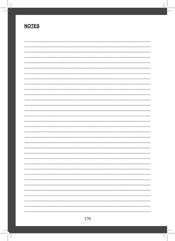## **NOTES**

170